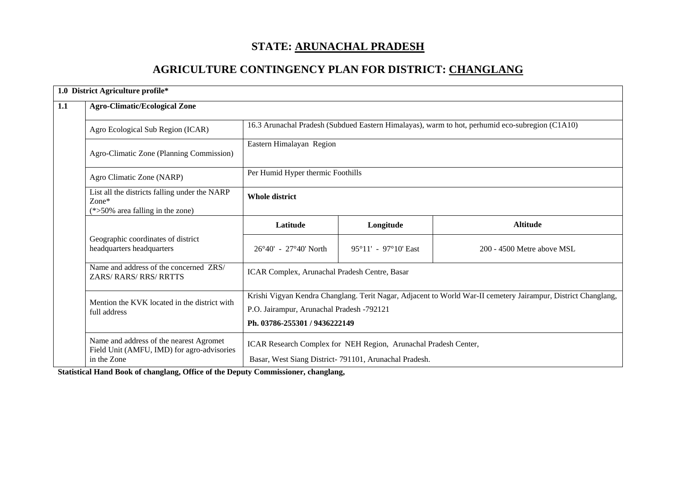# **STATE: ARUNACHAL PRADESH**

# **AGRICULTURE CONTINGENCY PLAN FOR DISTRICT: CHANGLANG**

|     | 1.0 District Agriculture profile*                                                          |                                                                                                               |                                                       |                            |  |  |  |  |
|-----|--------------------------------------------------------------------------------------------|---------------------------------------------------------------------------------------------------------------|-------------------------------------------------------|----------------------------|--|--|--|--|
| 1.1 | <b>Agro-Climatic/Ecological Zone</b>                                                       |                                                                                                               |                                                       |                            |  |  |  |  |
|     | Agro Ecological Sub Region (ICAR)                                                          | 16.3 Arunachal Pradesh (Subdued Eastern Himalayas), warm to hot, perhumid eco-subregion (C1A10)               |                                                       |                            |  |  |  |  |
|     | Agro-Climatic Zone (Planning Commission)                                                   | Eastern Himalayan Region                                                                                      |                                                       |                            |  |  |  |  |
|     | Agro Climatic Zone (NARP)                                                                  |                                                                                                               | Per Humid Hyper thermic Foothills                     |                            |  |  |  |  |
|     | List all the districts falling under the NARP<br>Zone*<br>(*>50% area falling in the zone) | <b>Whole district</b>                                                                                         |                                                       |                            |  |  |  |  |
|     |                                                                                            | Latitude                                                                                                      | Longitude                                             | <b>Altitude</b>            |  |  |  |  |
|     | Geographic coordinates of district<br>headquarters headquarters                            | 26°40′ - 27°40′ North                                                                                         | $95^{\circ}11' - 97^{\circ}10'$ East                  | 200 - 4500 Metre above MSL |  |  |  |  |
|     | Name and address of the concerned ZRS/<br>ZARS/RARS/RRS/RRTTS                              | ICAR Complex, Arunachal Pradesh Centre, Basar                                                                 |                                                       |                            |  |  |  |  |
|     | Mention the KVK located in the district with                                               | Krishi Vigyan Kendra Changlang. Terit Nagar, Adjacent to World War-II cemetery Jairampur, District Changlang, |                                                       |                            |  |  |  |  |
|     | full address                                                                               | P.O. Jairampur, Arunachal Pradesh -792121                                                                     |                                                       |                            |  |  |  |  |
|     |                                                                                            | Ph. 03786-255301 / 9436222149                                                                                 |                                                       |                            |  |  |  |  |
|     | Name and address of the nearest Agromet<br>Field Unit (AMFU, IMD) for agro-advisories      | ICAR Research Complex for NEH Region, Arunachal Pradesh Center,                                               |                                                       |                            |  |  |  |  |
|     | in the Zone                                                                                |                                                                                                               | Basar, West Siang District-791101, Arunachal Pradesh. |                            |  |  |  |  |

**Statistical Hand Book of changlang, Office of the Deputy Commissioner, changlang,**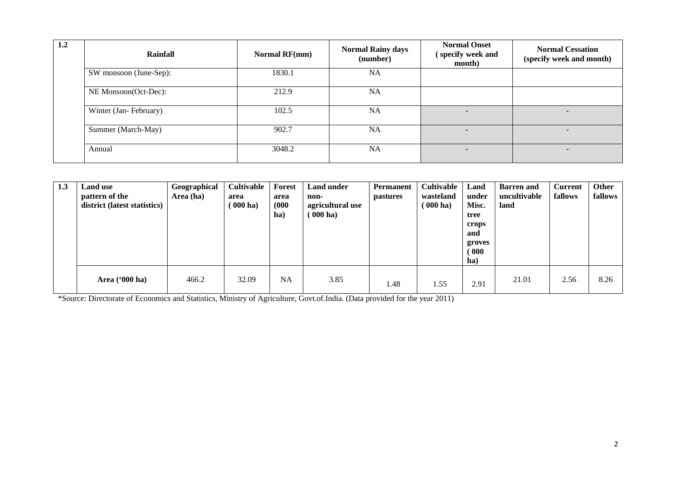| 1.2 | Rainfall               | Normal RF(mm) | <b>Normal Rainy days</b><br>(number) | <b>Normal Onset</b><br>(specify week and<br>month) | <b>Normal Cessation</b><br>(specify week and month) |
|-----|------------------------|---------------|--------------------------------------|----------------------------------------------------|-----------------------------------------------------|
|     | SW monsoon (June-Sep): | 1830.1        | <b>NA</b>                            |                                                    |                                                     |
|     | NE Monsoon(Oct-Dec):   | 212.9         | <b>NA</b>                            |                                                    |                                                     |
|     | Winter (Jan-February)  | 102.5         | <b>NA</b>                            | Ξ.                                                 | $\overline{\phantom{0}}$                            |
|     | Summer (March-May)     | 902.7         | <b>NA</b>                            |                                                    |                                                     |
|     | Annual                 | 3048.2        | <b>NA</b>                            | $\overline{\phantom{0}}$                           | $\overline{\phantom{0}}$                            |

| 1.3 | Land use<br>pattern of the<br>district (latest statistics) | Geographical<br>Area (ha) | Cultivable<br>area<br>$000$ ha) | Forest<br>area<br>(000)<br>ha) | Land under<br>non-<br>agricultural use<br>$\left( 000 \text{ ha} \right)$ | <b>Permanent</b><br><i>pastures</i> | <b>Cultivable</b><br>wasteland<br>$(000 \text{ ha})$ | Land<br>under<br>Misc.<br>tree<br>crops<br>and<br>groves<br>$\degree$ 000 $\degree$<br>ha) | <b>Barren</b> and<br>uncultivable<br>land | <b>Current</b><br>fallows | Other<br>fallows |
|-----|------------------------------------------------------------|---------------------------|---------------------------------|--------------------------------|---------------------------------------------------------------------------|-------------------------------------|------------------------------------------------------|--------------------------------------------------------------------------------------------|-------------------------------------------|---------------------------|------------------|
|     | Area $(900 \text{ ha})$                                    | 466.2                     | 32.09                           | <b>NA</b>                      | 3.85                                                                      | 1.48                                | 1.55                                                 | 2.91                                                                                       | 21.01                                     | 2.56                      | 8.26             |

\*Source: Directorate of Economics and Statistics, Ministry of Agriculture, Govt.of.India. (Data provided for the year 2011)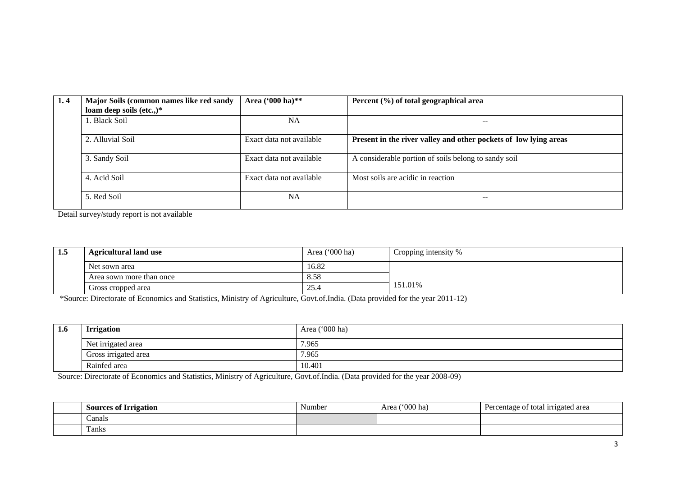| 1.4 | Major Soils (common names like red sandy | Area ('000 ha)**         | Percent (%) of total geographical area                           |
|-----|------------------------------------------|--------------------------|------------------------------------------------------------------|
|     | loam deep soils (etc.,) $*$              |                          |                                                                  |
|     | . Black Soil                             | <b>NA</b>                |                                                                  |
|     | 2. Alluvial Soil                         | Exact data not available | Present in the river valley and other pockets of low lying areas |
|     | 3. Sandy Soil                            | Exact data not available | A considerable portion of soils belong to sandy soil             |
|     | 4. Acid Soil                             | Exact data not available | Most soils are acidic in reaction                                |
|     | 5. Red Soil                              | <b>NA</b>                |                                                                  |

Detail survey/study report is not available

| 1.5 | <b>Agricultural land use</b> | Area $('000 ha)$ | Cropping intensity % |
|-----|------------------------------|------------------|----------------------|
|     | Net sown area                | 16.82            |                      |
|     | Area sown more than once     | 8.58             |                      |
|     | Gross cropped area           | 25.4             | 151.01%              |

\*Source: Directorate of Economics and Statistics, Ministry of Agriculture, Govt.of.India. (Data provided for the year 2011-12)

| 1.6 | <b>Irrigation</b>    | Area ('000 ha) |
|-----|----------------------|----------------|
|     | Net irrigated area   | 7.965          |
|     | Gross irrigated area | 7.965          |
|     | Rainfed area         | 10.401         |

Source: Directorate of Economics and Statistics, Ministry of Agriculture, Govt.of.India. (Data provided for the year 2008-09)

| $\sim$<br>Sources of Irrigation | $\sim$<br>Number | $^{\prime\prime}000$ ha)<br>Area | Percentage of total irrigated area<br>. . |
|---------------------------------|------------------|----------------------------------|-------------------------------------------|
| Canals                          |                  |                                  |                                           |
| $\sim$<br>Fanks                 |                  |                                  |                                           |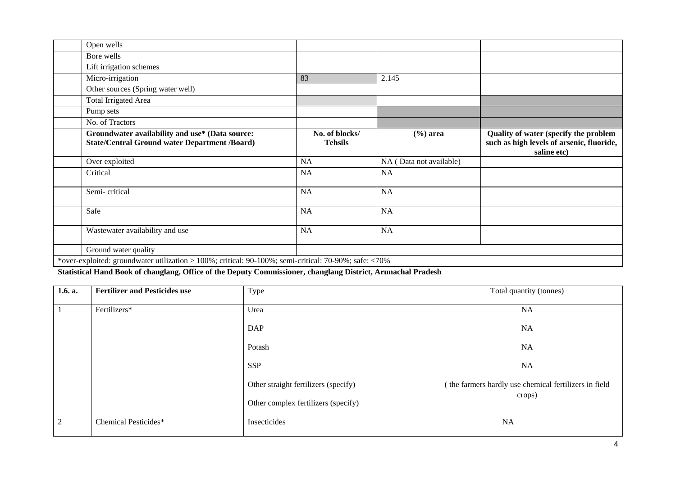| Open wells                                                                                              |                                  |                         |                                                                                                   |
|---------------------------------------------------------------------------------------------------------|----------------------------------|-------------------------|---------------------------------------------------------------------------------------------------|
| Bore wells                                                                                              |                                  |                         |                                                                                                   |
| Lift irrigation schemes                                                                                 |                                  |                         |                                                                                                   |
| Micro-irrigation                                                                                        | 83                               | 2.145                   |                                                                                                   |
| Other sources (Spring water well)                                                                       |                                  |                         |                                                                                                   |
| <b>Total Irrigated Area</b>                                                                             |                                  |                         |                                                                                                   |
| Pump sets                                                                                               |                                  |                         |                                                                                                   |
| No. of Tractors                                                                                         |                                  |                         |                                                                                                   |
| Groundwater availability and use* (Data source:<br><b>State/Central Ground water Department /Board)</b> | No. of blocks/<br><b>Tehsils</b> | $(\% )$ area            | Quality of water (specify the problem<br>such as high levels of arsenic, fluoride,<br>saline etc) |
| Over exploited                                                                                          | NA                               | NA (Data not available) |                                                                                                   |
| Critical                                                                                                | <b>NA</b>                        | <b>NA</b>               |                                                                                                   |
| Semi-critical                                                                                           | <b>NA</b>                        | <b>NA</b>               |                                                                                                   |
| Safe                                                                                                    | <b>NA</b>                        | <b>NA</b>               |                                                                                                   |
| Wastewater availability and use                                                                         | <b>NA</b>                        | <b>NA</b>               |                                                                                                   |
| Ground water quality                                                                                    |                                  |                         |                                                                                                   |
| *over-exploited: groundwater utilization > 100%; critical: 90-100%; semi-critical: 70-90%; safe: <70%   |                                  |                         |                                                                                                   |

**Statistical Hand Book of changlang, Office of the Deputy Commissioner, changlang District, Arunachal Pradesh**

| 1.6. a. | <b>Fertilizer and Pesticides use</b> | Type                                 | Total quantity (tonnes)                                         |
|---------|--------------------------------------|--------------------------------------|-----------------------------------------------------------------|
|         | Fertilizers*                         | Urea                                 | <b>NA</b>                                                       |
|         |                                      | <b>DAP</b>                           | NA                                                              |
|         |                                      | Potash                               | NA                                                              |
|         |                                      | <b>SSP</b>                           | NA                                                              |
|         |                                      | Other straight fertilizers (specify) | (the farmers hardly use chemical fertilizers in field<br>crops) |
|         |                                      | Other complex fertilizers (specify)  |                                                                 |
|         | Chemical Pesticides*                 | Insecticides                         | NA                                                              |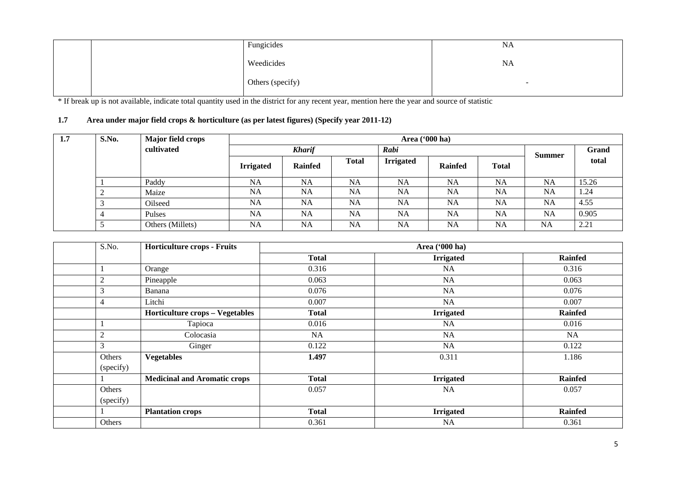| Fungicides       | NA                       |
|------------------|--------------------------|
| Weedicides       | <b>NA</b>                |
| Others (specify) | $\overline{\phantom{0}}$ |

\* If break up is not available, indicate total quantity used in the district for any recent year, mention here the year and source of statistic

#### **1.7 Area under major field crops & horticulture (as per latest figures) (Specify year 2011-12)**

| 1.7 | S.No. | Major field crops | Area ('000 ha)   |                |              |                  |                |              |           |       |
|-----|-------|-------------------|------------------|----------------|--------------|------------------|----------------|--------------|-----------|-------|
|     |       | cultivated        | <b>Kharif</b>    |                |              | Rabi             |                |              | Summer    | Grand |
|     |       |                   | <b>Irrigated</b> | <b>Rainfed</b> | <b>Total</b> | <b>Irrigated</b> | <b>Rainfed</b> | <b>Total</b> |           | total |
|     |       | Paddy             | <b>NA</b>        | <b>NA</b>      | <b>NA</b>    | <b>NA</b>        | <b>NA</b>      | <b>NA</b>    | <b>NA</b> | 15.26 |
|     |       | Maize             | NA               | <b>NA</b>      | NA           | <b>NA</b>        | NA             | <b>NA</b>    | <b>NA</b> | 1.24  |
|     |       | Oilseed           | <b>NA</b>        | <b>NA</b>      | <b>NA</b>    | <b>NA</b>        | <b>NA</b>      | <b>NA</b>    | <b>NA</b> | 4.55  |
|     |       | Pulses            | <b>NA</b>        | NA             | <b>NA</b>    | <b>NA</b>        | <b>NA</b>      | <b>NA</b>    | <b>NA</b> | 0.905 |
|     |       | Others (Millets)  | <b>NA</b>        | <b>NA</b>      | <b>NA</b>    | <b>NA</b>        | <b>NA</b>      | <b>NA</b>    | <b>NA</b> | 2.21  |

| S.No.            | <b>Horticulture crops - Fruits</b>     |              |                  |                |
|------------------|----------------------------------------|--------------|------------------|----------------|
|                  |                                        | <b>Total</b> | <b>Irrigated</b> | <b>Rainfed</b> |
|                  | Orange                                 | 0.316        | NA               | 0.316          |
| $\overline{2}$   | Pineapple                              | 0.063        | NA               | 0.063          |
| 3                | Banana                                 | 0.076        | <b>NA</b>        | 0.076          |
| $\overline{4}$   | Litchi                                 | 0.007        | NA               | 0.007          |
|                  | <b>Horticulture crops - Vegetables</b> | <b>Total</b> | <b>Irrigated</b> | <b>Rainfed</b> |
|                  | Tapioca                                | 0.016        | NA               | 0.016          |
| $\boldsymbol{2}$ | Colocasia                              | <b>NA</b>    | <b>NA</b>        | <b>NA</b>      |
| 3                | Ginger                                 | 0.122        | NA               | 0.122          |
| Others           | <b>Vegetables</b>                      | 1.497        | 0.311            | 1.186          |
| (specify)        |                                        |              |                  |                |
|                  | <b>Medicinal and Aromatic crops</b>    | <b>Total</b> | <b>Irrigated</b> | <b>Rainfed</b> |
| Others           |                                        | 0.057        | NA               | 0.057          |
| (specify)        |                                        |              |                  |                |
|                  | <b>Plantation crops</b>                | <b>Total</b> | <b>Irrigated</b> | <b>Rainfed</b> |
| Others           |                                        | 0.361        | NA               | 0.361          |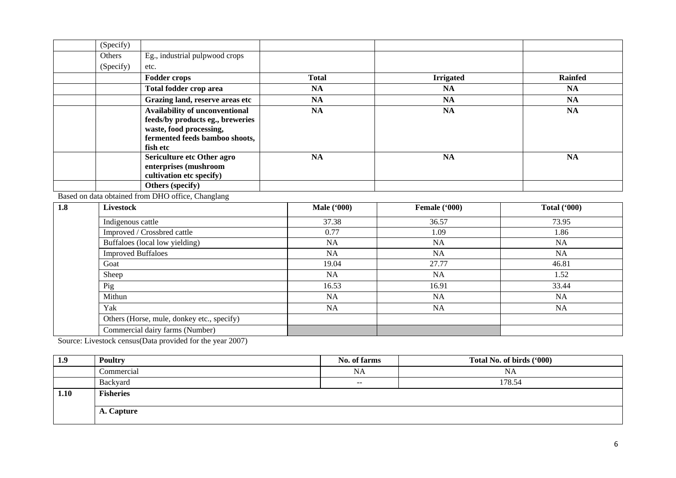| (Specify) |                                  |              |                  |                |
|-----------|----------------------------------|--------------|------------------|----------------|
| Others    | Eg., industrial pulpwood crops   |              |                  |                |
| (Specify) | etc.                             |              |                  |                |
|           | <b>Fodder crops</b>              | <b>Total</b> | <b>Irrigated</b> | <b>Rainfed</b> |
|           | Total fodder crop area           | <b>NA</b>    | NA               | <b>NA</b>      |
|           | Grazing land, reserve areas etc  | <b>NA</b>    | <b>NA</b>        | <b>NA</b>      |
|           | Availability of unconventional   | <b>NA</b>    | NA               | <b>NA</b>      |
|           | feeds/by products eg., breweries |              |                  |                |
|           | waste, food processing,          |              |                  |                |
|           | fermented feeds bamboo shoots,   |              |                  |                |
|           | fish etc                         |              |                  |                |
|           | Sericulture etc Other agro       | <b>NA</b>    | <b>NA</b>        | <b>NA</b>      |
|           | enterprises (mushroom            |              |                  |                |
|           | cultivation etc specify)         |              |                  |                |
|           | Others (specify)                 |              |                  |                |

Based on data obtained from DHO office, Changlang

| 1.8 | <b>Livestock</b>                           | <b>Male</b> ('000) | Female ('000) | <b>Total ('000)</b> |
|-----|--------------------------------------------|--------------------|---------------|---------------------|
|     | Indigenous cattle                          | 37.38              | 36.57         | 73.95               |
|     | Improved / Crossbred cattle                | 0.77               | 1.09          | 1.86                |
|     | Buffaloes (local low yielding)             | <b>NA</b>          | <b>NA</b>     | NA                  |
|     | <b>Improved Buffaloes</b>                  | <b>NA</b>          | <b>NA</b>     | <b>NA</b>           |
|     | Goat                                       | 19.04              | 27.77         | 46.81               |
|     | Sheep                                      | <b>NA</b>          | <b>NA</b>     | 1.52                |
|     | Pig                                        | 16.53              | 16.91         | 33.44               |
|     | Mithun                                     | <b>NA</b>          | <b>NA</b>     | <b>NA</b>           |
|     | Yak                                        | <b>NA</b>          | <b>NA</b>     | <b>NA</b>           |
|     | Others (Horse, mule, donkey etc., specify) |                    |               |                     |
|     | Commercial dairy farms (Number)            |                    |               |                     |

Source: Livestock census(Data provided for the year 2007)

| 1.9  | <b>Poultry</b>   | No. of farms | Total No. of birds ('000) |
|------|------------------|--------------|---------------------------|
|      | Commercial       | <b>NA</b>    | NA                        |
|      | Backyard         | $- -$        | 178.54                    |
| 1.10 | <b>Fisheries</b> |              |                           |
|      | A. Capture       |              |                           |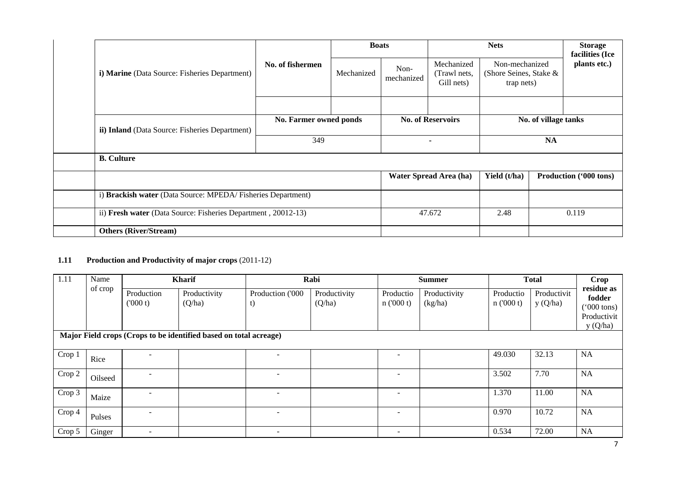|  | i) Marine (Data Source: Fisheries Department)                 |                        | <b>Boats</b> |                    | <b>Nets</b>                              |                                                        |  | <b>Storage</b><br>facilities (Ice |
|--|---------------------------------------------------------------|------------------------|--------------|--------------------|------------------------------------------|--------------------------------------------------------|--|-----------------------------------|
|  |                                                               | No. of fishermen       | Mechanized   | Non-<br>mechanized | Mechanized<br>(Trawl nets,<br>Gill nets) | Non-mechanized<br>(Shore Seines, Stake &<br>trap nets) |  | plants etc.)                      |
|  |                                                               |                        |              |                    |                                          |                                                        |  |                                   |
|  | ii) Inland (Data Source: Fisheries Department)                | No. Farmer owned ponds |              |                    | <b>No. of Reservoirs</b>                 | No. of village tanks                                   |  |                                   |
|  |                                                               | 349                    |              | ۰                  |                                          | <b>NA</b>                                              |  |                                   |
|  | <b>B.</b> Culture                                             |                        |              |                    |                                          |                                                        |  |                                   |
|  |                                                               |                        |              |                    | Water Spread Area (ha)                   | Yield (t/ha)                                           |  | Production ('000 tons)            |
|  | i) Brackish water (Data Source: MPEDA/Fisheries Department)   |                        |              |                    |                                          |                                                        |  |                                   |
|  | ii) Fresh water (Data Source: Fisheries Department, 20012-13) |                        |              |                    | 47.672                                   | 2.48                                                   |  | 0.119                             |
|  | <b>Others (River/Stream)</b>                                  |                        |              |                    |                                          |                                                        |  |                                   |

### **1.11 Production and Productivity of major crops** (2011-12)

| 1.11   | Name    |                          | <b>Kharif</b>                                                                               |                          | Rabi                   |                          | <b>Summer</b>           |                       | <b>Total</b>           | <b>Crop</b><br>residue as                                |
|--------|---------|--------------------------|---------------------------------------------------------------------------------------------|--------------------------|------------------------|--------------------------|-------------------------|-----------------------|------------------------|----------------------------------------------------------|
|        | of crop | Production<br>(000 t)    | Productivity<br>(Q/ha)<br>Major Field crops (Crops to be identified based on total acreage) | Production ('000<br>t)   | Productivity<br>(Q/ha) | Productio<br>n(000 t)    | Productivity<br>(kg/ha) | Productio<br>n(000 t) | Productivit<br>y(Q/ha) | fodder<br>$(000 \text{ tons})$<br>Productivit<br>y(Q/ha) |
| Crop 1 | Rice    |                          |                                                                                             |                          |                        |                          |                         | 49.030                | 32.13                  | NA                                                       |
| Crop 2 | Oilseed |                          |                                                                                             |                          |                        |                          |                         | 3.502                 | 7.70                   | NA                                                       |
| Crop 3 | Maize   |                          |                                                                                             |                          |                        |                          |                         | 1.370                 | 11.00                  | NA                                                       |
| Crop 4 | Pulses  |                          |                                                                                             | $\overline{\phantom{a}}$ |                        |                          |                         | 0.970                 | 10.72                  | NA                                                       |
| Crop 5 | Ginger  | $\overline{\phantom{a}}$ |                                                                                             | $\overline{\phantom{a}}$ |                        | $\overline{\phantom{a}}$ |                         | 0.534                 | 72.00                  | NA                                                       |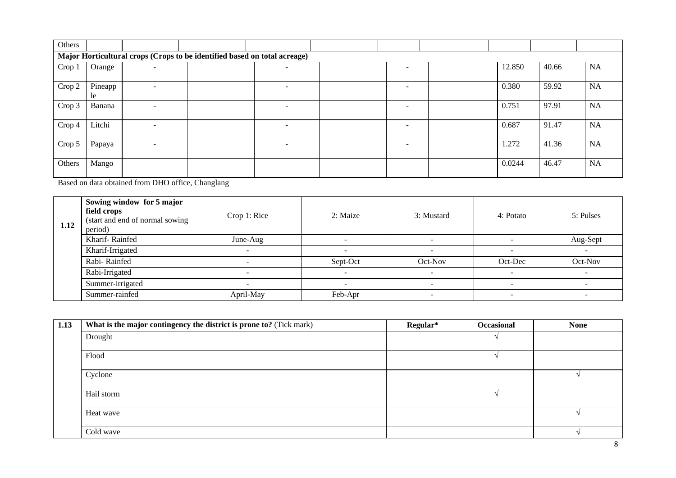| Others |               |                |                                                                           |                          |                          |        |       |           |
|--------|---------------|----------------|---------------------------------------------------------------------------|--------------------------|--------------------------|--------|-------|-----------|
|        |               |                | Major Horticultural crops (Crops to be identified based on total acreage) |                          |                          |        |       |           |
| Crop 1 | Orange        | $\blacksquare$ |                                                                           | $\overline{\phantom{0}}$ | $\overline{\phantom{a}}$ | 12.850 | 40.66 | NA        |
| Crop 2 | Pineapp<br>le | ۰              |                                                                           | $\overline{\phantom{0}}$ | ۰                        | 0.380  | 59.92 | NA        |
| Crop 3 | Banana        | ۰              |                                                                           | $\overline{\phantom{a}}$ | $\overline{\phantom{0}}$ | 0.751  | 97.91 | <b>NA</b> |
| Crop 4 | Litchi        | -              |                                                                           | $\overline{\phantom{a}}$ | $\overline{\phantom{0}}$ | 0.687  | 91.47 | NA        |
| Crop 5 | Papaya        | $\blacksquare$ |                                                                           | $\overline{\phantom{0}}$ | $\overline{\phantom{0}}$ | 1.272  | 41.36 | NA        |
| Others | Mango         |                |                                                                           |                          |                          | 0.0244 | 46.47 | NA        |

Based on data obtained from DHO office, Changlang

| 1.12 | Sowing window for 5 major<br>field crops<br>(start and end of normal sowing<br>period) | Crop 1: Rice | 2: Maize                 | 3: Mustard | 4: Potato | 5: Pulses |
|------|----------------------------------------------------------------------------------------|--------------|--------------------------|------------|-----------|-----------|
|      | Kharif-Rainfed                                                                         | June-Aug     |                          | <b>1</b>   |           | Aug-Sept  |
|      | Kharif-Irrigated                                                                       |              | $\sim$                   |            |           |           |
|      | Rabi-Rainfed                                                                           | -            | Sept-Oct                 | Oct-Nov    | Oct-Dec   | Oct-Nov   |
|      | Rabi-Irrigated                                                                         |              | $\overline{\phantom{0}}$ |            |           |           |
|      | Summer-irrigated                                                                       |              |                          |            |           |           |
|      | Summer-rainfed                                                                         | April-May    | Feb-Apr                  |            |           |           |

| 1.13 | What is the major contingency the district is prone to? (Tick mark) | Regular* | Occasional | <b>None</b> |
|------|---------------------------------------------------------------------|----------|------------|-------------|
|      | Drought                                                             |          |            |             |
|      | Flood                                                               |          |            |             |
|      | Cyclone                                                             |          |            |             |
|      | Hail storm                                                          |          |            |             |
|      | Heat wave                                                           |          |            |             |
|      | Cold wave                                                           |          |            |             |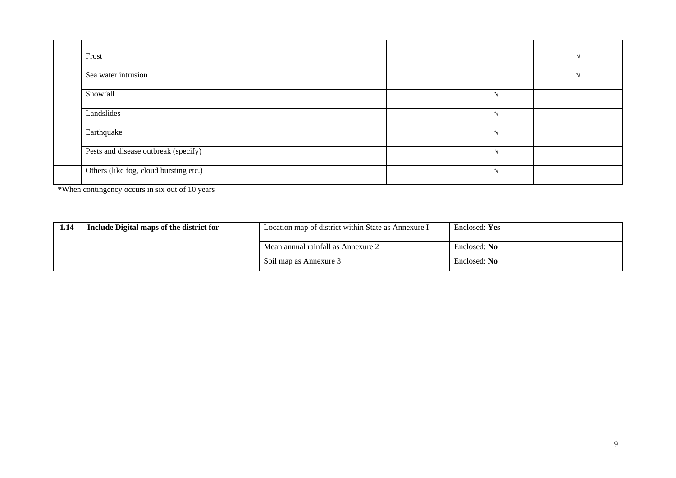| Frost                                  |  |  |
|----------------------------------------|--|--|
| Sea water intrusion                    |  |  |
| Snowfall                               |  |  |
| Landslides                             |  |  |
| Earthquake                             |  |  |
| Pests and disease outbreak (specify)   |  |  |
| Others (like fog, cloud bursting etc.) |  |  |

\*When contingency occurs in six out of 10 years

| 1.14 | Include Digital maps of the district for | Location map of district within State as Annexure I | Enclosed: Yes |
|------|------------------------------------------|-----------------------------------------------------|---------------|
|      |                                          | Mean annual rainfall as Annexure 2                  | Enclosed: No  |
|      |                                          | Soil map as Annexure 3                              | Enclosed: No  |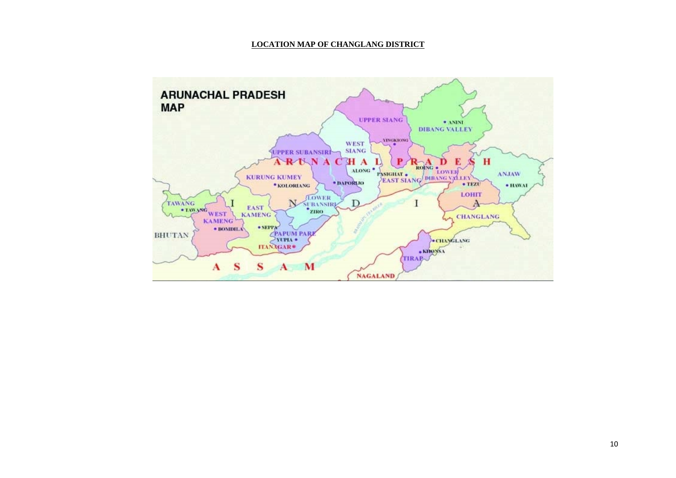#### **LOCATION MAP OF CHANGLANG DISTRICT**

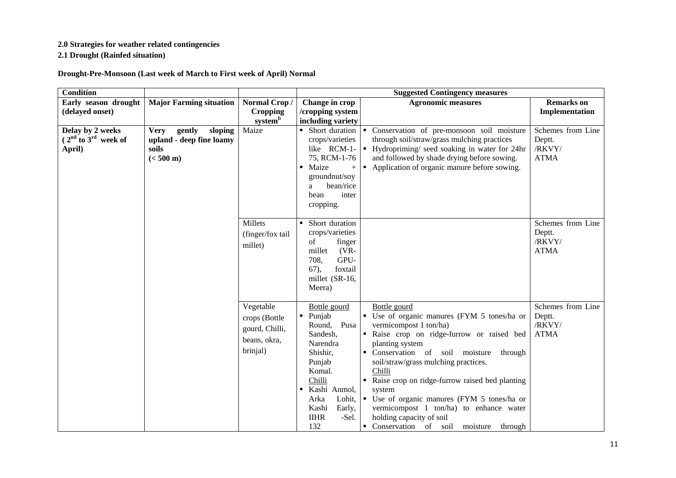#### **2.0 Strategies for weather related contingencies**

**2.1 Drought (Rainfed situation)**

**Drought-Pre-Monsoon (Last week of March to First week of April) Normal**

| <b>Condition</b>                                     |                                                                                              |                                                                          |                                                                                                                                                                                                                                 | <b>Suggested Contingency measures</b>                                                                                                                                                                                                                                                                                                                                                                                                                                                   |                                                      |
|------------------------------------------------------|----------------------------------------------------------------------------------------------|--------------------------------------------------------------------------|---------------------------------------------------------------------------------------------------------------------------------------------------------------------------------------------------------------------------------|-----------------------------------------------------------------------------------------------------------------------------------------------------------------------------------------------------------------------------------------------------------------------------------------------------------------------------------------------------------------------------------------------------------------------------------------------------------------------------------------|------------------------------------------------------|
| Early season drought                                 | <b>Major Farming situation</b>                                                               | Normal Crop/                                                             | Change in crop                                                                                                                                                                                                                  | <b>Agronomic measures</b>                                                                                                                                                                                                                                                                                                                                                                                                                                                               | <b>Remarks</b> on                                    |
| (delayed onset)                                      |                                                                                              | <b>Cropping</b>                                                          | /cropping system                                                                                                                                                                                                                |                                                                                                                                                                                                                                                                                                                                                                                                                                                                                         | Implementation                                       |
|                                                      |                                                                                              | system <sup>b</sup>                                                      | including variety                                                                                                                                                                                                               |                                                                                                                                                                                                                                                                                                                                                                                                                                                                                         |                                                      |
| Delay by 2 weeks<br>$2nd$ to $3rd$ week of<br>April) | gently<br>sloping<br><b>Very</b><br>upland - deep fine loamy<br>soils<br>$(< 500 \text{ m})$ | Maize                                                                    | • Short duration<br>crops/varieties<br>like $RCM-1-$<br>75, RCM-1-76<br>• Maize<br>$+$<br>groundnut/soy<br>bean/rice<br>a<br>inter<br>bean<br>cropping.                                                                         | • Conservation of pre-monsoon soil moisture<br>through soil/straw/grass mulching practices<br>• Hydropriming/ seed soaking in water for 24hr<br>and followed by shade drying before sowing.<br>• Application of organic manure before sowing.                                                                                                                                                                                                                                           | Schemes from Line<br>Deptt.<br>/RKVY/<br><b>ATMA</b> |
|                                                      |                                                                                              | Millets<br>(finger/fox tail<br>millet)                                   | Short duration<br>crops/varieties<br>of<br>finger<br>millet<br>$(VR-$<br>708,<br>GPU-<br>foxtail<br>67,<br>millet (SR-16,<br>Meera)                                                                                             |                                                                                                                                                                                                                                                                                                                                                                                                                                                                                         | Schemes from Line<br>Deptt.<br>/RKVY/<br><b>ATMA</b> |
|                                                      |                                                                                              | Vegetable<br>crops (Bottle<br>gourd, Chilli,<br>beans, okra,<br>brinjal) | Bottle gourd<br>Punjab<br>$\blacksquare$<br>Round, Pusa<br>Sandesh,<br>Narendra<br>Shishir,<br>Punjab<br>Komal.<br>Chilli<br>Kashi Anmol,<br>$\blacksquare$<br>Lohit,<br>Arka<br>Kashi<br>Early,<br><b>IIHR</b><br>-Sel.<br>132 | Bottle gourd<br>• Use of organic manures (FYM 5 tones/ha or<br>vermicompost 1 ton/ha)<br>Raise crop on ridge-furrow or raised bed<br>planting system<br>• Conservation of soil moisture<br>through<br>soil/straw/grass mulching practices.<br>Chilli<br>• Raise crop on ridge-furrow raised bed planting<br>system<br>• Use of organic manures (FYM 5 tones/ha or<br>vermicompost 1 ton/ha) to enhance water<br>holding capacity of soil<br>Conservation of soil<br>moisture<br>through | Schemes from Line<br>Deptt.<br>/RKVY/<br><b>ATMA</b> |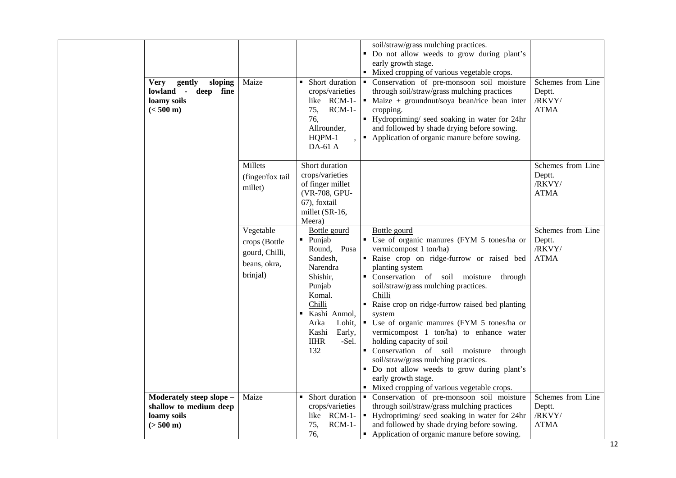| gently<br>sloping<br><b>Very</b><br>lowland - deep fine<br>loamy soils<br>$(< 500 \text{ m})$ | Maize                                                                    | • Short duration<br>crops/varieties<br>like RCM-1-<br>$RCM-1-$<br>75,<br>76,<br>Allrounder,<br>HQPM-1<br>DA-61 A                                                                                              | soil/straw/grass mulching practices.<br>Do not allow weeds to grow during plant's<br>early growth stage.<br>• Mixed cropping of various vegetable crops.<br>• Conservation of pre-monsoon soil moisture<br>through soil/straw/grass mulching practices<br>• Maize + ground nut/soya bean/rice bean inter<br>cropping.<br>Hydropriming/ seed soaking in water for 24hr<br>and followed by shade drying before sowing.<br>• Application of organic manure before sowing.                                                                                                                                                                           | Schemes from Line<br>Deptt.<br>/RKVY/<br><b>ATMA</b> |
|-----------------------------------------------------------------------------------------------|--------------------------------------------------------------------------|---------------------------------------------------------------------------------------------------------------------------------------------------------------------------------------------------------------|--------------------------------------------------------------------------------------------------------------------------------------------------------------------------------------------------------------------------------------------------------------------------------------------------------------------------------------------------------------------------------------------------------------------------------------------------------------------------------------------------------------------------------------------------------------------------------------------------------------------------------------------------|------------------------------------------------------|
|                                                                                               | Millets<br>(finger/fox tail<br>millet)                                   | Short duration<br>crops/varieties<br>of finger millet<br>(VR-708, GPU-<br>67), foxtail<br>millet (SR-16,<br>Meera)                                                                                            |                                                                                                                                                                                                                                                                                                                                                                                                                                                                                                                                                                                                                                                  | Schemes from Line<br>Deptt.<br>/RKVY/<br><b>ATMA</b> |
|                                                                                               | Vegetable<br>crops (Bottle<br>gourd, Chilli,<br>beans, okra,<br>brinjal) | Bottle gourd<br>$\blacksquare$ Punjab<br>Round,<br>Pusa<br>Sandesh,<br>Narendra<br>Shishir,<br>Punjab<br>Komal.<br>Chilli<br>Kashi Anmol,<br>Arka<br>Lohit,<br>Kashi<br>Early,<br><b>IIHR</b><br>-Sel.<br>132 | Bottle gourd<br>• Use of organic manures (FYM 5 tones/ha or<br>vermicompost 1 ton/ha)<br>" Raise crop on ridge-furrow or raised bed<br>planting system<br>Conservation of soil moisture<br>through<br>soil/straw/grass mulching practices.<br>Chilli<br>Raise crop on ridge-furrow raised bed planting<br>system<br>· Use of organic manures (FYM 5 tones/ha or<br>vermicompost 1 ton/ha) to enhance water<br>holding capacity of soil<br>Conservation of soil moisture<br>through<br>soil/straw/grass mulching practices.<br>• Do not allow weeds to grow during plant's<br>early growth stage.<br>• Mixed cropping of various vegetable crops. | Schemes from Line<br>Deptt.<br>/RKVY/<br><b>ATMA</b> |
| Moderately steep slope -<br>shallow to medium deep<br>loamy soils                             | Maize                                                                    | • Short duration<br>crops/varieties<br>like RCM-1-                                                                                                                                                            | Conservation of pre-monsoon soil moisture<br>through soil/straw/grass mulching practices<br>• Hydropriming/ seed soaking in water for 24hr                                                                                                                                                                                                                                                                                                                                                                                                                                                                                                       | Schemes from Line<br>Deptt.<br>/RKVY/                |
| $(> 500 \text{ m})$                                                                           |                                                                          | $RCM-1-$<br>75,<br>76,                                                                                                                                                                                        | and followed by shade drying before sowing.<br>• Application of organic manure before sowing.                                                                                                                                                                                                                                                                                                                                                                                                                                                                                                                                                    | <b>ATMA</b>                                          |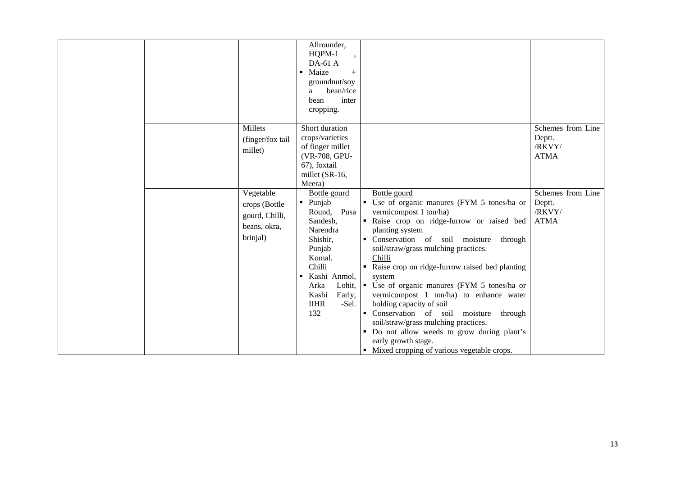|  |                                                             | Allrounder,<br>HQPM-1<br>DA-61 A<br>Maize<br>$\blacksquare$<br>$+$<br>groundnut/soy<br>bean/rice<br>a<br>inter<br>bean<br>cropping.                                       |                                                                                                                                                                                                                                                                                                                                                                                                                                                                                                                  |                                                                                     |
|--|-------------------------------------------------------------|---------------------------------------------------------------------------------------------------------------------------------------------------------------------------|------------------------------------------------------------------------------------------------------------------------------------------------------------------------------------------------------------------------------------------------------------------------------------------------------------------------------------------------------------------------------------------------------------------------------------------------------------------------------------------------------------------|-------------------------------------------------------------------------------------|
|  | <b>Millets</b><br>(finger/fox tail<br>millet)<br>Vegetable  | Short duration<br>crops/varieties<br>of finger millet<br>(VR-708, GPU-<br>67), foxtail<br>millet (SR-16,<br>Meera)<br>Bottle gourd<br>Punjab<br>$\blacksquare$            | Bottle gourd<br>• Use of organic manures (FYM 5 tones/ha or                                                                                                                                                                                                                                                                                                                                                                                                                                                      | Schemes from Line<br>Deptt.<br>/RKVY/<br><b>ATMA</b><br>Schemes from Line<br>Deptt. |
|  | crops (Bottle<br>gourd, Chilli,<br>beans, okra,<br>brinjal) | Pusa<br>Round,<br>Sandesh,<br>Narendra<br>Shishir,<br>Punjab<br>Komal.<br>Chilli<br>Kashi Anmol,<br>٠<br>Arka<br>Lohit,<br>Kashi<br>Early,<br><b>IIHR</b><br>-Sel.<br>132 | vermicompost 1 ton/ha)<br>" Raise crop on ridge-furrow or raised bed<br>planting system<br>• Conservation of soil moisture<br>through<br>soil/straw/grass mulching practices.<br>Chilli<br>• Raise crop on ridge-furrow raised bed planting<br>system<br>• Use of organic manures (FYM 5 tones/ha or<br>vermicompost 1 ton/ha) to enhance water<br>holding capacity of soil<br>• Conservation of soil moisture<br>through<br>soil/straw/grass mulching practices.<br>• Do not allow weeds to grow during plant's | /RKVY/<br><b>ATMA</b>                                                               |
|  |                                                             |                                                                                                                                                                           | early growth stage.<br>• Mixed cropping of various vegetable crops.                                                                                                                                                                                                                                                                                                                                                                                                                                              |                                                                                     |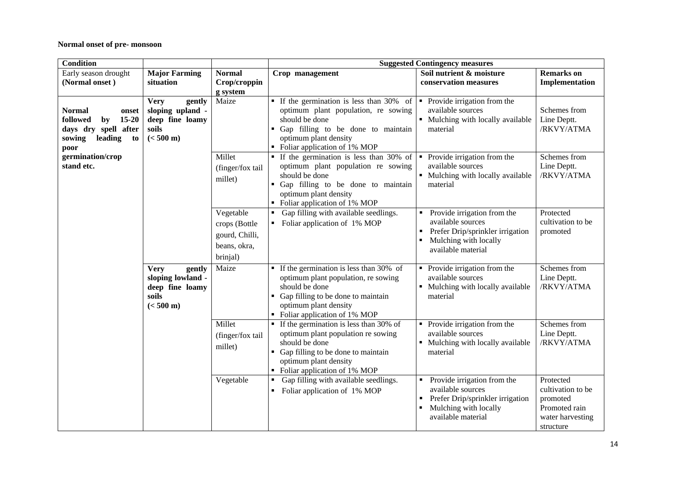#### **Normal onset of pre- monsoon**

| <b>Condition</b>                                                                                               |                                                                                               |                                                                          | <b>Suggested Contingency measures</b>                                                                                                                                                                                                      |                                                                                                                                          |                                                                                              |  |  |
|----------------------------------------------------------------------------------------------------------------|-----------------------------------------------------------------------------------------------|--------------------------------------------------------------------------|--------------------------------------------------------------------------------------------------------------------------------------------------------------------------------------------------------------------------------------------|------------------------------------------------------------------------------------------------------------------------------------------|----------------------------------------------------------------------------------------------|--|--|
| Early season drought                                                                                           | <b>Major Farming</b>                                                                          | <b>Normal</b>                                                            | Crop management                                                                                                                                                                                                                            | Soil nutrient & moisture                                                                                                                 | <b>Remarks</b> on                                                                            |  |  |
| (Normal onset)                                                                                                 | situation                                                                                     | Crop/croppin                                                             |                                                                                                                                                                                                                                            | conservation measures                                                                                                                    | Implementation                                                                               |  |  |
|                                                                                                                |                                                                                               | g system                                                                 |                                                                                                                                                                                                                                            |                                                                                                                                          |                                                                                              |  |  |
| <b>Normal</b><br>onset<br>followed<br>$15-20$<br>by<br>days dry spell after<br>sowing<br>leading<br>to<br>poor | gently<br><b>Very</b><br>sloping upland -<br>deep fine loamy<br>soils<br>$(< 500 \text{ m})$  | Maize                                                                    | ■ If the germination is less than 30% of $\vert$ ■ Provide irrigation from the<br>optimum plant population, re sowing<br>should be done<br>• Gap filling to be done to maintain<br>optimum plant density<br>• Foliar application of 1% MOP | available sources<br>• Mulching with locally available<br>material                                                                       | Schemes from<br>Line Deptt.<br>/RKVY/ATMA                                                    |  |  |
| germination/crop<br>stand etc.                                                                                 |                                                                                               | Millet<br>(finger/fox tail<br>millet)                                    | • If the germination is less than 30% of<br>optimum plant population re sowing<br>should be done<br>• Gap filling to be done to maintain<br>optimum plant density<br>• Foliar application of 1% MOP                                        | Provide irrigation from the<br>$\blacksquare$<br>available sources<br>• Mulching with locally available<br>material                      | Schemes from<br>Line Deptt.<br>/RKVY/ATMA                                                    |  |  |
|                                                                                                                |                                                                                               | Vegetable<br>crops (Bottle<br>gourd, Chilli,<br>beans, okra,<br>brinjal) | Gap filling with available seedlings.<br>Foliar application of 1% MOP                                                                                                                                                                      | Provide irrigation from the<br>available sources<br>Prefer Drip/sprinkler irrigation<br>Mulching with locally<br>available material      | Protected<br>cultivation to be<br>promoted                                                   |  |  |
|                                                                                                                | <b>Very</b><br>gently<br>sloping lowland -<br>deep fine loamy<br>soils<br>$(< 500 \text{ m})$ | Maize                                                                    | $\blacksquare$ If the germination is less than 30% of<br>optimum plant population, re sowing<br>should be done<br>Gap filling to be done to maintain<br>$\blacksquare$<br>optimum plant density<br>• Foliar application of 1% MOP          | • Provide irrigation from the<br>available sources<br>• Mulching with locally available<br>material                                      | Schemes from<br>Line Deptt.<br>/RKVY/ATMA                                                    |  |  |
|                                                                                                                |                                                                                               | Millet<br>(finger/fox tail<br>millet)                                    | $\blacksquare$ If the germination is less than 30% of<br>optimum plant population re sowing<br>should be done<br>Gap filling to be done to maintain<br>optimum plant density<br>• Foliar application of 1% MOP                             | Provide irrigation from the<br>$\blacksquare$<br>available sources<br>• Mulching with locally available<br>material                      | Schemes from<br>Line Deptt.<br>/RKVY/ATMA                                                    |  |  |
|                                                                                                                |                                                                                               | Vegetable                                                                | Gap filling with available seedlings.<br>Foliar application of 1% MOP                                                                                                                                                                      | Provide irrigation from the<br>available sources<br>Prefer Drip/sprinkler irrigation<br>٠<br>Mulching with locally<br>available material | Protected<br>cultivation to be<br>promoted<br>Promoted rain<br>water harvesting<br>structure |  |  |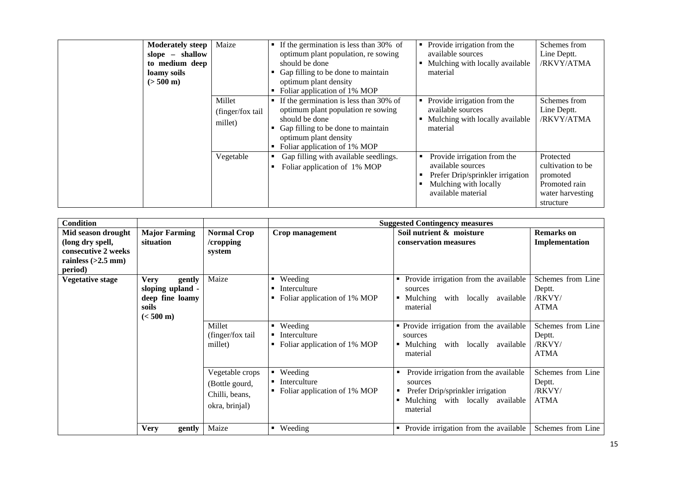| <b>Moderately steep</b><br>shallow<br>slope $-$<br>to medium deep<br>loamy soils<br>$(> 500 \text{ m})$ | Maize                                 | If the germination is less than 30% of<br>optimum plant population, re sowing<br>should be done<br>Gap filling to be done to maintain<br>optimum plant density<br>Foliar application of 1% MOP<br>٠               | Provide irrigation from the<br>п<br>available sources<br>Mulching with locally available<br>material                                | Schemes from<br>Line Deptt.<br>/RKVY/ATMA                                                    |
|---------------------------------------------------------------------------------------------------------|---------------------------------------|-------------------------------------------------------------------------------------------------------------------------------------------------------------------------------------------------------------------|-------------------------------------------------------------------------------------------------------------------------------------|----------------------------------------------------------------------------------------------|
|                                                                                                         | Millet<br>(finger/fox tail<br>millet) | $\blacksquare$ If the germination is less than 30% of<br>optimum plant population re sowing<br>should be done<br>Gap filling to be done to maintain<br>optimum plant density<br>Foliar application of 1% MOP<br>٠ | Provide irrigation from the<br>available sources<br>Mulching with locally available<br>material                                     | Schemes from<br>Line Deptt.<br>/RKVY/ATMA                                                    |
|                                                                                                         | Vegetable                             | Gap filling with available seedlings.<br>Foliar application of 1% MOP                                                                                                                                             | Provide irrigation from the<br>available sources<br>Prefer Drip/sprinkler irrigation<br>Mulching with locally<br>available material | Protected<br>cultivation to be<br>promoted<br>Promoted rain<br>water harvesting<br>structure |

| <b>Condition</b>                                                                                 |                                                                                              |                                                                       |                                                         | <b>Suggested Contingency measures</b>                                                                                               |                                                      |
|--------------------------------------------------------------------------------------------------|----------------------------------------------------------------------------------------------|-----------------------------------------------------------------------|---------------------------------------------------------|-------------------------------------------------------------------------------------------------------------------------------------|------------------------------------------------------|
| Mid season drought<br>(long dry spell,<br>consecutive 2 weeks<br>rainless $(>2.5$ mm)<br>period) | <b>Major Farming</b><br>situation                                                            | <b>Normal Crop</b><br>/cropping<br>system                             | Crop management                                         | Soil nutrient & moisture<br>conservation measures                                                                                   | <b>Remarks</b> on<br>Implementation                  |
| <b>Vegetative stage</b>                                                                          | <b>Very</b><br>gently<br>sloping upland -<br>deep fine loamy<br>soils<br>$(< 500 \text{ m})$ | Maize                                                                 | Weeding<br>Interculture<br>Foliar application of 1% MOP | Provide irrigation from the available<br>sources<br>Mulching<br>with locally<br>available<br>material                               | Schemes from Line<br>Deptt.<br>/RKVY/<br><b>ATMA</b> |
|                                                                                                  |                                                                                              | Millet<br>(finger/fox tail<br>millet)                                 | Weeding<br>Interculture<br>Foliar application of 1% MOP | • Provide irrigation from the available<br>sources<br>Mulching<br>with locally<br>available<br>material                             | Schemes from Line<br>Deptt.<br>/RKVY/<br><b>ATMA</b> |
|                                                                                                  |                                                                                              | Vegetable crops<br>(Bottle gourd,<br>Chilli, beans,<br>okra, brinjal) | Weeding<br>Interculture<br>Foliar application of 1% MOP | Provide irrigation from the available<br>sources<br>Prefer Drip/sprinkler irrigation<br>Mulching with locally available<br>material | Schemes from Line<br>Deptt.<br>/RKVY/<br><b>ATMA</b> |
|                                                                                                  | <b>Very</b><br>gently                                                                        | Maize                                                                 | $\blacksquare$ Weeding                                  | • Provide irrigation from the available                                                                                             | Schemes from Line                                    |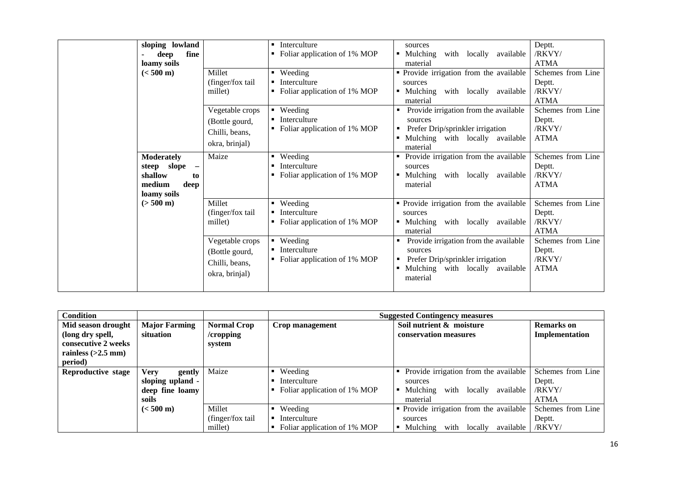| sloping lowland<br>fine<br>deep<br>loamy soils<br>$(< 500 \text{ m})$                                          | Millet<br>(finger/fox tail<br>millet)                                 | Interculture<br>٠<br>Foliar application of 1% MOP<br>• Weeding<br>Interculture<br>Foliar application of 1% MOP | sources<br>with locally<br>• Mulching<br>available<br>material<br>• Provide irrigation from the available<br>sources<br>$\blacksquare$ Mulching<br>with locally available | Deptt.<br>/RKVY/<br><b>ATMA</b><br>Schemes from Line<br>Deptt.<br>/RKVY/<br><b>ATMA</b> |
|----------------------------------------------------------------------------------------------------------------|-----------------------------------------------------------------------|----------------------------------------------------------------------------------------------------------------|---------------------------------------------------------------------------------------------------------------------------------------------------------------------------|-----------------------------------------------------------------------------------------|
|                                                                                                                | Vegetable crops<br>(Bottle gourd,<br>Chilli, beans,<br>okra, brinjal) | • Weeding<br>$\blacksquare$ Interculture<br>• Foliar application of 1% MOP                                     | material<br>Provide irrigation from the available<br>sources<br>Prefer Drip/sprinkler irrigation<br>п.<br>Mulching with locally available<br>material                     | Schemes from Line<br>Deptt.<br>/RKVY/<br><b>ATMA</b>                                    |
| <b>Moderately</b><br>steep slope<br>$\overline{\phantom{m}}$<br>shallow<br>to<br>medium<br>deep<br>loamy soils | Maize                                                                 | • Weeding<br>Interculture<br>٠<br>Foliar application of 1% MOP                                                 | Provide irrigation from the available<br>sources<br>Mulching<br>with<br>locally<br>$\blacksquare$<br>available<br>material                                                | Schemes from Line<br>Deptt.<br>/RKVY/<br><b>ATMA</b>                                    |
| $(> 500 \text{ m})$                                                                                            | Millet<br>(finger/fox tail)<br>millet)                                | • Weeding<br>Interculture<br>• Foliar application of 1% MOP                                                    | • Provide irrigation from the available<br>sources<br>with locally<br>$\blacksquare$ Mulching<br>available<br>material                                                    | Schemes from Line<br>Deptt.<br>/RKVY/<br><b>ATMA</b>                                    |
|                                                                                                                | Vegetable crops<br>(Bottle gourd,<br>Chilli, beans,<br>okra, brinjal) | $\blacksquare$ Weeding<br>Interculture<br>• Foliar application of 1% MOP                                       | Provide irrigation from the available<br>sources<br>Prefer Drip/sprinkler irrigation<br>٠<br>Mulching with locally available<br>٠<br>material                             | Schemes from Line<br>Deptt.<br>/RKVY/<br><b>ATMA</b>                                    |

| Condition            |                      |                    | <b>Suggested Contingency measures</b> |                                                         |                   |  |  |
|----------------------|----------------------|--------------------|---------------------------------------|---------------------------------------------------------|-------------------|--|--|
| Mid season drought   | <b>Major Farming</b> | <b>Normal Crop</b> | Crop management                       | Soil nutrient & moisture                                | <b>Remarks</b> on |  |  |
| (long dry spell,     | situation            | /cropping          |                                       | conservation measures                                   | Implementation    |  |  |
| consecutive 2 weeks  |                      | system             |                                       |                                                         |                   |  |  |
| rainless $(>2.5$ mm) |                      |                    |                                       |                                                         |                   |  |  |
| period)              |                      |                    |                                       |                                                         |                   |  |  |
| Reproductive stage   | Verv<br>gently       | Maize              | Weeding                               | Provide irrigation from the available<br>٠              | Schemes from Line |  |  |
|                      | sloping upland -     |                    | Interculture                          | sources                                                 | Deptt.            |  |  |
|                      | deep fine loamy      |                    | Foliar application of 1% MOP          | Mulching<br>with<br>locally<br>available                | /RKVY/            |  |  |
|                      | soils                |                    |                                       | material                                                | <b>ATMA</b>       |  |  |
|                      | $(< 500 \text{ m})$  | Millet             | Weeding                               | • Provide irrigation from the available                 | Schemes from Line |  |  |
|                      |                      | (finger/fox tail)  | Interculture                          | sources                                                 | Deptt.            |  |  |
|                      |                      | millet)            | Foliar application of 1% MOP          | with<br>$\blacksquare$ Mulching<br>available<br>locally | /RKVY/            |  |  |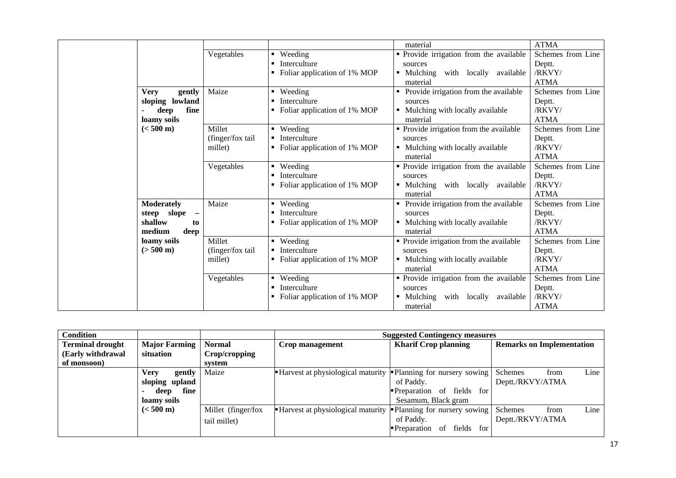|                                         |                  |                                | material                                   | <b>ATMA</b>       |
|-----------------------------------------|------------------|--------------------------------|--------------------------------------------|-------------------|
|                                         | Vegetables       | • Weeding                      | • Provide irrigation from the available    | Schemes from Line |
|                                         |                  | Interculture                   | sources                                    | Deptt.            |
|                                         |                  | Foliar application of 1% MOP   | • Mulching<br>with locally<br>available    | /RKVY/            |
|                                         |                  |                                | material                                   | <b>ATMA</b>       |
| <b>Very</b><br>gently                   | Maize            | • Weeding                      | Provide irrigation from the available      | Schemes from Line |
| sloping lowland                         |                  | Interculture                   | sources                                    | Deptt.            |
| fine<br>deep                            |                  | Foliar application of 1% MOP   | Mulching with locally available            | /RKVY/            |
| loamy soils                             |                  |                                | material                                   | <b>ATMA</b>       |
| $(< 500 \text{ m})$                     | Millet           | • Weeding                      | • Provide irrigation from the available    | Schemes from Line |
|                                         | (finger/fox tail | Interculture                   | sources                                    | Deptt.            |
|                                         | millet)          | Foliar application of 1% MOP   | • Mulching with locally available          | /RKVY/            |
|                                         |                  |                                | material                                   | <b>ATMA</b>       |
|                                         | Vegetables       | • Weeding                      | · Provide irrigation from the available    | Schemes from Line |
|                                         |                  | Interculture                   | sources                                    | Deptt.            |
|                                         |                  | Foliar application of 1% MOP   | Mulching<br>with locally available         | /RKVY/            |
|                                         |                  |                                | material                                   | <b>ATMA</b>       |
| <b>Moderately</b>                       | Maize            | • Weeding                      | Provide irrigation from the available      | Schemes from Line |
| steep slope<br>$\overline{\phantom{m}}$ |                  | Interculture                   | sources                                    | Deptt.            |
| shallow<br>to                           |                  | Foliar application of 1% MOP   | • Mulching with locally available          | /RKVY/            |
| medium<br>deep                          |                  |                                | material                                   | <b>ATMA</b>       |
| loamy soils                             | Millet           | • Weeding                      | • Provide irrigation from the available    | Schemes from Line |
| $(> 500 \text{ m})$                     | (finger/fox tail | Interculture                   | sources                                    | Deptt.            |
|                                         | millet)          | Foliar application of 1% MOP   | Mulching with locally available            | /RKVY/            |
|                                         |                  |                                | material                                   | <b>ATMA</b>       |
|                                         | Vegetables       | Weeding                        | • Provide irrigation from the available    | Schemes from Line |
|                                         |                  | Interculture                   | sources                                    | Deptt.            |
|                                         |                  | • Foliar application of 1% MOP | • Mulching<br>with<br>locally<br>available | /RKVY/            |
|                                         |                  |                                | material                                   | <b>ATMA</b>       |

| <b>Condition</b>        |                       |                    | <b>Suggested Contingency measures</b>                                 |                                  |                                  |  |
|-------------------------|-----------------------|--------------------|-----------------------------------------------------------------------|----------------------------------|----------------------------------|--|
| <b>Terminal drought</b> | <b>Major Farming</b>  | <b>Normal</b>      | Crop management                                                       | <b>Kharif Crop planning</b>      | <b>Remarks on Implementation</b> |  |
| (Early withdrawal       | situation             | Crop/cropping      |                                                                       |                                  |                                  |  |
| of monsoon)             |                       | system             |                                                                       |                                  |                                  |  |
|                         | gently<br><b>Very</b> | Maize              | ■ Harvest at physiological maturity ■ Planning for nursery sowing     |                                  | Line<br>Schemes<br>from          |  |
|                         | sloping upland        |                    |                                                                       | of Paddy.                        | Deptt./RKVY/ATMA                 |  |
|                         | fine<br>deep          |                    |                                                                       | Preparation of fields for        |                                  |  |
|                         | loamy soils           |                    |                                                                       | Sesamum, Black gram              |                                  |  |
|                         | $(< 500 \text{ m})$   | Millet (finger/fox | <b>Harvest at physiological maturity </b> Planning for nursery sowing |                                  | Line<br>Schemes<br>from          |  |
|                         |                       | tail millet)       |                                                                       | of Paddy.                        | Deptt./RKVY/ATMA                 |  |
|                         |                       |                    |                                                                       | <b>Preparation</b> of fields for |                                  |  |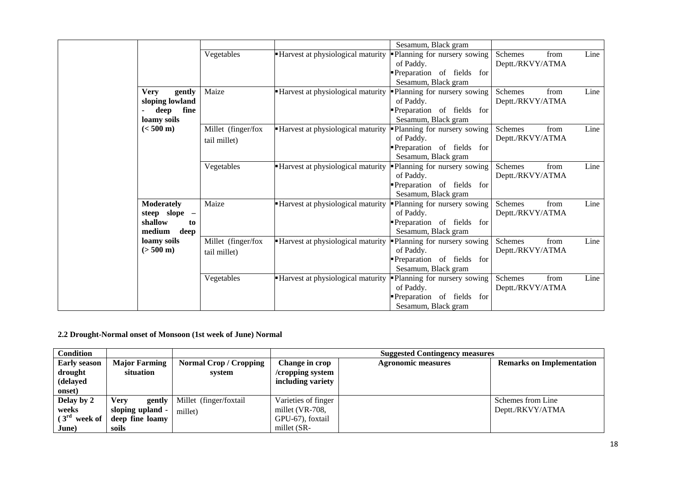|                                                                         |                                    |                                          | Sesamum, Black gram                                                                          |                                            |      |
|-------------------------------------------------------------------------|------------------------------------|------------------------------------------|----------------------------------------------------------------------------------------------|--------------------------------------------|------|
|                                                                         | Vegetables                         | <b>Harvest at physiological maturity</b> | Planning for nursery sowing<br>of Paddy.<br>Preparation of fields for                        | Schemes<br>from<br>Deptt./RKVY/ATMA        | Line |
|                                                                         |                                    |                                          | Sesamum, Black gram                                                                          |                                            |      |
| <b>Very</b><br>gently<br>sloping lowland<br>deep<br>fine<br>loamy soils | Maize                              | - Harvest at physiological maturity      | Planning for nursery sowing<br>of Paddy.<br>Preparation of fields for<br>Sesamum, Black gram | <b>Schemes</b><br>from<br>Deptt./RKVY/ATMA | Line |
| $(< 500 \text{ m})$                                                     | Millet (finger/fox<br>tail millet) | -Harvest at physiological maturity       | Planning for nursery sowing<br>of Paddy.<br>Preparation of fields for<br>Sesamum, Black gram | Schemes<br>from<br>Deptt./RKVY/ATMA        | Line |
|                                                                         | Vegetables                         | -Harvest at physiological maturity       | Planning for nursery sowing<br>of Paddy.<br>Preparation of fields for<br>Sesamum, Black gram | Schemes<br>from<br>Deptt./RKVY/ATMA        | Line |
| <b>Moderately</b><br>steep slope -<br>shallow<br>to<br>medium<br>deep   | Maize                              | -Harvest at physiological maturity       | Planning for nursery sowing<br>of Paddy.<br>Preparation of fields for<br>Sesamum, Black gram | <b>Schemes</b><br>from<br>Deptt./RKVY/ATMA | Line |
| loamy soils<br>$(> 500 \text{ m})$                                      | Millet (finger/fox<br>tail millet) | • Harvest at physiological maturity      | Planning for nursery sowing<br>of Paddy.<br>Preparation of fields for<br>Sesamum, Black gram | from<br><b>Schemes</b><br>Deptt./RKVY/ATMA | Line |
|                                                                         | Vegetables                         | - Harvest at physiological maturity      | Planning for nursery sowing<br>of Paddy.<br>Preparation of fields for<br>Sesamum, Black gram | Schemes<br>from<br>Deptt./RKVY/ATMA        | Line |

**2.2 Drought-Normal onset of Monsoon (1st week of June) Normal**

| <b>Condition</b>        |                       |                             | <b>Suggested Contingency measures</b> |                           |                                  |  |  |
|-------------------------|-----------------------|-----------------------------|---------------------------------------|---------------------------|----------------------------------|--|--|
| <b>Early season</b>     | <b>Major Farming</b>  | <b>Normal Crop/Cropping</b> | Change in crop                        | <b>Agronomic measures</b> | <b>Remarks on Implementation</b> |  |  |
| drought                 | situation             | system                      | /cropping system                      |                           |                                  |  |  |
| (delayed                |                       |                             | including variety                     |                           |                                  |  |  |
| onset)                  |                       |                             |                                       |                           |                                  |  |  |
| Delay by 2              | <b>Verv</b><br>gently | Millet (finger/foxtail      | Varieties of finger                   |                           | Schemes from Line                |  |  |
| weeks                   | sloping upland -      | millet)                     | millet (VR-708,                       |                           | Deptt./RKVY/ATMA                 |  |  |
| $(3^{rd})$<br>week of 1 | deep fine loamy       |                             | GPU-67), foxtail                      |                           |                                  |  |  |
| June)                   | soils                 |                             | millet (SR-                           |                           |                                  |  |  |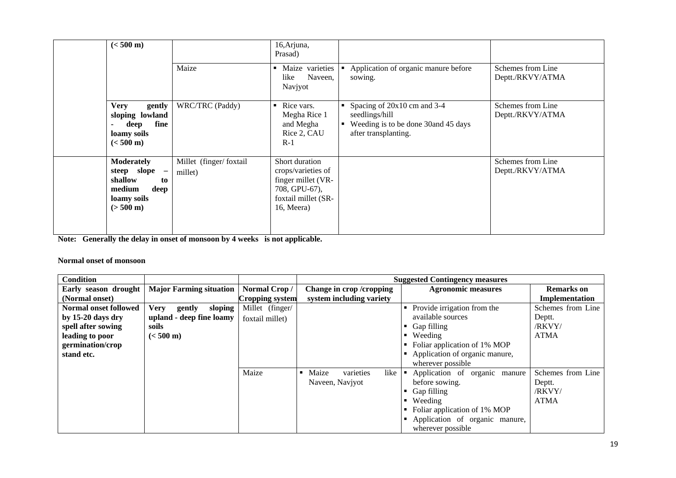| $(< 500 \text{ m})$                                                                                         |                                   | 16, Arjuna,<br>Prasad)                                                                                           |                                                                                                                                |                                       |
|-------------------------------------------------------------------------------------------------------------|-----------------------------------|------------------------------------------------------------------------------------------------------------------|--------------------------------------------------------------------------------------------------------------------------------|---------------------------------------|
|                                                                                                             | Maize                             | Maize varieties<br>$\blacksquare$<br>Naveen,<br>like<br>Navjyot                                                  | Application of organic manure before<br>sowing.                                                                                | Schemes from Line<br>Deptt./RKVY/ATMA |
| <b>Very</b><br>gently<br>sloping lowland<br>fine<br>deep<br>loamy soils<br>$(< 500 \text{ m})$              | WRC/TRC (Paddy)                   | Rice vars.<br>$\blacksquare$<br>Megha Rice 1<br>and Megha<br>Rice 2, CAU<br>$R-1$                                | Spacing of 20x10 cm and 3-4<br>seedlings/hill<br>Weeding is to be done 30and 45 days<br>$\blacksquare$<br>after transplanting. | Schemes from Line<br>Deptt./RKVY/ATMA |
| <b>Moderately</b><br>steep slope -<br>shallow<br>to<br>medium<br>deep<br>loamy soils<br>$(> 500 \text{ m})$ | Millet (finger/foxtail<br>millet) | Short duration<br>crops/varieties of<br>finger millet (VR-<br>708, GPU-67),<br>foxtail millet (SR-<br>16, Meera) |                                                                                                                                | Schemes from Line<br>Deptt./RKVY/ATMA |

**Note: Generally the delay in onset of monsoon by 4 weeks is not applicable.**

#### **Normal onset of monsoon**

| <b>Condition</b>             |                                |                 |                            | <b>Suggested Contingency measures</b> |                   |
|------------------------------|--------------------------------|-----------------|----------------------------|---------------------------------------|-------------------|
| Early season drought         | <b>Major Farming situation</b> | Normal Crop/    | Change in crop /cropping   | <b>Agronomic measures</b>             | <b>Remarks</b> on |
| (Normal onset)               |                                | Cropping system | system including variety   |                                       | Implementation    |
| <b>Normal onset followed</b> | sloping<br>Verv<br>gently      | Millet (finger/ |                            | Provide irrigation from the<br>٠      | Schemes from Line |
| by $15-20$ days dry          | upland - deep fine loamy       | foxtail millet) |                            | available sources                     | Deptt.            |
| spell after sowing           | soils                          |                 |                            | Gap filling                           | /RKVY/            |
| leading to poor              | $(< 500 \text{ m})$            |                 |                            | Weeding                               | <b>ATMA</b>       |
| germination/crop             |                                |                 |                            | Foliar application of 1% MOP          |                   |
| stand etc.                   |                                |                 |                            | Application of organic manure,        |                   |
|                              |                                |                 |                            | wherever possible                     |                   |
|                              |                                | Maize           | varieties<br>Maize<br>like | Application of organic<br>manure      | Schemes from Line |
|                              |                                |                 | Naveen, Navjyot            | before sowing.                        | Deptt.            |
|                              |                                |                 |                            | Gap filling                           | /RKVY/            |
|                              |                                |                 |                            | Weeding<br>٠                          | <b>ATMA</b>       |
|                              |                                |                 |                            | Foliar application of 1% MOP          |                   |
|                              |                                |                 |                            | Application of organic manure,        |                   |
|                              |                                |                 |                            | wherever possible.                    |                   |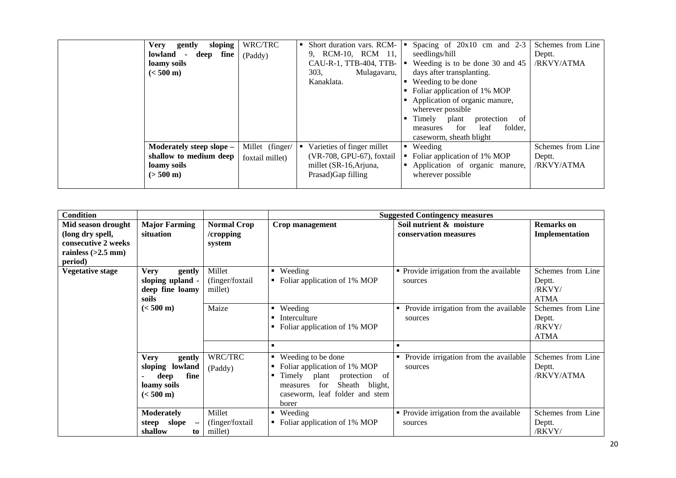| <b>Very</b><br>sloping<br>gently<br>fine<br>lowland<br>deep<br>$\overline{a}$<br>loamy soils<br>$(< 500 \text{ m})$ | WRC/TRC<br>(Paddy)                 | Short duration vars. RCM-  <br>9, RCM-10, RCM 11,<br>CAU-R-1, TTB-404, TTB- $ \bullet $<br>303,<br>Mulagavaru,<br>Kanaklata. | Spacing of $20x10$ cm and $2-3$<br>seedlings/hill<br>Weeding is to be done 30 and 45<br>days after transplanting.<br>Weeding to be done<br>$\blacksquare$<br>Foliar application of 1% MOP<br>п.<br>Application of organic manure,<br>$\blacksquare$<br>wherever possible<br>Timely<br>protection<br>plant<br>-of<br>٠<br>folder,<br>for<br>leaf<br>measures<br>caseworm, sheath blight | Schemes from Line<br>Deptt.<br>/RKVY/ATMA |
|---------------------------------------------------------------------------------------------------------------------|------------------------------------|------------------------------------------------------------------------------------------------------------------------------|----------------------------------------------------------------------------------------------------------------------------------------------------------------------------------------------------------------------------------------------------------------------------------------------------------------------------------------------------------------------------------------|-------------------------------------------|
| Moderately steep slope -<br>shallow to medium deep<br>loamy soils<br>$(> 500 \text{ m})$                            | Millet (finger/<br>foxtail millet) | Varieties of finger millet<br>(VR-708, GPU-67), foxtail<br>millet (SR-16, Arjuna,<br>Prasad) Gap filling                     | Weeding<br>п.<br>Foliar application of 1% MOP<br>Application of organic manure,<br>wherever possible                                                                                                                                                                                                                                                                                   | Schemes from Line<br>Deptt.<br>/RKVY/ATMA |

| <b>Condition</b>        |                                            |                    |                                                | <b>Suggested Contingency measures</b>      |                   |
|-------------------------|--------------------------------------------|--------------------|------------------------------------------------|--------------------------------------------|-------------------|
| Mid season drought      | <b>Major Farming</b>                       | <b>Normal Crop</b> | Crop management                                | Soil nutrient & moisture                   | <b>Remarks</b> on |
| (long dry spell,        | situation                                  | /cropping          |                                                | conservation measures                      | Implementation    |
| consecutive 2 weeks     |                                            | system             |                                                |                                            |                   |
| rainless $(>2.5$ mm)    |                                            |                    |                                                |                                            |                   |
| period)                 |                                            |                    |                                                |                                            |                   |
| <b>Vegetative stage</b> | <b>Very</b><br>gently                      | Millet             | Weeding                                        | • Provide irrigation from the available    | Schemes from Line |
|                         | sloping upland                             | (finger/foxtail    | Foliar application of 1% MOP<br>٠              | sources                                    | Deptt.            |
|                         | deep fine loamy                            | millet)            |                                                |                                            | /RKVY/            |
|                         | soils                                      |                    |                                                |                                            | <b>ATMA</b>       |
|                         | $(< 500 \text{ m})$                        | Maize              | Weeding<br>$\blacksquare$                      | Provide irrigation from the available<br>٠ | Schemes from Line |
|                         |                                            |                    | Interculture                                   | sources                                    | Deptt.            |
|                         |                                            |                    | Foliar application of 1% MOP                   |                                            | /RKVY/            |
|                         |                                            |                    |                                                |                                            | <b>ATMA</b>       |
|                         |                                            |                    | $\blacksquare$                                 | $\blacksquare$                             |                   |
|                         | <b>Very</b><br>gently                      | WRC/TRC            | Weeding to be done<br>$\blacksquare$           | Provide irrigation from the available<br>٠ | Schemes from Line |
|                         | sloping lowland                            | (Paddy)            | Foliar application of 1% MOP<br>$\blacksquare$ | sources                                    | Deptt.            |
|                         | fine<br>deep                               |                    | Timely plant protection of<br>٠                |                                            | /RKVY/ATMA        |
|                         | loamy soils                                |                    | for<br>Sheath<br>blight,<br>measures           |                                            |                   |
|                         | $(< 500 \text{ m})$                        |                    | caseworm, leaf folder and stem                 |                                            |                   |
|                         |                                            |                    | borer                                          |                                            |                   |
|                         | <b>Moderately</b>                          | Millet             | Weeding<br>٠                                   | • Provide irrigation from the available    | Schemes from Line |
|                         | slope<br>steep<br>$\overline{\phantom{m}}$ | (finger/foxtail    | Foliar application of 1% MOP                   | sources                                    | Deptt.            |
|                         | shallow<br>to                              | millet)            |                                                |                                            | /RKVY/            |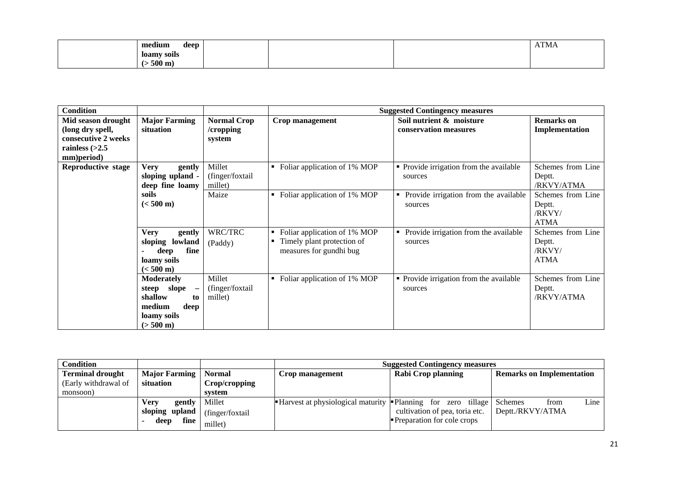| $ -$<br>medium<br>deep |  | <b>TIM</b><br>AIMA |
|------------------------|--|--------------------|
| loamy soils            |  |                    |
| $500 \text{ m}$ )      |  |                    |

| <b>Condition</b>                                                                                |                                                                                                                                          |                                           |                                                                                            | <b>Suggested Contingency measures</b>                 |                                                      |
|-------------------------------------------------------------------------------------------------|------------------------------------------------------------------------------------------------------------------------------------------|-------------------------------------------|--------------------------------------------------------------------------------------------|-------------------------------------------------------|------------------------------------------------------|
| Mid season drought<br>(long dry spell,<br>consecutive 2 weeks<br>rainless $(>2.5$<br>mm)period) | <b>Major Farming</b><br>situation                                                                                                        | <b>Normal Crop</b><br>/cropping<br>system | Crop management                                                                            | Soil nutrient & moisture<br>conservation measures     | <b>Remarks</b> on<br>Implementation                  |
| Reproductive stage                                                                              | <b>Very</b><br>gently<br>sloping upland -<br>deep fine loamy                                                                             | Millet<br>(finger/foxtail<br>millet)      | Foliar application of 1% MOP                                                               | • Provide irrigation from the available<br>sources    | Schemes from Line<br>Deptt.<br>/RKVY/ATMA            |
|                                                                                                 | soils<br>$(< 500 \text{ m})$                                                                                                             | Maize                                     | Foliar application of 1% MOP                                                               | Provide irrigation from the available<br>٠<br>sources | Schemes from Line<br>Deptt.<br>/RKVY/<br><b>ATMA</b> |
|                                                                                                 | <b>Very</b><br>gently<br>sloping lowland<br>fine<br>deep<br>loamy soils<br>$(< 500 \text{ m})$                                           | WRC/TRC<br>(Paddy)                        | Foliar application of 1% MOP<br>п<br>Timely plant protection of<br>measures for gundhi bug | Provide irrigation from the available<br>п<br>sources | Schemes from Line<br>Deptt.<br>/RKVY/<br><b>ATMA</b> |
|                                                                                                 | <b>Moderately</b><br>slope<br>steep<br>$\overline{\phantom{0}}$<br>shallow<br>to<br>medium<br>deep<br>loamy soils<br>$(> 500 \text{ m})$ | Millet<br>(finger/foxtail<br>millet)      | Foliar application of 1% MOP<br>٠                                                          | • Provide irrigation from the available<br>sources    | Schemes from Line<br>Deptt.<br>/RKVY/ATMA            |

| <b>Condition</b>        |                                    |               | <b>Suggested Contingency measures</b>                               |                                   |                                  |
|-------------------------|------------------------------------|---------------|---------------------------------------------------------------------|-----------------------------------|----------------------------------|
| <b>Terminal drought</b> | <b>Major Farming   Normal</b>      |               | Crop management                                                     | Rabi Crop planning                | <b>Remarks on Implementation</b> |
| (Early withdrawal of    | situation                          | Crop/cropping |                                                                     |                                   |                                  |
| monsoon)                |                                    | svstem        |                                                                     |                                   |                                  |
|                         | <b>gently</b> Millet<br>Verv       |               | <b>Harvest at physiological maturity </b> Planning for zero tillage |                                   | Line<br>Schemes<br>from          |
|                         | sloping upland $ $ (finger/foxtail |               |                                                                     | cultivation of pea, toria etc.    | Deptt./RKVY/ATMA                 |
|                         | fine<br>deep                       | millet)       |                                                                     | <b>Preparation for cole crops</b> |                                  |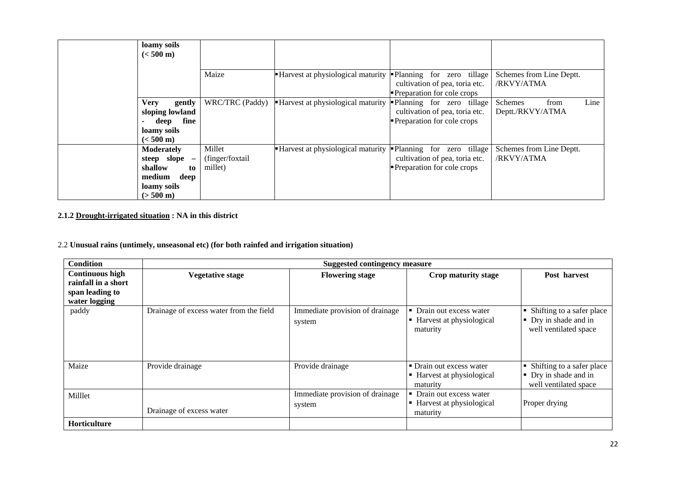| loamy soils<br>$(< 500 \text{ m})$                                                                                         |                                       |                                   |                                                                                                       |                                                    |
|----------------------------------------------------------------------------------------------------------------------------|---------------------------------------|-----------------------------------|-------------------------------------------------------------------------------------------------------|----------------------------------------------------|
|                                                                                                                            | Maize                                 | Harvest at physiological maturity | • Planning<br>for zero tillage<br>cultivation of pea, toria etc.<br><b>Preparation for cole crops</b> | Schemes from Line Deptt.<br>/RKVY/ATMA             |
| <b>Very</b><br>gently<br>sloping lowland<br>fine<br>deep<br>$\overline{\phantom{a}}$<br>loamy soils<br>$(< 500 \text{ m})$ | WRC/TRC (Paddy)                       | Harvest at physiological maturity | Planning for zero tillage<br>cultivation of pea, toria etc.<br>Preparation for cole crops             | Line<br>from<br><b>Schemes</b><br>Deptt./RKVY/ATMA |
| <b>Moderately</b><br>steep slope -<br>shallow<br>to<br>medium<br>deep<br>loamy soils<br>$(> 500 \text{ m})$                | Millet<br>(finger/foxtail)<br>millet) | Harvest at physiological maturity | Planning for zero tillage<br>cultivation of pea, toria etc.<br>Preparation for cole crops             | Schemes from Line Deptt.<br>/RKVY/ATMA             |

#### **2.1.2 Drought-irrigated situation : NA in this district**

2.2 **Unusual rains (untimely, unseasonal etc) (for both rainfed and irrigation situation)**

| <b>Condition</b>                              |                                         | <b>Suggested contingency measure</b>      |                                                                    |                                                                               |  |  |  |
|-----------------------------------------------|-----------------------------------------|-------------------------------------------|--------------------------------------------------------------------|-------------------------------------------------------------------------------|--|--|--|
| <b>Continuous high</b><br>rainfall in a short | <b>Vegetative stage</b>                 | <b>Flowering stage</b>                    | Crop maturity stage                                                | Post harvest                                                                  |  |  |  |
| span leading to<br>water logging              |                                         |                                           |                                                                    |                                                                               |  |  |  |
| paddy                                         | Drainage of excess water from the field | Immediate provision of drainage<br>system | • Drain out excess water<br>■ Harvest at physiological<br>maturity | • Shifting to a safer place<br>• Dry in shade and in<br>well ventilated space |  |  |  |
| Maize                                         | Provide drainage                        | Provide drainage                          | • Drain out excess water<br>■ Harvest at physiological<br>maturity | • Shifting to a safer place<br>• Dry in shade and in<br>well ventilated space |  |  |  |
| Milllet                                       | Drainage of excess water                | Immediate provision of drainage<br>system | • Drain out excess water<br>■ Harvest at physiological<br>maturity | Proper drying                                                                 |  |  |  |
| <b>Horticulture</b>                           |                                         |                                           |                                                                    |                                                                               |  |  |  |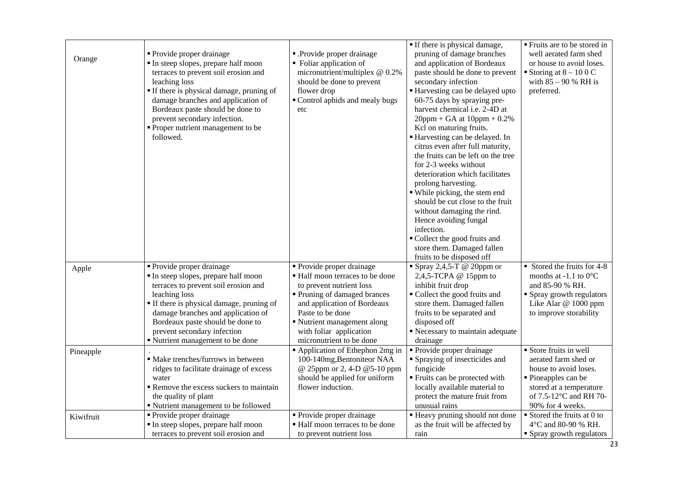|           |                                                                        |                                                             | If there is physical damage,                            | Fruits are to be stored in                        |
|-----------|------------------------------------------------------------------------|-------------------------------------------------------------|---------------------------------------------------------|---------------------------------------------------|
|           | • Provide proper drainage                                              | - Provide proper drainage                                   | pruning of damage branches                              | well aerated farm shed                            |
| Orange    | In steep slopes, prepare half moon                                     | • Foliar application of                                     | and application of Bordeaux                             | or house to avoid loses.                          |
|           | terraces to prevent soil erosion and                                   | micronutrient/multiplex @ 0.2%                              | paste should be done to prevent                         | Storing at $8 - 100$ C                            |
|           | leaching loss                                                          | should be done to prevent                                   | secondary infection                                     | with $85 - 90 %$ RH is                            |
|           | If there is physical damage, pruning of                                | flower drop                                                 | Harvesting can be delayed upto                          | preferred.                                        |
|           | damage branches and application of                                     | Control aphids and mealy bugs                               | 60-75 days by spraying pre-                             |                                                   |
|           | Bordeaux paste should be done to                                       | etc                                                         | harvest chemical i.e. 2-4D at                           |                                                   |
|           | prevent secondary infection.                                           |                                                             | $20$ ppm + GA at $10$ ppm + 0.2%                        |                                                   |
|           | • Proper nutrient management to be                                     |                                                             | Kcl on maturing fruits.                                 |                                                   |
|           | followed.                                                              |                                                             | Harvesting can be delayed. In                           |                                                   |
|           |                                                                        |                                                             | citrus even after full maturity,                        |                                                   |
|           |                                                                        |                                                             | the fruits can be left on the tree                      |                                                   |
|           |                                                                        |                                                             | for 2-3 weeks without                                   |                                                   |
|           |                                                                        |                                                             | deterioration which facilitates                         |                                                   |
|           |                                                                        |                                                             | prolong harvesting.                                     |                                                   |
|           |                                                                        |                                                             | · While picking, the stem end                           |                                                   |
|           |                                                                        |                                                             | should be cut close to the fruit                        |                                                   |
|           |                                                                        |                                                             | without damaging the rind.                              |                                                   |
|           |                                                                        |                                                             | Hence avoiding fungal                                   |                                                   |
|           |                                                                        |                                                             | infection.                                              |                                                   |
|           |                                                                        |                                                             | • Collect the good fruits and                           |                                                   |
|           |                                                                        |                                                             |                                                         |                                                   |
|           |                                                                        |                                                             | store them. Damaged fallen<br>fruits to be disposed off |                                                   |
|           | • Provide proper drainage                                              | • Provide proper drainage                                   | Spray 2,4,5-T @ 20ppm or                                | $\blacksquare$ Stored the fruits for 4-8          |
| Apple     | In steep slopes, prepare half moon                                     | • Half moon terraces to be done                             | 2,4,5-TCPA $@$ 15ppm to                                 | months at -1.1 to $0^{\circ}$ C                   |
|           | terraces to prevent soil erosion and                                   | to prevent nutrient loss                                    | inhibit fruit drop                                      | and 85-90 % RH.                                   |
|           |                                                                        |                                                             | • Collect the good fruits and                           |                                                   |
|           | leaching loss                                                          | • Pruning of damaged brances<br>and application of Bordeaux | store them. Damaged fallen                              | • Spray growth regulators<br>Like Alar @ 1000 ppm |
|           | • If there is physical damage, pruning of                              | Paste to be done                                            |                                                         | to improve storability                            |
|           | damage branches and application of<br>Bordeaux paste should be done to |                                                             | fruits to be separated and<br>disposed off              |                                                   |
|           | prevent secondary infection                                            | • Nutrient management along<br>with foliar application      | Recessary to maintain adequate                          |                                                   |
|           | " Nutrient management to be done                                       | micronutrient to be done                                    | drainage                                                |                                                   |
|           |                                                                        | Application of Ethephon 2mg in                              | $\overline{\text{Provide}}$ proper drainage             | Store fruits in well                              |
| Pineapple | · Make trenches/furrows in between                                     | 100-140mg, Bentoniteor NAA                                  | • Spraying of insecticides and                          | aerated farm shed or                              |
|           | ridges to facilitate drainage of excess                                | @ 25ppm or 2, 4-D @5-10 ppm                                 | fungicide                                               | house to avoid loses.                             |
|           | water                                                                  | should be applied for uniform                               | ■ Fruits can be protected with                          | • Pineapples can be                               |
|           | Remove the excess suckers to maintain                                  | flower induction.                                           | locally available material to                           | stored at a temperature                           |
|           | the quality of plant                                                   |                                                             | protect the mature fruit from                           | of 7.5-12°C and RH 70-                            |
|           | " Nutrient management to be followed                                   |                                                             | unusual rains                                           | 90% for 4 weeks.                                  |
|           | • Provide proper drainage                                              | • Provide proper drainage                                   | • Heavy pruning should not done                         | $\blacksquare$ Stored the fruits at 0 to          |
| Kiwifruit | In steep slopes, prepare half moon                                     | Half moon terraces to be done                               | as the fruit will be affected by                        | 4°C and 80-90 % RH.                               |
|           | terraces to prevent soil erosion and                                   |                                                             | rain                                                    |                                                   |
|           |                                                                        | to prevent nutrient loss                                    |                                                         | • Spray growth regulators                         |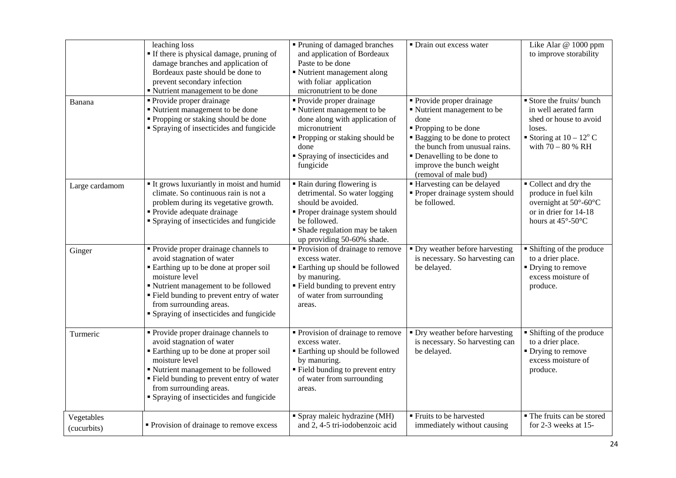|                           | leaching loss<br>• If there is physical damage, pruning of<br>damage branches and application of<br>Bordeaux paste should be done to<br>prevent secondary infection<br>" Nutrient management to be done                                                                                     | • Pruning of damaged branches<br>and application of Bordeaux<br>Paste to be done<br>Nutrient management along<br>with foliar application<br>micronutrient to be done                                     | • Drain out excess water                                                                                                                                                                                                                        | Like Alar @ 1000 ppm<br>to improve storability                                                                                               |
|---------------------------|---------------------------------------------------------------------------------------------------------------------------------------------------------------------------------------------------------------------------------------------------------------------------------------------|----------------------------------------------------------------------------------------------------------------------------------------------------------------------------------------------------------|-------------------------------------------------------------------------------------------------------------------------------------------------------------------------------------------------------------------------------------------------|----------------------------------------------------------------------------------------------------------------------------------------------|
| Banana                    | • Provide proper drainage<br>" Nutrient management to be done<br>• Propping or staking should be done<br>• Spraying of insecticides and fungicide                                                                                                                                           | <b>Provide proper drainage</b><br>Nutrient management to be<br>done along with application of<br>micronutrient<br>" Propping or staking should be<br>done<br>• Spraying of insecticides and<br>fungicide | • Provide proper drainage<br>Nutrient management to be<br>done<br>■ Propping to be done<br>• Bagging to be done to protect<br>the bunch from unusual rains.<br>• Denavelling to be done to<br>improve the bunch weight<br>(removal of male bud) | Store the fruits/ bunch<br>in well aerated farm<br>shed or house to avoid<br>loses.<br>Storing at $10 - 12^{\circ}$ C<br>with $70 - 80$ % RH |
| Large cardamom            | It grows luxuriantly in moist and humid<br>climate. So continuous rain is not a<br>problem during its vegetative growth.<br>• Provide adequate drainage<br>• Spraying of insecticides and fungicide                                                                                         | • Rain during flowering is<br>detrimental. So water logging<br>should be avoided.<br>• Proper drainage system should<br>be followed.<br>• Shade regulation may be taken<br>up providing 50-60% shade.    | ■ Harvesting can be delayed<br>• Proper drainage system should<br>be followed.                                                                                                                                                                  | Collect and dry the<br>produce in fuel kiln<br>overnight at 50°-60°C<br>or in drier for 14-18<br>hours at $45^{\circ}$ -50 $^{\circ}$ C      |
| Ginger                    | • Provide proper drainage channels to<br>avoid stagnation of water<br>Earthing up to be done at proper soil<br>moisture level<br>" Nutrient management to be followed<br>" Field bunding to prevent entry of water<br>from surrounding areas.<br>" Spraying of insecticides and fungicide   | • Provision of drainage to remove<br>excess water.<br><b>Earthing up should be followed</b><br>by manuring.<br>" Field bunding to prevent entry<br>of water from surrounding<br>areas.                   | • Dry weather before harvesting<br>is necessary. So harvesting can<br>be delayed.                                                                                                                                                               | • Shifting of the produce<br>to a drier place.<br>• Drying to remove<br>excess moisture of<br>produce.                                       |
| Turmeric                  | • Provide proper drainage channels to<br>avoid stagnation of water<br>• Earthing up to be done at proper soil<br>moisture level<br>" Nutrient management to be followed<br>" Field bunding to prevent entry of water<br>from surrounding areas.<br>• Spraying of insecticides and fungicide | Provision of drainage to remove<br>excess water.<br><b>Earthing up should be followed</b><br>by manuring.<br>" Field bunding to prevent entry<br>of water from surrounding<br>areas.                     | • Dry weather before harvesting<br>is necessary. So harvesting can<br>be delayed.                                                                                                                                                               | • Shifting of the produce<br>to a drier place.<br>$\blacksquare$ Drying to remove<br>excess moisture of<br>produce.                          |
| Vegetables<br>(cucurbits) | • Provision of drainage to remove excess                                                                                                                                                                                                                                                    | • Spray maleic hydrazine (MH)<br>and 2, 4-5 tri-iodobenzoic acid                                                                                                                                         | ■ Fruits to be harvested<br>immediately without causing                                                                                                                                                                                         | • The fruits can be stored<br>for 2-3 weeks at 15-                                                                                           |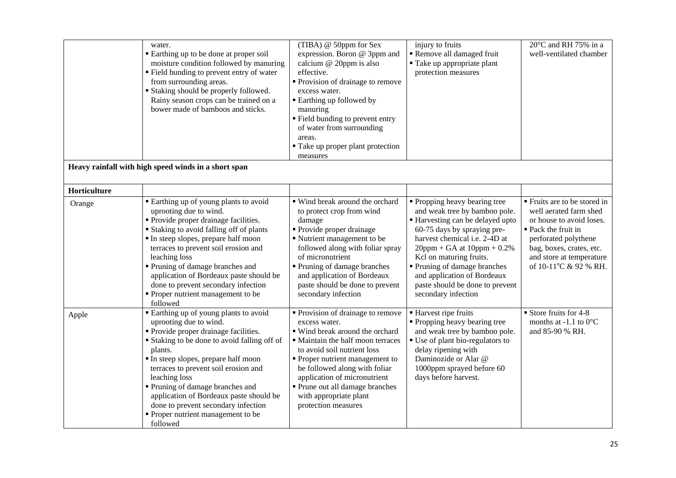|              | water.<br>Earthing up to be done at proper soil<br>moisture condition followed by manuring<br>• Field bunding to prevent entry of water<br>from surrounding areas.<br><b>Staking should be properly followed.</b><br>Rainy season crops can be trained on a<br>bower made of bamboos and sticks.                                                                                                                                               | (TIBA) @ 50ppm for Sex<br>expression. Boron @ 3ppm and<br>calcium @ 20ppm is also<br>effective.<br>• Provision of drainage to remove<br>excess water.<br><b>Earthing up followed by</b><br>manuring<br>" Field bunding to prevent entry<br>of water from surrounding<br>areas.<br>• Take up proper plant protection<br>measures                   | injury to fruits<br>Remove all damaged fruit<br>■ Take up appropriate plant<br>protection measures                                                                                                                                                                                                                                                         | 20°C and RH 75% in a<br>well-ventilated chamber                                                                                                                                                                    |
|--------------|------------------------------------------------------------------------------------------------------------------------------------------------------------------------------------------------------------------------------------------------------------------------------------------------------------------------------------------------------------------------------------------------------------------------------------------------|---------------------------------------------------------------------------------------------------------------------------------------------------------------------------------------------------------------------------------------------------------------------------------------------------------------------------------------------------|------------------------------------------------------------------------------------------------------------------------------------------------------------------------------------------------------------------------------------------------------------------------------------------------------------------------------------------------------------|--------------------------------------------------------------------------------------------------------------------------------------------------------------------------------------------------------------------|
|              | Heavy rainfall with high speed winds in a short span                                                                                                                                                                                                                                                                                                                                                                                           |                                                                                                                                                                                                                                                                                                                                                   |                                                                                                                                                                                                                                                                                                                                                            |                                                                                                                                                                                                                    |
| Horticulture |                                                                                                                                                                                                                                                                                                                                                                                                                                                |                                                                                                                                                                                                                                                                                                                                                   |                                                                                                                                                                                                                                                                                                                                                            |                                                                                                                                                                                                                    |
| Orange       | Earthing up of young plants to avoid<br>uprooting due to wind.<br>• Provide proper drainage facilities.<br><b>Staking to avoid falling off of plants</b><br>In steep slopes, prepare half moon<br>terraces to prevent soil erosion and<br>leaching loss<br>• Pruning of damage branches and<br>application of Bordeaux paste should be<br>done to prevent secondary infection<br>Proper nutrient management to be<br>followed                  | ■ Wind break around the orchard<br>to protect crop from wind<br>damage<br>· Provide proper drainage<br>Nutrient management to be<br>followed along with foliar spray<br>of micronutrient<br>• Pruning of damage branches<br>and application of Bordeaux<br>paste should be done to prevent<br>secondary infection                                 | • Propping heavy bearing tree<br>and weak tree by bamboo pole.<br>■ Harvesting can be delayed upto<br>60-75 days by spraying pre-<br>harvest chemical i.e. 2-4D at<br>$20$ ppm + GA at $10$ ppm + 0.2%<br>Kcl on maturing fruits.<br>• Pruning of damage branches<br>and application of Bordeaux<br>paste should be done to prevent<br>secondary infection | ■ Fruits are to be stored in<br>well aerated farm shed<br>or house to avoid loses.<br>■ Pack the fruit in<br>perforated polythene<br>bag, boxes, crates, etc.<br>and store at temperature<br>of 10-11°C & 92 % RH. |
| Apple        | Earthing up of young plants to avoid<br>uprooting due to wind.<br>• Provide proper drainage facilities.<br><b>Staking to be done to avoid falling off of</b><br>plants.<br>In steep slopes, prepare half moon<br>terraces to prevent soil erosion and<br>leaching loss<br>• Pruning of damage branches and<br>application of Bordeaux paste should be<br>done to prevent secondary infection<br>• Proper nutrient management to be<br>followed | • Provision of drainage to remove<br>excess water.<br>■ Wind break around the orchard<br>• Maintain the half moon terraces<br>to avoid soil nutrient loss<br>• Proper nutrient management to<br>be followed along with foliar<br>application of micronutrient<br>• Prune out all damage branches<br>with appropriate plant<br>protection measures | ■ Harvest ripe fruits<br>• Propping heavy bearing tree<br>and weak tree by bamboo pole.<br>• Use of plant bio-regulators to<br>delay ripening with<br>Daminozide or Alar @<br>1000ppm sprayed before 60<br>days before harvest.                                                                                                                            | $\blacksquare$ Store fruits for 4-8<br>months at -1.1 to $0^{\circ}$ C<br>and 85-90 % RH.                                                                                                                          |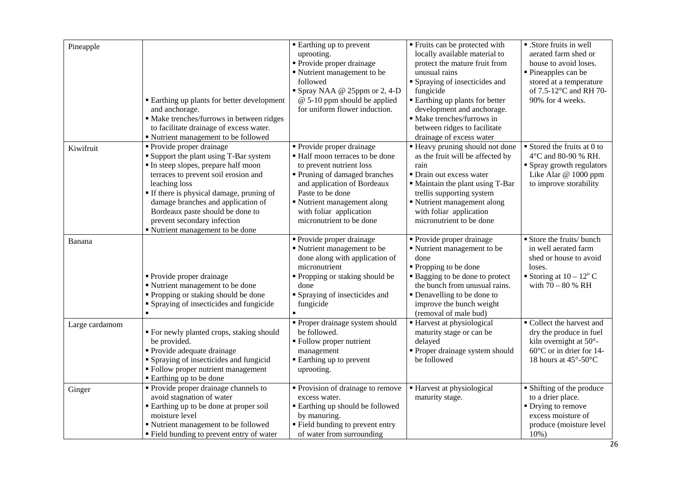| Pineapple      | <b>Earthing up plants for better development</b><br>and anchorage.<br>· Make trenches/furrows in between ridges<br>to facilitate drainage of excess water.<br>• Nutrient management to be followed                                                                                                                                                              | ■ Earthing up to prevent<br>uprooting.<br>• Provide proper drainage<br>Nutrient management to be<br>followed<br>• Spray NAA @ 25ppm or 2, 4-D<br>$@$ 5-10 ppm should be applied<br>for uniform flower induction.                                                 | • Fruits can be protected with<br>locally available material to<br>protect the mature fruit from<br>unusual rains<br>• Spraying of insecticides and<br>fungicide<br>■ Earthing up plants for better<br>development and anchorage.<br>· Make trenches/furrows in<br>between ridges to facilitate<br>drainage of excess water | • .Store fruits in well<br>aerated farm shed or<br>house to avoid loses.<br>■ Pineapples can be<br>stored at a temperature<br>of 7.5-12°C and RH 70-<br>90% for 4 weeks. |
|----------------|-----------------------------------------------------------------------------------------------------------------------------------------------------------------------------------------------------------------------------------------------------------------------------------------------------------------------------------------------------------------|------------------------------------------------------------------------------------------------------------------------------------------------------------------------------------------------------------------------------------------------------------------|-----------------------------------------------------------------------------------------------------------------------------------------------------------------------------------------------------------------------------------------------------------------------------------------------------------------------------|--------------------------------------------------------------------------------------------------------------------------------------------------------------------------|
| Kiwifruit      | • Provide proper drainage<br><b>Support the plant using T-Bar system</b><br>In steep slopes, prepare half moon<br>terraces to prevent soil erosion and<br>leaching loss<br>If there is physical damage, pruning of<br>damage branches and application of<br>Bordeaux paste should be done to<br>prevent secondary infection<br>" Nutrient management to be done | • Provide proper drainage<br>■ Half moon terraces to be done<br>to prevent nutrient loss<br>• Pruning of damaged branches<br>and application of Bordeaux<br>Paste to be done<br>Nutrient management along<br>with foliar application<br>micronutrient to be done | ■ Heavy pruning should not done<br>as the fruit will be affected by<br>rain<br>• Drain out excess water<br>• Maintain the plant using T-Bar<br>trellis supporting system<br>• Nutrient management along<br>with foliar application<br>micronutrient to be done                                                              | $\blacksquare$ Stored the fruits at 0 to<br>4°C and 80-90 % RH.<br>• Spray growth regulators<br>Like Alar @ 1000 ppm<br>to improve storability                           |
| Banana         | • Provide proper drainage<br>Nutrient management to be done<br>• Propping or staking should be done<br>• Spraying of insecticides and fungicide                                                                                                                                                                                                                 | · Provide proper drainage<br>Nutrient management to be<br>done along with application of<br>micronutrient<br>" Propping or staking should be<br>done<br>• Spraying of insecticides and<br>fungicide                                                              | · Provide proper drainage<br>• Nutrient management to be<br>done<br>• Propping to be done<br>• Bagging to be done to protect<br>the bunch from unusual rains.<br>• Denavelling to be done to<br>improve the bunch weight<br>(removal of male bud)                                                                           | Store the fruits/ bunch<br>in well aerated farm<br>shed or house to avoid<br>loses.<br>Storing at $10 - 12^{\circ}$ C<br>with $70 - 80$ % RH                             |
| Large cardamom | " For newly planted crops, staking should<br>be provided.<br>• Provide adequate drainage<br>• Spraying of insecticides and fungicid<br>• Follow proper nutrient management<br>■ Earthing up to be done                                                                                                                                                          | • Proper drainage system should<br>be followed.<br>• Follow proper nutrient<br>management<br>■ Earthing up to prevent<br>uprooting.                                                                                                                              | ■ Harvest at physiological<br>maturity stage or can be<br>delayed<br>• Proper drainage system should<br>be followed                                                                                                                                                                                                         | Collect the harvest and<br>dry the produce in fuel<br>kiln overnight at 50°-<br>$60^{\circ}$ C or in drier for 14-<br>18 hours at 45°-50°C                               |
| Ginger         | • Provide proper drainage channels to<br>avoid stagnation of water<br>Earthing up to be done at proper soil<br>moisture level<br>" Nutrient management to be followed<br>" Field bunding to prevent entry of water                                                                                                                                              | • Provision of drainage to remove<br>excess water.<br><b>Earthing up should be followed</b><br>by manuring.<br>" Field bunding to prevent entry<br>of water from surrounding                                                                                     | ■ Harvest at physiological<br>maturity stage.                                                                                                                                                                                                                                                                               | • Shifting of the produce<br>to a drier place.<br>$\blacksquare$ Drying to remove<br>excess moisture of<br>produce (moisture level<br>$10%$ )                            |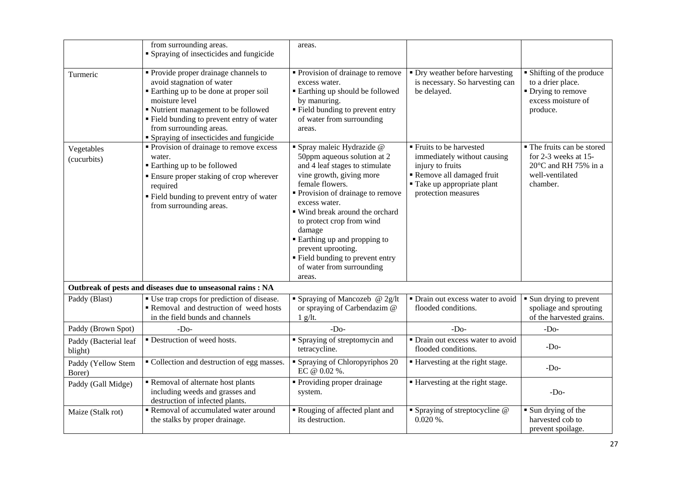|                                  | from surrounding areas.<br>• Spraying of insecticides and fungicide                                                                                                                                                                                                                         | areas.                                                                                                                                                                                                                                                                                                                                                                                                            |                                                                                                                                                               |                                                                                                           |
|----------------------------------|---------------------------------------------------------------------------------------------------------------------------------------------------------------------------------------------------------------------------------------------------------------------------------------------|-------------------------------------------------------------------------------------------------------------------------------------------------------------------------------------------------------------------------------------------------------------------------------------------------------------------------------------------------------------------------------------------------------------------|---------------------------------------------------------------------------------------------------------------------------------------------------------------|-----------------------------------------------------------------------------------------------------------|
| Turmeric                         | • Provide proper drainage channels to<br>avoid stagnation of water<br>• Earthing up to be done at proper soil<br>moisture level<br>• Nutrient management to be followed<br>• Field bunding to prevent entry of water<br>from surrounding areas.<br>• Spraying of insecticides and fungicide | • Provision of drainage to remove<br>excess water.<br>■ Earthing up should be followed<br>by manuring.<br>■ Field bunding to prevent entry<br>of water from surrounding<br>areas.                                                                                                                                                                                                                                 | • Dry weather before harvesting<br>is necessary. So harvesting can<br>be delayed.                                                                             | • Shifting of the produce<br>to a drier place.<br>• Drying to remove<br>excess moisture of<br>produce.    |
| Vegetables<br>(cucurbits)        | • Provision of drainage to remove excess<br>water.<br>■ Earthing up to be followed<br>• Ensure proper staking of crop wherever<br>required<br>• Field bunding to prevent entry of water<br>from surrounding areas.                                                                          | · Spray maleic Hydrazide @<br>50ppm aqueous solution at 2<br>and 4 leaf stages to stimulate<br>vine growth, giving more<br>female flowers.<br>• Provision of drainage to remove<br>excess water.<br>■ Wind break around the orchard<br>to protect crop from wind<br>damage<br><b>Earthing up and propping to</b><br>prevent uprooting.<br>" Field bunding to prevent entry<br>of water from surrounding<br>areas. | ■ Fruits to be harvested<br>immediately without causing<br>injury to fruits<br>Remove all damaged fruit<br>■ Take up appropriate plant<br>protection measures | • The fruits can be stored<br>for 2-3 weeks at 15-<br>20°C and RH 75% in a<br>well-ventilated<br>chamber. |
|                                  | Outbreak of pests and diseases due to unseasonal rains : NA                                                                                                                                                                                                                                 |                                                                                                                                                                                                                                                                                                                                                                                                                   |                                                                                                                                                               |                                                                                                           |
| Paddy (Blast)                    | ■ Use trap crops for prediction of disease.<br>Removal and destruction of weed hosts<br>in the field bunds and channels                                                                                                                                                                     | $\overline{\bullet}$ Spraying of Mancozeb @ 2g/lt<br>or spraying of Carbendazim @<br>$1$ g/lt.                                                                                                                                                                                                                                                                                                                    | • Drain out excess water to avoid<br>flooded conditions.                                                                                                      | • Sun drying to prevent<br>spoliage and sprouting<br>of the harvested grains.                             |
| Paddy (Brown Spot)               | $-Do-$                                                                                                                                                                                                                                                                                      | $-D0$                                                                                                                                                                                                                                                                                                                                                                                                             | $-Do-$                                                                                                                                                        | $-Do-$                                                                                                    |
| Paddy (Bacterial leaf<br>blight) | • Destruction of weed hosts.                                                                                                                                                                                                                                                                | <b>Spraying of streptomycin and</b><br>tetracycline.                                                                                                                                                                                                                                                                                                                                                              | • Drain out excess water to avoid<br>flooded conditions.                                                                                                      | $-DO$                                                                                                     |
| Paddy (Yellow Stem<br>Borer)     | • Collection and destruction of egg masses.                                                                                                                                                                                                                                                 | • Spraying of Chloropyriphos 20<br>EC @ 0.02 %.                                                                                                                                                                                                                                                                                                                                                                   | ■ Harvesting at the right stage.                                                                                                                              | $-DO$                                                                                                     |
| Paddy (Gall Midge)               | Removal of alternate host plants<br>including weeds and grasses and<br>destruction of infected plants.                                                                                                                                                                                      | • Providing proper drainage<br>system.                                                                                                                                                                                                                                                                                                                                                                            | ■ Harvesting at the right stage.                                                                                                                              | $-Do-$                                                                                                    |
| Maize (Stalk rot)                | Removal of accumulated water around<br>the stalks by proper drainage.                                                                                                                                                                                                                       | Rouging of affected plant and<br>its destruction.                                                                                                                                                                                                                                                                                                                                                                 | • Spraying of streptocycline @<br>$0.020\%$ .                                                                                                                 | $\blacksquare$ Sun drying of the<br>harvested cob to<br>prevent spoilage.                                 |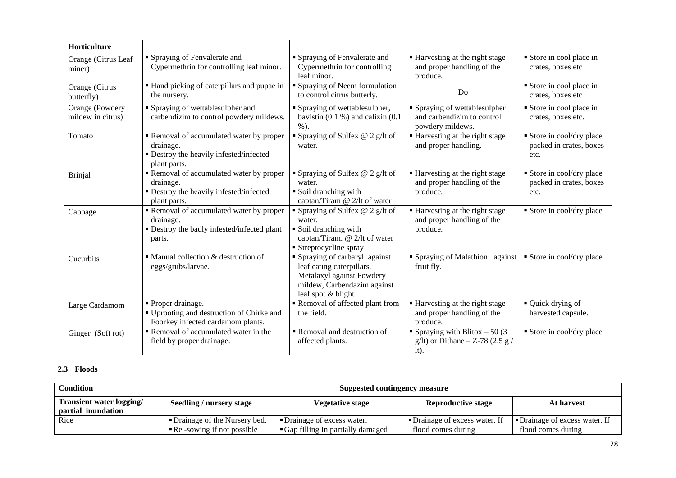| Horticulture                         |                                                                                                                |                                                                                                                                             |                                                                                  |                                                            |
|--------------------------------------|----------------------------------------------------------------------------------------------------------------|---------------------------------------------------------------------------------------------------------------------------------------------|----------------------------------------------------------------------------------|------------------------------------------------------------|
| Orange (Citrus Leaf<br>miner)        | • Spraying of Fenvalerate and<br>Cypermethrin for controlling leaf minor.                                      | • Spraying of Fenvalerate and<br>Cypermethrin for controlling<br>leaf minor.                                                                | ■ Harvesting at the right stage<br>and proper handling of the<br>produce.        | Store in cool place in<br>crates, boxes etc                |
| Orange (Citrus<br>butterfly)         | • Hand picking of caterpillars and pupae in<br>the nursery.                                                    | • Spraying of Neem formulation<br>to control citrus butterly.                                                                               | Do                                                                               | Store in cool place in<br>crates, boxes etc                |
| Orange (Powdery<br>mildew in citrus) | • Spraying of wettablesulpher and<br>carbendizim to control powdery mildews.                                   | • Spraying of wettablesulpher,<br>bavistin $(0.1 %)$ and calixin $(0.1 %)$<br>$%$ ).                                                        | • Spraying of wettablesulpher<br>and carbendizim to control<br>powdery mildews.  | Store in cool place in<br>crates, boxes etc.               |
| Tomato                               | Removal of accumulated water by proper<br>drainage.<br>· Destroy the heavily infested/infected<br>plant parts. | Spraying of Sulfex @ 2 g/lt of<br>water.                                                                                                    | ■ Harvesting at the right stage<br>and proper handling.                          | Store in cool/dry place<br>packed in crates, boxes<br>etc. |
| <b>Brinjal</b>                       | Removal of accumulated water by proper<br>drainage.<br>• Destroy the heavily infested/infected<br>plant parts. | Spraying of Sulfex $@$ 2 g/lt of<br>water.<br>• Soil dranching with<br>captan/Tiram @ 2/lt of water                                         | ■ Harvesting at the right stage<br>and proper handling of the<br>produce.        | Store in cool/dry place<br>packed in crates, boxes<br>etc. |
| Cabbage                              | Removal of accumulated water by proper<br>drainage.<br>• Destroy the badly infested/infected plant<br>parts.   | Spraying of Sulfex $@$ 2 g/lt of<br>water.<br>• Soil dranching with<br>captan/Tiram. @ 2/lt of water<br>■ Streptocycline spray              | ■ Harvesting at the right stage<br>and proper handling of the<br>produce.        | • Store in cool/dry place                                  |
| Cucurbits                            | • Manual collection & destruction of<br>eggs/grubs/larvae.                                                     | Spraying of carbaryl against<br>leaf eating caterpillars,<br>Metalaxyl against Powdery<br>mildew, Carbendazim against<br>leaf spot & blight | • Spraying of Malathion against<br>fruit fly.                                    | ■ Store in cool/dry place                                  |
| Large Cardamom                       | • Proper drainage.<br>" Uprooting and destruction of Chirke and<br>Foorkey infected cardamom plants.           | Removal of affected plant from<br>the field.                                                                                                | ■ Harvesting at the right stage<br>and proper handling of the<br>produce.        | $\blacksquare$ Quick drying of<br>harvested capsule.       |
| Ginger (Soft rot)                    | Removal of accumulated water in the<br>field by proper drainage.                                               | Removal and destruction of<br>affected plants.                                                                                              | • Spraying with Blitox $-50(3)$<br>g/lt) or Dithane $-$ Z-78 (2.5 g /<br>$lt$ ). | Store in cool/dry place                                    |

#### **2.3 Floods**

| <b>Condition</b>                                      | <b>Suggested contingency measure</b>                                                           |                                                                 |                                                      |                                                      |  |
|-------------------------------------------------------|------------------------------------------------------------------------------------------------|-----------------------------------------------------------------|------------------------------------------------------|------------------------------------------------------|--|
| <b>Transient water logging/</b><br>partial inundation | <b>Reproductive stage</b><br>Seedling / nursery stage<br><b>Vegetative stage</b><br>At harvest |                                                                 |                                                      |                                                      |  |
| Rice                                                  | Drainage of the Nursery bed.<br>$\blacksquare$ Re -sowing if not possible                      | • Drainage of excess water.<br>Gap filling In partially damaged | • Drainage of excess water. If<br>flood comes during | • Drainage of excess water. If<br>flood comes during |  |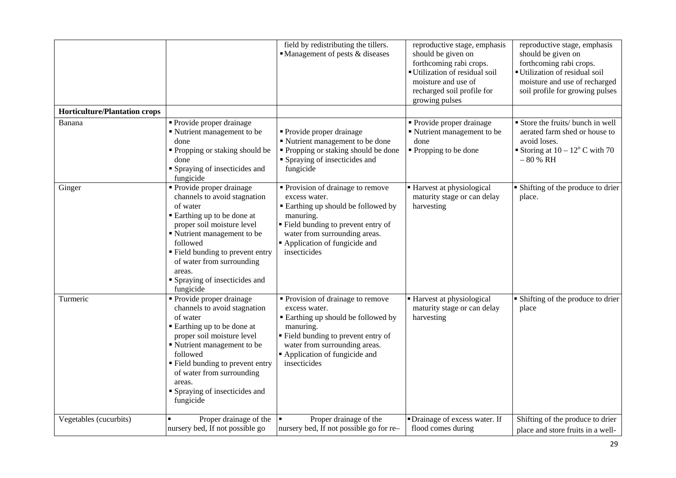|                                      |                                                                                                                                                                                                                                                                                                 | field by redistributing the tillers.<br>• Management of pests & diseases                                                                                                                                                            | reproductive stage, emphasis<br>should be given on<br>forthcoming rabi crops.<br>Utilization of residual soil<br>moisture and use of<br>recharged soil profile for<br>growing pulses | reproductive stage, emphasis<br>should be given on<br>forthcoming rabi crops.<br>Utilization of residual soil<br>moisture and use of recharged<br>soil profile for growing pulses |
|--------------------------------------|-------------------------------------------------------------------------------------------------------------------------------------------------------------------------------------------------------------------------------------------------------------------------------------------------|-------------------------------------------------------------------------------------------------------------------------------------------------------------------------------------------------------------------------------------|--------------------------------------------------------------------------------------------------------------------------------------------------------------------------------------|-----------------------------------------------------------------------------------------------------------------------------------------------------------------------------------|
| <b>Horticulture/Plantation crops</b> |                                                                                                                                                                                                                                                                                                 |                                                                                                                                                                                                                                     |                                                                                                                                                                                      |                                                                                                                                                                                   |
| Banana                               | Provide proper drainage<br>Nutrient management to be<br>done<br>• Propping or staking should be<br>done<br>Spraying of insecticides and<br>fungicide                                                                                                                                            | • Provide proper drainage<br>Nutrient management to be done<br>• Propping or staking should be done<br>• Spraying of insecticides and<br>fungicide                                                                                  | Provide proper drainage<br>Nutrient management to be<br>done<br>■ Propping to be done                                                                                                | Store the fruits/ bunch in well<br>aerated farm shed or house to<br>avoid loses.<br>Storing at $10 - 12^{\circ}$ C with 70<br>$-80% RH$                                           |
| Ginger                               | Provide proper drainage<br>channels to avoid stagnation<br>of water<br>Earthing up to be done at<br>proper soil moisture level<br>Nutrient management to be<br>followed<br>Field bunding to prevent entry<br>of water from surrounding<br>areas.<br>• Spraying of insecticides and<br>fungicide | • Provision of drainage to remove<br>excess water.<br><b>Earthing up should be followed by</b><br>manuring.<br>" Field bunding to prevent entry of<br>water from surrounding areas.<br>Application of fungicide and<br>insecticides | Harvest at physiological<br>maturity stage or can delay<br>harvesting                                                                                                                | • Shifting of the produce to drier<br>place.                                                                                                                                      |
| Turmeric                             | Provide proper drainage<br>channels to avoid stagnation<br>of water<br>Earthing up to be done at<br>proper soil moisture level<br>Nutrient management to be<br>followed<br>" Field bunding to prevent entry<br>of water from surrounding<br>areas.<br>Spraying of insecticides and<br>fungicide | • Provision of drainage to remove<br>excess water.<br><b>Earthing up should be followed by</b><br>manuring.<br>" Field bunding to prevent entry of<br>water from surrounding areas.<br>Application of fungicide and<br>insecticides | ■ Harvest at physiological<br>maturity stage or can delay<br>harvesting                                                                                                              | • Shifting of the produce to drier<br>place                                                                                                                                       |
| Vegetables (cucurbits)               | Proper drainage of the<br>nursery bed, If not possible go                                                                                                                                                                                                                                       | Proper drainage of the<br>nursery bed, If not possible go for re-                                                                                                                                                                   | • Drainage of excess water. If<br>flood comes during                                                                                                                                 | Shifting of the produce to drier<br>place and store fruits in a well-                                                                                                             |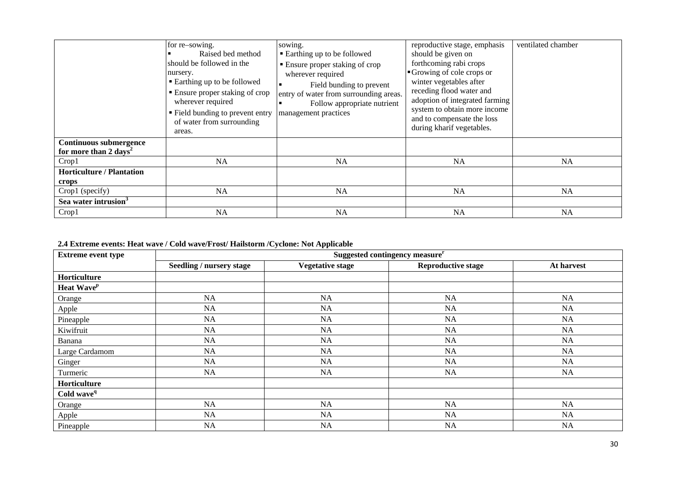|                                                                    | for re-sowing.<br>Raised bed method<br>should be followed in the<br>nursery.<br>■ Earthing up to be followed<br>■ Ensure proper staking of crop<br>wherever required<br>• Field bunding to prevent entry<br>of water from surrounding<br>areas. | sowing.<br>■ Earthing up to be followed<br>• Ensure proper staking of crop<br>wherever required<br>Field bunding to prevent<br>entry of water from surrounding areas.<br>Follow appropriate nutrient<br>management practices | reproductive stage, emphasis<br>should be given on<br>forthcoming rabi crops<br>Growing of cole crops or<br>winter vegetables after<br>receding flood water and<br>adoption of integrated farming<br>system to obtain more income<br>and to compensate the loss<br>during kharif vegetables. | ventilated chamber |
|--------------------------------------------------------------------|-------------------------------------------------------------------------------------------------------------------------------------------------------------------------------------------------------------------------------------------------|------------------------------------------------------------------------------------------------------------------------------------------------------------------------------------------------------------------------------|----------------------------------------------------------------------------------------------------------------------------------------------------------------------------------------------------------------------------------------------------------------------------------------------|--------------------|
| <b>Continuous submergence</b><br>for more than 2 days <sup>2</sup> |                                                                                                                                                                                                                                                 |                                                                                                                                                                                                                              |                                                                                                                                                                                                                                                                                              |                    |
| Crop1                                                              | <b>NA</b>                                                                                                                                                                                                                                       | NA                                                                                                                                                                                                                           | <b>NA</b>                                                                                                                                                                                                                                                                                    | <b>NA</b>          |
| <b>Horticulture / Plantation</b>                                   |                                                                                                                                                                                                                                                 |                                                                                                                                                                                                                              |                                                                                                                                                                                                                                                                                              |                    |
| crops                                                              |                                                                                                                                                                                                                                                 |                                                                                                                                                                                                                              |                                                                                                                                                                                                                                                                                              |                    |
| Crop1 (specify)                                                    | <b>NA</b>                                                                                                                                                                                                                                       | NA                                                                                                                                                                                                                           | <b>NA</b>                                                                                                                                                                                                                                                                                    | <b>NA</b>          |
| Sea water intrusion <sup>3</sup>                                   |                                                                                                                                                                                                                                                 |                                                                                                                                                                                                                              |                                                                                                                                                                                                                                                                                              |                    |
| Crop1                                                              | <b>NA</b>                                                                                                                                                                                                                                       | NA                                                                                                                                                                                                                           | <b>NA</b>                                                                                                                                                                                                                                                                                    | <b>NA</b>          |

### **2.4 Extreme events: Heat wave / Cold wave/Frost/ Hailstorm /Cyclone: Not Applicable**

| <b>Extreme event type</b> | Suggested contingency measure <sup>r</sup> |                         |                           |            |
|---------------------------|--------------------------------------------|-------------------------|---------------------------|------------|
|                           | Seedling / nursery stage                   | <b>Vegetative stage</b> | <b>Reproductive stage</b> | At harvest |
| Horticulture              |                                            |                         |                           |            |
| Heat Wave <sup>p</sup>    |                                            |                         |                           |            |
| Orange                    | NA                                         | NA                      | NA                        | NA         |
| Apple                     | NA                                         | NA                      | NA                        | NA         |
| Pineapple                 | NA                                         | NA                      | NA                        | NA         |
| Kiwifruit                 | NA                                         | NA                      | NA                        | NA         |
| Banana                    | NA                                         | NA                      | NA                        | NA         |
| Large Cardamom            | NA                                         | NA                      | NA                        | NA         |
| Ginger                    | NA                                         | NA                      | NA                        | NA         |
| Turmeric                  | NA                                         | NA                      | NA                        | NA         |
| Horticulture              |                                            |                         |                           |            |
| Cold wave <sup>q</sup>    |                                            |                         |                           |            |
| Orange                    | NA                                         | NA                      | NA                        | NA         |
| Apple                     | NA                                         | NA                      | NA                        | NA         |
| Pineapple                 | NA                                         | NA                      | NA                        | NA         |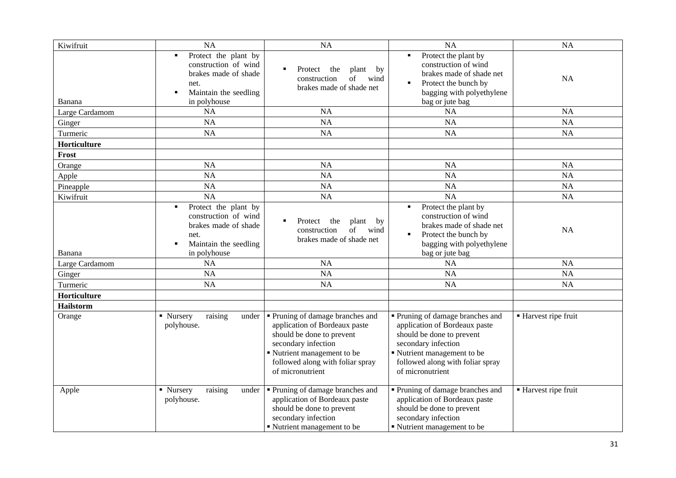| Kiwifruit        | NA                                                                                                                                           | <b>NA</b>                                                                                                                                                                                                  | <b>NA</b>                                                                                                                                                                                                | <b>NA</b>            |
|------------------|----------------------------------------------------------------------------------------------------------------------------------------------|------------------------------------------------------------------------------------------------------------------------------------------------------------------------------------------------------------|----------------------------------------------------------------------------------------------------------------------------------------------------------------------------------------------------------|----------------------|
| Banana           | Protect the plant by<br>$\blacksquare$<br>construction of wind<br>brakes made of shade<br>net.<br>Maintain the seedling<br>п<br>in polyhouse | Protect<br>٠<br>the<br>plant<br>by<br>of<br>construction<br>wind<br>brakes made of shade net                                                                                                               | Protect the plant by<br>construction of wind<br>brakes made of shade net<br>Protect the bunch by<br>bagging with polyethylene<br>bag or jute bag                                                         | <b>NA</b>            |
| Large Cardamom   | <b>NA</b>                                                                                                                                    | NA                                                                                                                                                                                                         | NA                                                                                                                                                                                                       | <b>NA</b>            |
| Ginger           | NA                                                                                                                                           | <b>NA</b>                                                                                                                                                                                                  | <b>NA</b>                                                                                                                                                                                                | <b>NA</b>            |
| Turmeric         | <b>NA</b>                                                                                                                                    | <b>NA</b>                                                                                                                                                                                                  | <b>NA</b>                                                                                                                                                                                                | <b>NA</b>            |
| Horticulture     |                                                                                                                                              |                                                                                                                                                                                                            |                                                                                                                                                                                                          |                      |
| Frost            |                                                                                                                                              |                                                                                                                                                                                                            |                                                                                                                                                                                                          |                      |
| Orange           | <b>NA</b>                                                                                                                                    | <b>NA</b>                                                                                                                                                                                                  | <b>NA</b>                                                                                                                                                                                                | <b>NA</b>            |
| Apple            | <b>NA</b>                                                                                                                                    | <b>NA</b>                                                                                                                                                                                                  | <b>NA</b>                                                                                                                                                                                                | <b>NA</b>            |
| Pineapple        | NA                                                                                                                                           | NA                                                                                                                                                                                                         | <b>NA</b>                                                                                                                                                                                                | <b>NA</b>            |
| Kiwifruit        | NA                                                                                                                                           | NA                                                                                                                                                                                                         | <b>NA</b>                                                                                                                                                                                                | <b>NA</b>            |
| Banana           | Protect the plant by<br>$\blacksquare$<br>construction of wind<br>brakes made of shade<br>net.<br>Maintain the seedling<br>٠<br>in polyhouse | Protect<br>$\blacksquare$<br>the<br>plant<br>by<br>of<br>wind<br>construction<br>brakes made of shade net                                                                                                  | Protect the plant by<br>construction of wind<br>brakes made of shade net<br>Protect the bunch by<br>bagging with polyethylene<br>bag or jute bag                                                         | <b>NA</b>            |
| Large Cardamom   | <b>NA</b>                                                                                                                                    | <b>NA</b>                                                                                                                                                                                                  | <b>NA</b>                                                                                                                                                                                                | <b>NA</b>            |
| Ginger           | <b>NA</b>                                                                                                                                    | <b>NA</b>                                                                                                                                                                                                  | <b>NA</b>                                                                                                                                                                                                | <b>NA</b>            |
| Turmeric         | <b>NA</b>                                                                                                                                    | <b>NA</b>                                                                                                                                                                                                  | <b>NA</b>                                                                                                                                                                                                | <b>NA</b>            |
| Horticulture     |                                                                                                                                              |                                                                                                                                                                                                            |                                                                                                                                                                                                          |                      |
| <b>Hailstorm</b> |                                                                                                                                              |                                                                                                                                                                                                            |                                                                                                                                                                                                          |                      |
| Orange           | raising<br>• Nursery<br>under<br>polyhouse.                                                                                                  | • Pruning of damage branches and<br>application of Bordeaux paste<br>should be done to prevent<br>secondary infection<br>Nutrient management to be<br>followed along with foliar spray<br>of micronutrient | Pruning of damage branches and<br>application of Bordeaux paste<br>should be done to prevent<br>secondary infection<br>Nutrient management to be<br>followed along with foliar spray<br>of micronutrient | ■ Harvest ripe fruit |
| Apple            | • Nursery<br>raising<br>under<br>polyhouse.                                                                                                  | • Pruning of damage branches and<br>application of Bordeaux paste<br>should be done to prevent<br>secondary infection<br>• Nutrient management to be                                                       | Pruning of damage branches and<br>application of Bordeaux paste<br>should be done to prevent<br>secondary infection<br>• Nutrient management to be                                                       | ■ Harvest ripe fruit |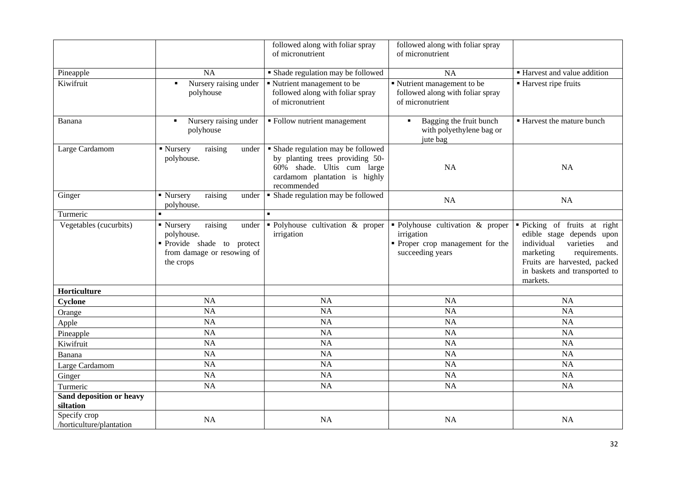|                                          |                                                                                                                    | followed along with foliar spray<br>of micronutrient                                                                                                | followed along with foliar spray<br>of micronutrient                                                   |                                                                                                                                                                                                        |
|------------------------------------------|--------------------------------------------------------------------------------------------------------------------|-----------------------------------------------------------------------------------------------------------------------------------------------------|--------------------------------------------------------------------------------------------------------|--------------------------------------------------------------------------------------------------------------------------------------------------------------------------------------------------------|
|                                          |                                                                                                                    |                                                                                                                                                     |                                                                                                        |                                                                                                                                                                                                        |
| Pineapple                                | <b>NA</b>                                                                                                          | • Shade regulation may be followed                                                                                                                  | <b>NA</b>                                                                                              | ■ Harvest and value addition                                                                                                                                                                           |
| Kiwifruit                                | Nursery raising under<br>٠<br>polyhouse                                                                            | Nutrient management to be<br>followed along with foliar spray<br>of micronutrient                                                                   | Nutrient management to be<br>followed along with foliar spray<br>of micronutrient                      | ■ Harvest ripe fruits                                                                                                                                                                                  |
| Banana                                   | Nursery raising under<br>$\blacksquare$<br>polyhouse                                                               | • Follow nutrient management                                                                                                                        | Bagging the fruit bunch<br>$\blacksquare$<br>with polyethylene bag or<br>jute bag                      | <b>Harvest the mature bunch</b>                                                                                                                                                                        |
| Large Cardamom                           | $\blacksquare$ Nursery<br>raising<br>under<br>polyhouse.                                                           | • Shade regulation may be followed<br>by planting trees providing 50-<br>60% shade. Ultis cum large<br>cardamom plantation is highly<br>recommended | <b>NA</b>                                                                                              | NA                                                                                                                                                                                                     |
| Ginger                                   | raising<br>• Nursery<br>under<br>polyhouse.                                                                        | • Shade regulation may be followed                                                                                                                  | <b>NA</b>                                                                                              | <b>NA</b>                                                                                                                                                                                              |
| Turmeric                                 |                                                                                                                    | $\blacksquare$                                                                                                                                      |                                                                                                        |                                                                                                                                                                                                        |
| Vegetables (cucurbits)                   | raising<br>• Nursery<br>under<br>polyhouse.<br>Provide shade to protect<br>from damage or resowing of<br>the crops | • Polyhouse cultivation $\&$ proper<br>irrigation                                                                                                   | • Polyhouse cultivation & proper<br>irrigation<br>• Proper crop management for the<br>succeeding years | • Picking of fruits at right<br>edible stage depends upon<br>individual<br>varieties<br>and<br>marketing<br>requirements.<br>Fruits are harvested, packed<br>in baskets and transported to<br>markets. |
| Horticulture                             |                                                                                                                    |                                                                                                                                                     |                                                                                                        |                                                                                                                                                                                                        |
| Cyclone                                  | <b>NA</b>                                                                                                          | NA                                                                                                                                                  | NA                                                                                                     | NA                                                                                                                                                                                                     |
| Orange                                   | <b>NA</b>                                                                                                          | <b>NA</b>                                                                                                                                           | <b>NA</b>                                                                                              | <b>NA</b>                                                                                                                                                                                              |
| Apple                                    | NA                                                                                                                 | NA                                                                                                                                                  | <b>NA</b>                                                                                              | <b>NA</b>                                                                                                                                                                                              |
| Pineapple                                | NA                                                                                                                 | NA                                                                                                                                                  | <b>NA</b>                                                                                              | <b>NA</b>                                                                                                                                                                                              |
| Kiwifruit                                | NA                                                                                                                 | <b>NA</b>                                                                                                                                           | NA                                                                                                     | <b>NA</b>                                                                                                                                                                                              |
| Banana                                   | NA                                                                                                                 | NA                                                                                                                                                  | NA                                                                                                     | <b>NA</b>                                                                                                                                                                                              |
| Large Cardamom                           | <b>NA</b>                                                                                                          | NA                                                                                                                                                  | NA                                                                                                     | <b>NA</b>                                                                                                                                                                                              |
| Ginger                                   | <b>NA</b>                                                                                                          | NA                                                                                                                                                  | NA                                                                                                     | <b>NA</b>                                                                                                                                                                                              |
| Turmeric                                 | <b>NA</b>                                                                                                          | <b>NA</b>                                                                                                                                           | NA                                                                                                     | <b>NA</b>                                                                                                                                                                                              |
| Sand deposition or heavy<br>siltation    |                                                                                                                    |                                                                                                                                                     |                                                                                                        |                                                                                                                                                                                                        |
| Specify crop<br>/horticulture/plantation | <b>NA</b>                                                                                                          | NA                                                                                                                                                  | NA                                                                                                     | NA                                                                                                                                                                                                     |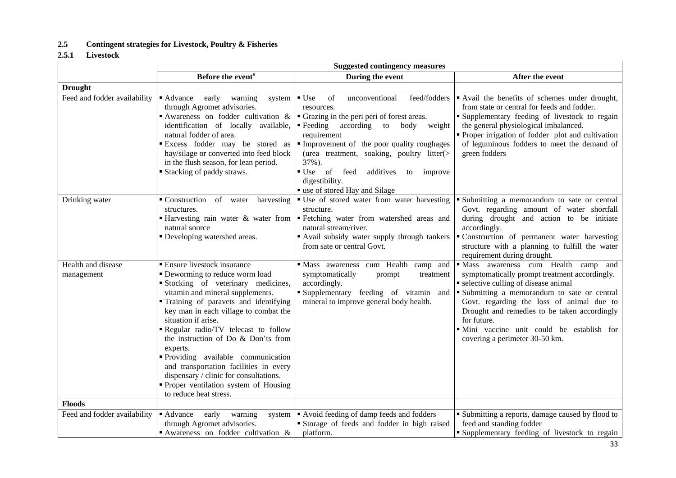### **2.5 Contingent strategies for Livestock, Poultry & Fisheries**

### **2.5.1 Livestock**

|                                  | <b>Suggested contingency measures</b>                                                                                                                                                                                                                                                                                                                                                                                                                                                                                                   |                                                                                                                                                                                                                                                                                                                                                                                                     |                                                                                                                                                                                                                                                                                                                                                                          |  |
|----------------------------------|-----------------------------------------------------------------------------------------------------------------------------------------------------------------------------------------------------------------------------------------------------------------------------------------------------------------------------------------------------------------------------------------------------------------------------------------------------------------------------------------------------------------------------------------|-----------------------------------------------------------------------------------------------------------------------------------------------------------------------------------------------------------------------------------------------------------------------------------------------------------------------------------------------------------------------------------------------------|--------------------------------------------------------------------------------------------------------------------------------------------------------------------------------------------------------------------------------------------------------------------------------------------------------------------------------------------------------------------------|--|
|                                  | Before the event <sup>s</sup>                                                                                                                                                                                                                                                                                                                                                                                                                                                                                                           | During the event                                                                                                                                                                                                                                                                                                                                                                                    | After the event                                                                                                                                                                                                                                                                                                                                                          |  |
| <b>Drought</b>                   |                                                                                                                                                                                                                                                                                                                                                                                                                                                                                                                                         |                                                                                                                                                                                                                                                                                                                                                                                                     |                                                                                                                                                                                                                                                                                                                                                                          |  |
| Feed and fodder availability     | early<br>■ Advance<br>warning<br>system<br>through Agromet advisories.<br>Awareness on fodder cultivation $\&$<br>identification of locally available,<br>natural fodder of area.<br>Excess fodder may be stored as<br>hay/silage or converted into feed block<br>in the flush season, for lean period.<br>■ Stacking of paddy straws.                                                                                                                                                                                                  | $\blacksquare$ Use<br>feed/fodders<br>of<br>unconventional<br>resources.<br>• Grazing in the peri peri of forest areas.<br>according<br>$\blacksquare$ Feeding<br>to<br>body weight<br>requirement<br>Improvement of the poor quality roughages<br>(urea treatment, soaking, poultry litter(><br>37%).<br>■ Use of feed<br>additives to improve<br>digestibility.<br>" use of stored Hay and Silage | Avail the benefits of schemes under drought,<br>from state or central for feeds and fodder.<br><b>Supplementary feeding of livestock to regain</b><br>the general physiological imbalanced.<br>• Proper irrigation of fodder plot and cultivation<br>of leguminous fodders to meet the demand of<br>green fodders                                                        |  |
| Drinking water                   | • Construction of water harvesting<br>structures.<br>natural source<br>• Developing watershed areas.                                                                                                                                                                                                                                                                                                                                                                                                                                    | • Use of stored water from water harvesting<br>structure.<br>• Harvesting rain water & water from Fetching water from watershed areas and<br>natural stream/river.<br>• Avail subsidy water supply through tankers<br>from sate or central Govt.                                                                                                                                                    | Submitting a memorandum to sate or central<br>Govt. regarding amount of water shortfall<br>during drought and action to be initiate<br>accordingly.<br>· Construction of permanent water harvesting<br>structure with a planning to fulfill the water<br>requirement during drought.                                                                                     |  |
| Health and disease<br>management | • Ensure livestock insurance<br>• Deworming to reduce worm load<br>Stocking of veterinary medicines,<br>vitamin and mineral supplements.<br>Training of paravets and identifying<br>key man in each village to combat the<br>situation if arise.<br>Regular radio/TV telecast to follow<br>the instruction of Do & Don'ts from<br>experts.<br>Providing available communication<br>and transportation facilities in every<br>dispensary / clinic for consultations.<br>• Proper ventilation system of Housing<br>to reduce heat stress. | Mass awareness cum Health camp and<br>symptomatically<br>prompt<br>treatment<br>accordingly.<br>Supplementary feeding of vitamin and<br>mineral to improve general body health.                                                                                                                                                                                                                     | Mass awareness cum Health camp and<br>symptomatically prompt treatment accordingly.<br>• selective culling of disease animal<br>• Submitting a memorandum to sate or central<br>Govt. regarding the loss of animal due to<br>Drought and remedies to be taken accordingly<br>for future.<br>· Mini vaccine unit could be establish for<br>covering a perimeter 30-50 km. |  |
| <b>Floods</b>                    |                                                                                                                                                                                                                                                                                                                                                                                                                                                                                                                                         |                                                                                                                                                                                                                                                                                                                                                                                                     |                                                                                                                                                                                                                                                                                                                                                                          |  |
| Feed and fodder availability     | • Advance early warning<br>system<br>through Agromet advisories.<br>Awareness on fodder cultivation $\&$                                                                                                                                                                                                                                                                                                                                                                                                                                | Avoid feeding of damp feeds and fodders<br>• Storage of feeds and fodder in high raised<br>platform.                                                                                                                                                                                                                                                                                                | • Submitting a reports, damage caused by flood to<br>feed and standing fodder<br><b>Supplementary feeding of livestock to regain</b>                                                                                                                                                                                                                                     |  |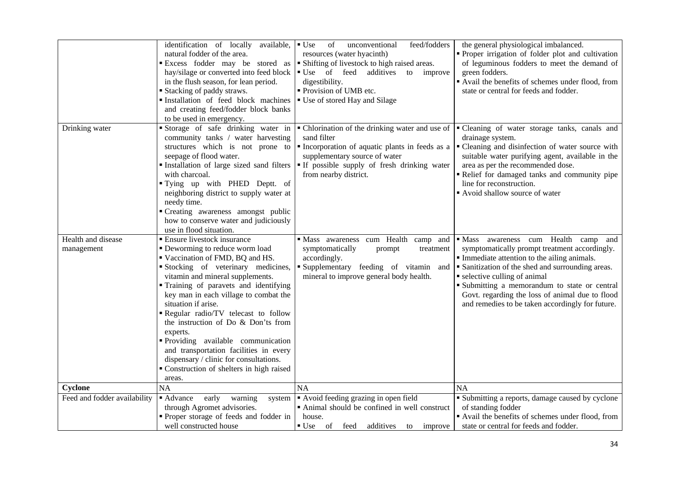|                                  | identification of locally<br>available,<br>natural fodder of the area.<br>hay/silage or converted into feed block<br>in the flush season, for lean period.<br><b>Stacking of paddy straws.</b><br>Installation of feed block machines<br>and creating feed/fodder block banks<br>to be used in emergency.                                                                                                                                                                                                                                                       | $\bullet$ Use<br>feed/fodders<br>of<br>unconventional<br>resources (water hyacinth)<br><b>Excess</b> fodder may be stored as <b>F</b> Shifting of livestock to high raised areas.<br>Use of feed additives<br>improve<br>to<br>digestibility.<br>• Provision of UMB etc.<br>■ Use of stored Hay and Silage | the general physiological imbalanced.<br>• Proper irrigation of folder plot and cultivation<br>of leguminous fodders to meet the demand of<br>green fodders.<br>Avail the benefits of schemes under flood, from<br>state or central for feeds and fodder.                                                                                                                                            |
|----------------------------------|-----------------------------------------------------------------------------------------------------------------------------------------------------------------------------------------------------------------------------------------------------------------------------------------------------------------------------------------------------------------------------------------------------------------------------------------------------------------------------------------------------------------------------------------------------------------|------------------------------------------------------------------------------------------------------------------------------------------------------------------------------------------------------------------------------------------------------------------------------------------------------------|------------------------------------------------------------------------------------------------------------------------------------------------------------------------------------------------------------------------------------------------------------------------------------------------------------------------------------------------------------------------------------------------------|
| Drinking water                   | Storage of safe drinking water in<br>community tanks / water harvesting<br>structures which is not prone to<br>seepage of flood water.<br>Installation of large sized sand filters<br>with charcoal.<br>"Tying up with PHED Deptt. of<br>neighboring district to supply water at<br>needy time.<br>"Creating awareness amongst public<br>how to conserve water and judiciously<br>use in flood situation.                                                                                                                                                       | • Chlorination of the drinking water and use of<br>sand filter<br>Incorporation of aquatic plants in feeds as a<br>supplementary source of water<br>" If possible supply of fresh drinking water<br>from nearby district.                                                                                  | Cleaning of water storage tanks, canals and<br>drainage system.<br>• Cleaning and disinfection of water source with<br>suitable water purifying agent, available in the<br>area as per the recommended dose.<br>Relief for damaged tanks and community pipe<br>line for reconstruction.<br>Avoid shallow source of water                                                                             |
| Health and disease<br>management | <b>Ensure livestock insurance</b><br>• Deworming to reduce worm load<br>Vaccination of FMD, BQ and HS.<br>Stocking of veterinary medicines,<br>vitamin and mineral supplements.<br>Training of paravets and identifying<br>key man in each village to combat the<br>situation if arise.<br>Regular radio/TV telecast to follow<br>the instruction of Do & Don'ts from<br>experts.<br>Providing available communication<br>and transportation facilities in every<br>dispensary / clinic for consultations.<br>Construction of shelters in high raised<br>areas. | Mass awareness cum Health camp and<br>symptomatically<br>prompt<br>treatment<br>accordingly.<br>Supplementary feeding of vitamin and<br>mineral to improve general body health.                                                                                                                            | awareness cum Health camp<br>$\blacksquare$ Mass<br>and<br>symptomatically prompt treatment accordingly.<br>Immediate attention to the ailing animals.<br>• Sanitization of the shed and surrounding areas.<br>• selective culling of animal<br>• Submitting a memorandum to state or central<br>Govt. regarding the loss of animal due to flood<br>and remedies to be taken accordingly for future. |
| Cyclone                          | <b>NA</b>                                                                                                                                                                                                                                                                                                                                                                                                                                                                                                                                                       | <b>NA</b>                                                                                                                                                                                                                                                                                                  | <b>NA</b>                                                                                                                                                                                                                                                                                                                                                                                            |
| Feed and fodder availability     | early<br>• Advance<br>warning<br>system<br>through Agromet advisories.<br>• Proper storage of feeds and fodder in<br>well constructed house                                                                                                                                                                                                                                                                                                                                                                                                                     | Avoid feeding grazing in open field<br>• Animal should be confined in well construct<br>house.<br>$\bullet$ Use of<br>feed<br>additives to improve                                                                                                                                                         | • Submitting a reports, damage caused by cyclone<br>of standing fodder<br>Avail the benefits of schemes under flood, from<br>state or central for feeds and fodder.                                                                                                                                                                                                                                  |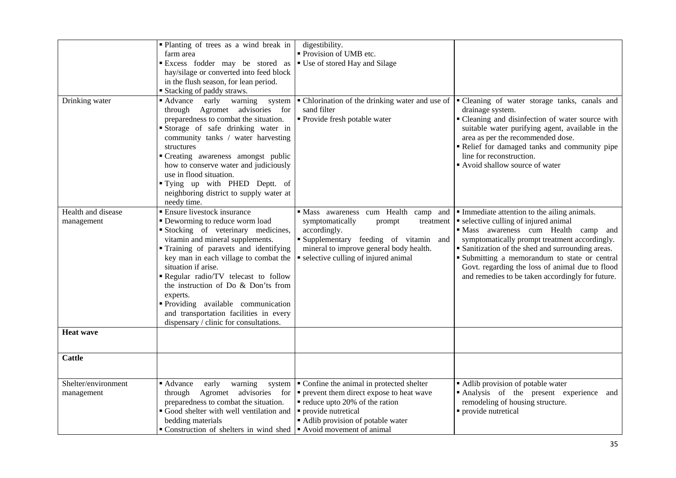|                                                               | • Planting of trees as a wind break in<br>farm area                                                                                                                                                                                                                                                                                                                                                                                                                                                                                                                                                                                                               | digestibility.<br>Provision of UMB etc.                                                                                                                                                                                                                                                                                                                                                        |                                                                                                                                                                                                                                                                                                                                                                                                                                                                                       |
|---------------------------------------------------------------|-------------------------------------------------------------------------------------------------------------------------------------------------------------------------------------------------------------------------------------------------------------------------------------------------------------------------------------------------------------------------------------------------------------------------------------------------------------------------------------------------------------------------------------------------------------------------------------------------------------------------------------------------------------------|------------------------------------------------------------------------------------------------------------------------------------------------------------------------------------------------------------------------------------------------------------------------------------------------------------------------------------------------------------------------------------------------|---------------------------------------------------------------------------------------------------------------------------------------------------------------------------------------------------------------------------------------------------------------------------------------------------------------------------------------------------------------------------------------------------------------------------------------------------------------------------------------|
|                                                               |                                                                                                                                                                                                                                                                                                                                                                                                                                                                                                                                                                                                                                                                   |                                                                                                                                                                                                                                                                                                                                                                                                |                                                                                                                                                                                                                                                                                                                                                                                                                                                                                       |
|                                                               | Excess fodder may be stored as                                                                                                                                                                                                                                                                                                                                                                                                                                                                                                                                                                                                                                    | • Use of stored Hay and Silage                                                                                                                                                                                                                                                                                                                                                                 |                                                                                                                                                                                                                                                                                                                                                                                                                                                                                       |
|                                                               | hay/silage or converted into feed block                                                                                                                                                                                                                                                                                                                                                                                                                                                                                                                                                                                                                           |                                                                                                                                                                                                                                                                                                                                                                                                |                                                                                                                                                                                                                                                                                                                                                                                                                                                                                       |
|                                                               | in the flush season, for lean period.                                                                                                                                                                                                                                                                                                                                                                                                                                                                                                                                                                                                                             |                                                                                                                                                                                                                                                                                                                                                                                                |                                                                                                                                                                                                                                                                                                                                                                                                                                                                                       |
|                                                               | ■ Stacking of paddy straws.                                                                                                                                                                                                                                                                                                                                                                                                                                                                                                                                                                                                                                       |                                                                                                                                                                                                                                                                                                                                                                                                |                                                                                                                                                                                                                                                                                                                                                                                                                                                                                       |
| Drinking water                                                | early warning<br>■ Advance<br>system                                                                                                                                                                                                                                                                                                                                                                                                                                                                                                                                                                                                                              | • Chlorination of the drinking water and use of                                                                                                                                                                                                                                                                                                                                                | Cleaning of water storage tanks, canals and                                                                                                                                                                                                                                                                                                                                                                                                                                           |
|                                                               | through Agromet advisories for                                                                                                                                                                                                                                                                                                                                                                                                                                                                                                                                                                                                                                    | sand filter                                                                                                                                                                                                                                                                                                                                                                                    | drainage system.                                                                                                                                                                                                                                                                                                                                                                                                                                                                      |
|                                                               | preparedness to combat the situation.                                                                                                                                                                                                                                                                                                                                                                                                                                                                                                                                                                                                                             | · Provide fresh potable water                                                                                                                                                                                                                                                                                                                                                                  | • Cleaning and disinfection of water source with                                                                                                                                                                                                                                                                                                                                                                                                                                      |
|                                                               | Storage of safe drinking water in                                                                                                                                                                                                                                                                                                                                                                                                                                                                                                                                                                                                                                 |                                                                                                                                                                                                                                                                                                                                                                                                | suitable water purifying agent, available in the                                                                                                                                                                                                                                                                                                                                                                                                                                      |
|                                                               | community tanks / water harvesting                                                                                                                                                                                                                                                                                                                                                                                                                                                                                                                                                                                                                                |                                                                                                                                                                                                                                                                                                                                                                                                | area as per the recommended dose.                                                                                                                                                                                                                                                                                                                                                                                                                                                     |
|                                                               | structures                                                                                                                                                                                                                                                                                                                                                                                                                                                                                                                                                                                                                                                        |                                                                                                                                                                                                                                                                                                                                                                                                | Relief for damaged tanks and community pipe                                                                                                                                                                                                                                                                                                                                                                                                                                           |
|                                                               | • Creating awareness amongst public                                                                                                                                                                                                                                                                                                                                                                                                                                                                                                                                                                                                                               |                                                                                                                                                                                                                                                                                                                                                                                                | line for reconstruction.                                                                                                                                                                                                                                                                                                                                                                                                                                                              |
|                                                               | how to conserve water and judiciously                                                                                                                                                                                                                                                                                                                                                                                                                                                                                                                                                                                                                             |                                                                                                                                                                                                                                                                                                                                                                                                | Avoid shallow source of water                                                                                                                                                                                                                                                                                                                                                                                                                                                         |
|                                                               | use in flood situation.                                                                                                                                                                                                                                                                                                                                                                                                                                                                                                                                                                                                                                           |                                                                                                                                                                                                                                                                                                                                                                                                |                                                                                                                                                                                                                                                                                                                                                                                                                                                                                       |
|                                                               | "Tying up with PHED Deptt. of                                                                                                                                                                                                                                                                                                                                                                                                                                                                                                                                                                                                                                     |                                                                                                                                                                                                                                                                                                                                                                                                |                                                                                                                                                                                                                                                                                                                                                                                                                                                                                       |
|                                                               | neighboring district to supply water at                                                                                                                                                                                                                                                                                                                                                                                                                                                                                                                                                                                                                           |                                                                                                                                                                                                                                                                                                                                                                                                |                                                                                                                                                                                                                                                                                                                                                                                                                                                                                       |
|                                                               | needy time.                                                                                                                                                                                                                                                                                                                                                                                                                                                                                                                                                                                                                                                       |                                                                                                                                                                                                                                                                                                                                                                                                |                                                                                                                                                                                                                                                                                                                                                                                                                                                                                       |
| Health and disease                                            | <b>Ensure livestock insurance</b>                                                                                                                                                                                                                                                                                                                                                                                                                                                                                                                                                                                                                                 | · Mass awareness cum Health camp and                                                                                                                                                                                                                                                                                                                                                           | • Immediate attention to the ailing animals.                                                                                                                                                                                                                                                                                                                                                                                                                                          |
|                                                               |                                                                                                                                                                                                                                                                                                                                                                                                                                                                                                                                                                                                                                                                   |                                                                                                                                                                                                                                                                                                                                                                                                |                                                                                                                                                                                                                                                                                                                                                                                                                                                                                       |
|                                                               |                                                                                                                                                                                                                                                                                                                                                                                                                                                                                                                                                                                                                                                                   |                                                                                                                                                                                                                                                                                                                                                                                                |                                                                                                                                                                                                                                                                                                                                                                                                                                                                                       |
|                                                               |                                                                                                                                                                                                                                                                                                                                                                                                                                                                                                                                                                                                                                                                   |                                                                                                                                                                                                                                                                                                                                                                                                |                                                                                                                                                                                                                                                                                                                                                                                                                                                                                       |
|                                                               |                                                                                                                                                                                                                                                                                                                                                                                                                                                                                                                                                                                                                                                                   |                                                                                                                                                                                                                                                                                                                                                                                                |                                                                                                                                                                                                                                                                                                                                                                                                                                                                                       |
|                                                               |                                                                                                                                                                                                                                                                                                                                                                                                                                                                                                                                                                                                                                                                   |                                                                                                                                                                                                                                                                                                                                                                                                |                                                                                                                                                                                                                                                                                                                                                                                                                                                                                       |
|                                                               |                                                                                                                                                                                                                                                                                                                                                                                                                                                                                                                                                                                                                                                                   |                                                                                                                                                                                                                                                                                                                                                                                                |                                                                                                                                                                                                                                                                                                                                                                                                                                                                                       |
|                                                               |                                                                                                                                                                                                                                                                                                                                                                                                                                                                                                                                                                                                                                                                   |                                                                                                                                                                                                                                                                                                                                                                                                |                                                                                                                                                                                                                                                                                                                                                                                                                                                                                       |
|                                                               |                                                                                                                                                                                                                                                                                                                                                                                                                                                                                                                                                                                                                                                                   |                                                                                                                                                                                                                                                                                                                                                                                                |                                                                                                                                                                                                                                                                                                                                                                                                                                                                                       |
|                                                               |                                                                                                                                                                                                                                                                                                                                                                                                                                                                                                                                                                                                                                                                   |                                                                                                                                                                                                                                                                                                                                                                                                |                                                                                                                                                                                                                                                                                                                                                                                                                                                                                       |
|                                                               |                                                                                                                                                                                                                                                                                                                                                                                                                                                                                                                                                                                                                                                                   |                                                                                                                                                                                                                                                                                                                                                                                                |                                                                                                                                                                                                                                                                                                                                                                                                                                                                                       |
|                                                               |                                                                                                                                                                                                                                                                                                                                                                                                                                                                                                                                                                                                                                                                   |                                                                                                                                                                                                                                                                                                                                                                                                |                                                                                                                                                                                                                                                                                                                                                                                                                                                                                       |
|                                                               |                                                                                                                                                                                                                                                                                                                                                                                                                                                                                                                                                                                                                                                                   |                                                                                                                                                                                                                                                                                                                                                                                                |                                                                                                                                                                                                                                                                                                                                                                                                                                                                                       |
|                                                               |                                                                                                                                                                                                                                                                                                                                                                                                                                                                                                                                                                                                                                                                   |                                                                                                                                                                                                                                                                                                                                                                                                |                                                                                                                                                                                                                                                                                                                                                                                                                                                                                       |
|                                                               |                                                                                                                                                                                                                                                                                                                                                                                                                                                                                                                                                                                                                                                                   |                                                                                                                                                                                                                                                                                                                                                                                                |                                                                                                                                                                                                                                                                                                                                                                                                                                                                                       |
|                                                               |                                                                                                                                                                                                                                                                                                                                                                                                                                                                                                                                                                                                                                                                   |                                                                                                                                                                                                                                                                                                                                                                                                |                                                                                                                                                                                                                                                                                                                                                                                                                                                                                       |
|                                                               |                                                                                                                                                                                                                                                                                                                                                                                                                                                                                                                                                                                                                                                                   |                                                                                                                                                                                                                                                                                                                                                                                                |                                                                                                                                                                                                                                                                                                                                                                                                                                                                                       |
|                                                               |                                                                                                                                                                                                                                                                                                                                                                                                                                                                                                                                                                                                                                                                   |                                                                                                                                                                                                                                                                                                                                                                                                |                                                                                                                                                                                                                                                                                                                                                                                                                                                                                       |
|                                                               |                                                                                                                                                                                                                                                                                                                                                                                                                                                                                                                                                                                                                                                                   |                                                                                                                                                                                                                                                                                                                                                                                                |                                                                                                                                                                                                                                                                                                                                                                                                                                                                                       |
| Shelter/environment                                           | ■ Advance<br>early<br>warning                                                                                                                                                                                                                                                                                                                                                                                                                                                                                                                                                                                                                                     |                                                                                                                                                                                                                                                                                                                                                                                                |                                                                                                                                                                                                                                                                                                                                                                                                                                                                                       |
|                                                               | for<br>through                                                                                                                                                                                                                                                                                                                                                                                                                                                                                                                                                                                                                                                    |                                                                                                                                                                                                                                                                                                                                                                                                |                                                                                                                                                                                                                                                                                                                                                                                                                                                                                       |
|                                                               |                                                                                                                                                                                                                                                                                                                                                                                                                                                                                                                                                                                                                                                                   |                                                                                                                                                                                                                                                                                                                                                                                                |                                                                                                                                                                                                                                                                                                                                                                                                                                                                                       |
|                                                               |                                                                                                                                                                                                                                                                                                                                                                                                                                                                                                                                                                                                                                                                   |                                                                                                                                                                                                                                                                                                                                                                                                |                                                                                                                                                                                                                                                                                                                                                                                                                                                                                       |
|                                                               |                                                                                                                                                                                                                                                                                                                                                                                                                                                                                                                                                                                                                                                                   |                                                                                                                                                                                                                                                                                                                                                                                                |                                                                                                                                                                                                                                                                                                                                                                                                                                                                                       |
|                                                               |                                                                                                                                                                                                                                                                                                                                                                                                                                                                                                                                                                                                                                                                   |                                                                                                                                                                                                                                                                                                                                                                                                |                                                                                                                                                                                                                                                                                                                                                                                                                                                                                       |
| management<br><b>Heat wave</b><br><b>Cattle</b><br>management | • Deworming to reduce worm load<br>Stocking of veterinary medicines,<br>vitamin and mineral supplements.<br>Training of paravets and identifying<br>key man in each village to combat the<br>situation if arise.<br>Regular radio/TV telecast to follow<br>the instruction of Do & Don'ts from<br>experts.<br>Providing available communication<br>and transportation facilities in every<br>dispensary / clinic for consultations.<br>system<br>Agromet advisories<br>preparedness to combat the situation.<br>Good shelter with well ventilation and<br>bedding materials<br>$\bullet$ Construction of shelters in wind shed $\bullet$ Avoid movement of animal | symptomatically<br>treatment<br>prompt<br>accordingly.<br>Supplementary feeding of vitamin and<br>mineral to improve general body health.<br>• selective culling of injured animal<br>Confine the animal in protected shelter<br>$\bullet$ prevent them direct expose to heat wave<br>$\blacksquare$ reduce upto 20% of the ration<br>· provide nutretical<br>Adlib provision of potable water | • selective culling of injured animal<br>· Mass awareness cum Health camp and<br>symptomatically prompt treatment accordingly.<br>• Sanitization of the shed and surrounding areas.<br>• Submitting a memorandum to state or central<br>Govt. regarding the loss of animal due to flood<br>and remedies to be taken accordingly for future.<br>Adlib provision of potable water<br>Analysis of the present experience and<br>remodeling of housing structure.<br>· provide nutretical |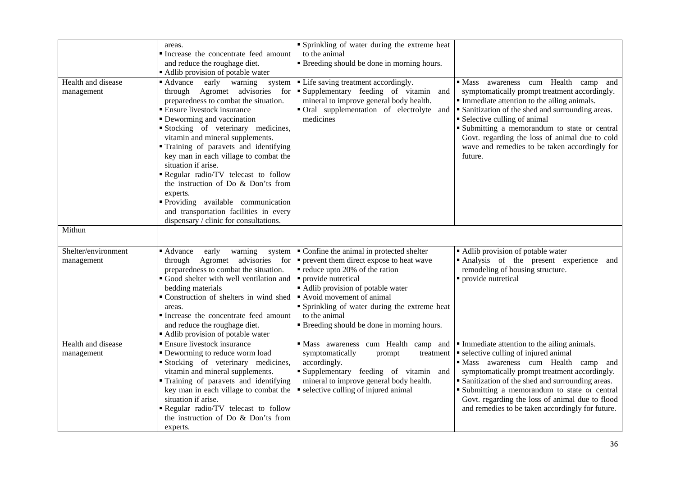|                                   | areas.<br>Increase the concentrate feed amount<br>and reduce the roughage diet.<br>Adlib provision of potable water                                                                                                                                                                                                                                                                                                                                                                                                                                                                              | • Sprinkling of water during the extreme heat<br>to the animal<br><b>Example 1</b> Breeding should be done in morning hours.                                                                                                                                                                                                             |                                                                                                                                                                                                                                                                                                                                                                                                             |
|-----------------------------------|--------------------------------------------------------------------------------------------------------------------------------------------------------------------------------------------------------------------------------------------------------------------------------------------------------------------------------------------------------------------------------------------------------------------------------------------------------------------------------------------------------------------------------------------------------------------------------------------------|------------------------------------------------------------------------------------------------------------------------------------------------------------------------------------------------------------------------------------------------------------------------------------------------------------------------------------------|-------------------------------------------------------------------------------------------------------------------------------------------------------------------------------------------------------------------------------------------------------------------------------------------------------------------------------------------------------------------------------------------------------------|
| Health and disease<br>management  | ■ Advance<br>early<br>warning<br>system<br>Agromet advisories<br>through<br>for<br>preparedness to combat the situation.<br><b>Ensure livestock insurance</b><br>• Deworming and vaccination<br>Stocking of veterinary medicines,<br>vitamin and mineral supplements.<br>Training of paravets and identifying<br>key man in each village to combat the<br>situation if arise.<br>Regular radio/TV telecast to follow<br>the instruction of Do & Don'ts from<br>experts.<br>Providing available communication<br>and transportation facilities in every<br>dispensary / clinic for consultations. | • Life saving treatment accordingly.<br>Supplementary feeding of vitamin and<br>mineral to improve general body health.<br>• Oral supplementation of electrolyte and<br>medicines                                                                                                                                                        | $\blacksquare$ Mass<br>awareness cum Health camp<br>and<br>symptomatically prompt treatment accordingly.<br>Immediate attention to the ailing animals.<br>• Sanitization of the shed and surrounding areas.<br>• Selective culling of animal<br>· Submitting a memorandum to state or central<br>Govt. regarding the loss of animal due to cold<br>wave and remedies to be taken accordingly for<br>future. |
| Mithun                            |                                                                                                                                                                                                                                                                                                                                                                                                                                                                                                                                                                                                  |                                                                                                                                                                                                                                                                                                                                          |                                                                                                                                                                                                                                                                                                                                                                                                             |
| Shelter/environment<br>management | ■ Advance<br>early<br>warning<br>system<br>Agromet advisories<br>for<br>through<br>preparedness to combat the situation.<br>Good shelter with well ventilation and<br>bedding materials<br>Construction of shelters in wind shed<br>areas.<br>Increase the concentrate feed amount<br>and reduce the roughage diet.<br>• Adlib provision of potable water                                                                                                                                                                                                                                        | • Confine the animal in protected shelter<br>$\bullet$ prevent them direct expose to heat wave<br>reduce upto 20% of the ration<br>• provide nutretical<br>Adlib provision of potable water<br>Avoid movement of animal<br>• Sprinkling of water during the extreme heat<br>to the animal<br>" Breeding should be done in morning hours. | • Adlib provision of potable water<br>Analysis of the present experience<br>and<br>remodeling of housing structure.<br>provide nutretical                                                                                                                                                                                                                                                                   |
| Health and disease<br>management  | • Ensure livestock insurance<br>• Deworming to reduce worm load<br>Stocking of veterinary medicines,<br>vitamin and mineral supplements.<br>" Training of paravets and identifying<br>key man in each village to combat the<br>situation if arise.<br>Regular radio/TV telecast to follow<br>the instruction of Do & Don'ts from<br>experts.                                                                                                                                                                                                                                                     | · Mass awareness cum Health camp and<br>symptomatically<br>prompt<br>treatment<br>accordingly.<br>Supplementary feeding of vitamin and<br>mineral to improve general body health.<br>• selective culling of injured animal                                                                                                               | Immediate attention to the ailing animals.<br>• selective culling of injured animal<br>· Mass awareness cum Health camp and<br>symptomatically prompt treatment accordingly.<br>• Sanitization of the shed and surrounding areas.<br>• Submitting a memorandum to state or central<br>Govt. regarding the loss of animal due to flood<br>and remedies to be taken accordingly for future.                   |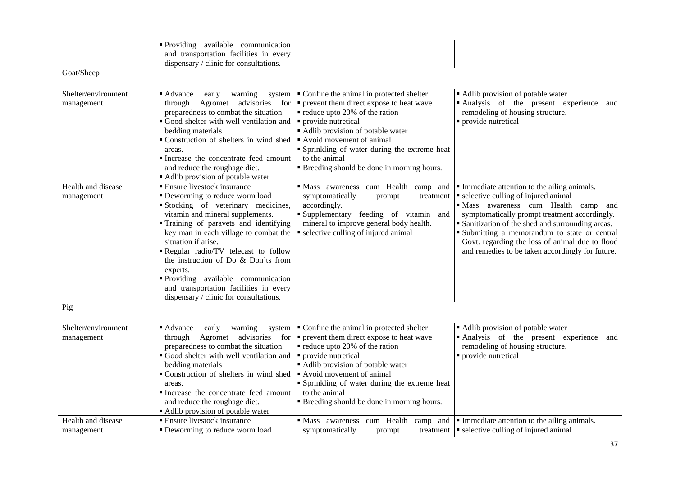|                                   | Providing available communication<br>and transportation facilities in every<br>dispensary / clinic for consultations.                                                                                                                                                                                                                                                                                                                                                 |                                                                                                                                                                                                                                                                                                                                         |                                                                                                                                                                                                                                                                                                                                                                                           |
|-----------------------------------|-----------------------------------------------------------------------------------------------------------------------------------------------------------------------------------------------------------------------------------------------------------------------------------------------------------------------------------------------------------------------------------------------------------------------------------------------------------------------|-----------------------------------------------------------------------------------------------------------------------------------------------------------------------------------------------------------------------------------------------------------------------------------------------------------------------------------------|-------------------------------------------------------------------------------------------------------------------------------------------------------------------------------------------------------------------------------------------------------------------------------------------------------------------------------------------------------------------------------------------|
| Goat/Sheep                        |                                                                                                                                                                                                                                                                                                                                                                                                                                                                       |                                                                                                                                                                                                                                                                                                                                         |                                                                                                                                                                                                                                                                                                                                                                                           |
| Shelter/environment<br>management | ■ Advance<br>early<br>warning<br>system<br>Agromet<br>advisories<br>for<br>through<br>preparedness to combat the situation.<br>Good shelter with well ventilation and<br>bedding materials<br>Construction of shelters in wind shed<br>areas.<br>Increase the concentrate feed amount<br>and reduce the roughage diet.<br>Adlib provision of potable water                                                                                                            | • Confine the animal in protected shelter<br>• prevent them direct expose to heat wave<br>reduce upto 20% of the ration<br>• provide nutretical<br>• Adlib provision of potable water<br>Avoid movement of animal<br>• Sprinkling of water during the extreme heat<br>to the animal<br><b>Breeding should be done in morning hours.</b> | Adlib provision of potable water<br>Analysis of the present experience<br>and<br>remodeling of housing structure.<br>· provide nutretical                                                                                                                                                                                                                                                 |
| Health and disease<br>management  | • Ensure livestock insurance<br>· Deworming to reduce worm load<br>Stocking of veterinary medicines,<br>vitamin and mineral supplements.<br>• Training of paravets and identifying<br>key man in each village to combat the<br>situation if arise.<br>Regular radio/TV telecast to follow<br>the instruction of Do & Don'ts from<br>experts.<br>Providing available communication<br>and transportation facilities in every<br>dispensary / clinic for consultations. | Mass awareness cum Health camp and<br>symptomatically<br>treatment<br>prompt<br>accordingly.<br>Supplementary feeding of vitamin and<br>mineral to improve general body health.<br>selective culling of injured animal                                                                                                                  | Immediate attention to the ailing animals.<br>• selective culling of injured animal<br>· Mass awareness cum Health camp and<br>symptomatically prompt treatment accordingly.<br>• Sanitization of the shed and surrounding areas.<br>• Submitting a memorandum to state or central<br>Govt. regarding the loss of animal due to flood<br>and remedies to be taken accordingly for future. |
| Pig                               |                                                                                                                                                                                                                                                                                                                                                                                                                                                                       |                                                                                                                                                                                                                                                                                                                                         |                                                                                                                                                                                                                                                                                                                                                                                           |
| Shelter/environment<br>management | ■ Advance<br>early<br>warning<br>system<br>Agromet advisories<br>for<br>through<br>preparedness to combat the situation.<br>Good shelter with well ventilation and<br>bedding materials<br>Construction of shelters in wind shed<br>areas.<br>Increase the concentrate feed amount<br>and reduce the roughage diet.<br>Adlib provision of potable water                                                                                                               | • Confine the animal in protected shelter<br>prevent them direct expose to heat wave<br>• reduce upto 20% of the ration<br>· provide nutretical<br>Adlib provision of potable water<br>Avoid movement of animal<br>Sprinkling of water during the extreme heat<br>to the animal<br><b>Breeding should be done in morning hours.</b>     | • Adlib provision of potable water<br>Analysis of the present experience<br>and<br>remodeling of housing structure.<br>· provide nutretical                                                                                                                                                                                                                                               |
| Health and disease<br>management  | • Ensure livestock insurance<br>• Deworming to reduce worm load                                                                                                                                                                                                                                                                                                                                                                                                       | Mass awareness cum Health camp and<br>symptomatically<br>prompt                                                                                                                                                                                                                                                                         | Immediate attention to the ailing animals.<br>treatment $\vert \cdot \vert$ selective culling of injured animal                                                                                                                                                                                                                                                                           |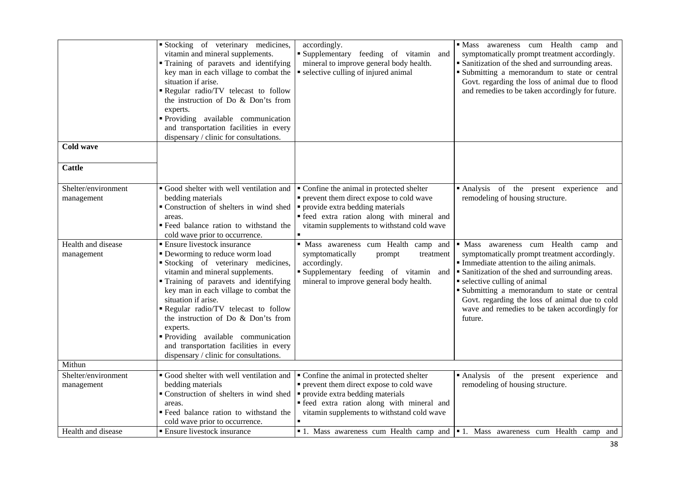|                     | Stocking of veterinary medicines,                                                           |                                            | · Mass awareness cum Health<br>camp and                                         |
|---------------------|---------------------------------------------------------------------------------------------|--------------------------------------------|---------------------------------------------------------------------------------|
|                     |                                                                                             | accordingly.                               |                                                                                 |
|                     | vitamin and mineral supplements.                                                            | Supplementary feeding of vitamin and       | symptomatically prompt treatment accordingly.                                   |
|                     | Training of paravets and identifying                                                        | mineral to improve general body health.    | • Sanitization of the shed and surrounding areas.                               |
|                     | key man in each village to combat the                                                       | selective culling of injured animal        | • Submitting a memorandum to state or central                                   |
|                     | situation if arise.                                                                         |                                            | Govt. regarding the loss of animal due to flood                                 |
|                     | Regular radio/TV telecast to follow                                                         |                                            | and remedies to be taken accordingly for future.                                |
|                     | the instruction of Do & Don'ts from                                                         |                                            |                                                                                 |
|                     | experts.                                                                                    |                                            |                                                                                 |
|                     | Providing available communication                                                           |                                            |                                                                                 |
|                     | and transportation facilities in every                                                      |                                            |                                                                                 |
|                     | dispensary / clinic for consultations.                                                      |                                            |                                                                                 |
| <b>Cold wave</b>    |                                                                                             |                                            |                                                                                 |
|                     |                                                                                             |                                            |                                                                                 |
| <b>Cattle</b>       |                                                                                             |                                            |                                                                                 |
|                     |                                                                                             |                                            |                                                                                 |
| Shelter/environment | Good shelter with well ventilation and                                                      | • Confine the animal in protected shelter  | Analysis of the present experience<br>and                                       |
| management          | bedding materials                                                                           | • prevent them direct expose to cold wave  | remodeling of housing structure.                                                |
|                     | • Construction of shelters in wind shed $\vert \cdot \vert$ provide extra bedding materials |                                            |                                                                                 |
|                     | areas.                                                                                      | · feed extra ration along with mineral and |                                                                                 |
|                     | " Feed balance ration to withstand the                                                      | vitamin supplements to withstand cold wave |                                                                                 |
|                     |                                                                                             |                                            |                                                                                 |
|                     | cold wave prior to occurrence.                                                              |                                            |                                                                                 |
| Health and disease  | <b>Ensure livestock insurance</b>                                                           | · Mass awareness cum Health camp and       | • Mass awareness cum Health camp<br>and                                         |
| management          | • Deworming to reduce worm load                                                             | symptomatically<br>prompt<br>treatment     | symptomatically prompt treatment accordingly.                                   |
|                     | Stocking of veterinary medicines,                                                           | accordingly.                               | Immediate attention to the ailing animals.                                      |
|                     | vitamin and mineral supplements.                                                            | Supplementary feeding of vitamin and       | • Sanitization of the shed and surrounding areas.                               |
|                     | Training of paravets and identifying                                                        | mineral to improve general body health.    | • selective culling of animal                                                   |
|                     | key man in each village to combat the                                                       |                                            | · Submitting a memorandum to state or central                                   |
|                     | situation if arise.                                                                         |                                            | Govt. regarding the loss of animal due to cold                                  |
|                     | Regular radio/TV telecast to follow                                                         |                                            | wave and remedies to be taken accordingly for                                   |
|                     | the instruction of Do & Don'ts from                                                         |                                            | future.                                                                         |
|                     | experts.                                                                                    |                                            |                                                                                 |
|                     | Providing available communication                                                           |                                            |                                                                                 |
|                     | and transportation facilities in every                                                      |                                            |                                                                                 |
|                     | dispensary / clinic for consultations.                                                      |                                            |                                                                                 |
| Mithun              |                                                                                             |                                            |                                                                                 |
| Shelter/environment | Good shelter with well ventilation and                                                      | Confine the animal in protected shelter    | Analysis of the present experience and                                          |
| management          | bedding materials                                                                           | • prevent them direct expose to cold wave  | remodeling of housing structure.                                                |
|                     | • Construction of shelters in wind shed $\vert \cdot \vert$ provide extra bedding materials |                                            |                                                                                 |
|                     | areas.                                                                                      | · feed extra ration along with mineral and |                                                                                 |
|                     | " Feed balance ration to withstand the                                                      | vitamin supplements to withstand cold wave |                                                                                 |
|                     | cold wave prior to occurrence.                                                              |                                            |                                                                                 |
| Health and disease  | <b>Ensure livestock insurance</b>                                                           |                                            | • 1. Mass awareness cum Health camp and • 1. Mass awareness cum Health camp and |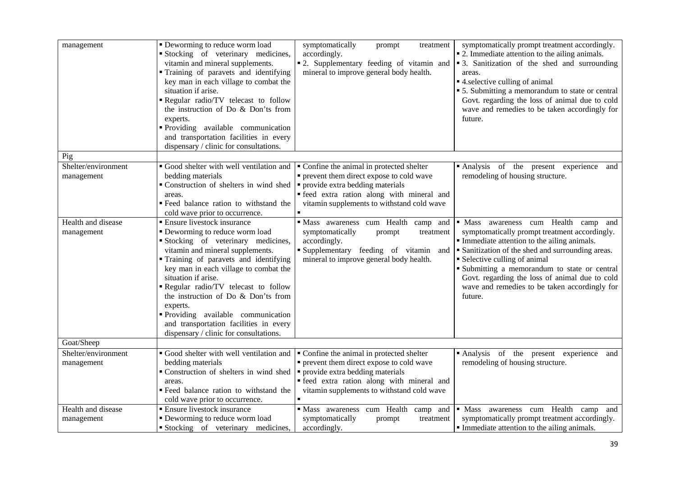| management                        | • Deworming to reduce worm load<br>Stocking of veterinary medicines,<br>vitamin and mineral supplements.<br>Training of paravets and identifying<br>key man in each village to combat the<br>situation if arise.<br>Regular radio/TV telecast to follow<br>the instruction of Do & Don'ts from<br>experts.<br>Providing available communication<br>and transportation facilities in every<br>dispensary / clinic for consultations.                                      | symptomatically<br>prompt<br>treatment<br>accordingly.<br>" 2. Supplementary feeding of vitamin and<br>mineral to improve general body health.                                                                          | symptomatically prompt treatment accordingly.<br>• 2. Immediate attention to the ailing animals.<br>• 3. Sanitization of the shed and surrounding<br>areas.<br>• 4. selective culling of animal<br>• 5. Submitting a memorandum to state or central<br>Govt. regarding the loss of animal due to cold<br>wave and remedies to be taken accordingly for<br>future.                        |
|-----------------------------------|--------------------------------------------------------------------------------------------------------------------------------------------------------------------------------------------------------------------------------------------------------------------------------------------------------------------------------------------------------------------------------------------------------------------------------------------------------------------------|-------------------------------------------------------------------------------------------------------------------------------------------------------------------------------------------------------------------------|------------------------------------------------------------------------------------------------------------------------------------------------------------------------------------------------------------------------------------------------------------------------------------------------------------------------------------------------------------------------------------------|
| Pig                               |                                                                                                                                                                                                                                                                                                                                                                                                                                                                          |                                                                                                                                                                                                                         |                                                                                                                                                                                                                                                                                                                                                                                          |
| Shelter/environment<br>management | Good shelter with well ventilation and<br>bedding materials<br>• Construction of shelters in wind shed<br>areas.<br>" Feed balance ration to withstand the<br>cold wave prior to occurrence.                                                                                                                                                                                                                                                                             | • Confine the animal in protected shelter<br>• prevent them direct expose to cold wave<br>• provide extra bedding materials<br>· feed extra ration along with mineral and<br>vitamin supplements to withstand cold wave | Analysis of the present experience and<br>remodeling of housing structure.                                                                                                                                                                                                                                                                                                               |
| Health and disease<br>management  | <b>Ensure livestock insurance</b><br>• Deworming to reduce worm load<br>Stocking of veterinary medicines,<br>vitamin and mineral supplements.<br>Training of paravets and identifying<br>key man in each village to combat the<br>situation if arise.<br>Regular radio/TV telecast to follow<br>the instruction of Do & Don'ts from<br>experts.<br>Providing available communication<br>and transportation facilities in every<br>dispensary / clinic for consultations. | · Mass awareness cum Health camp and<br>symptomatically<br>treatment<br>prompt<br>accordingly.<br>Supplementary feeding of vitamin<br>and<br>mineral to improve general body health.                                    | · Mass awareness cum Health camp and<br>symptomatically prompt treatment accordingly.<br>Immediate attention to the ailing animals.<br>• Sanitization of the shed and surrounding areas.<br>• Selective culling of animal<br>· Submitting a memorandum to state or central<br>Govt. regarding the loss of animal due to cold<br>wave and remedies to be taken accordingly for<br>future. |
| Goat/Sheep                        |                                                                                                                                                                                                                                                                                                                                                                                                                                                                          |                                                                                                                                                                                                                         |                                                                                                                                                                                                                                                                                                                                                                                          |
| Shelter/environment<br>management | Good shelter with well ventilation and<br>bedding materials<br>Construction of shelters in wind shed<br>areas.<br>Feed balance ration to withstand the<br>cold wave prior to occurrence.                                                                                                                                                                                                                                                                                 | Confine the animal in protected shelter<br>• prevent them direct expose to cold wave<br>• provide extra bedding materials<br>· feed extra ration along with mineral and<br>vitamin supplements to withstand cold wave   | Analysis of the present experience and<br>remodeling of housing structure.                                                                                                                                                                                                                                                                                                               |
| Health and disease<br>management  | <b>Ensure livestock insurance</b><br>• Deworming to reduce worm load<br>Stocking of veterinary medicines,                                                                                                                                                                                                                                                                                                                                                                | · Mass awareness cum Health<br>camp and<br>symptomatically<br>prompt<br>treatment<br>accordingly.                                                                                                                       | · Mass awareness cum Health camp<br>and<br>symptomatically prompt treatment accordingly.<br>Immediate attention to the ailing animals.                                                                                                                                                                                                                                                   |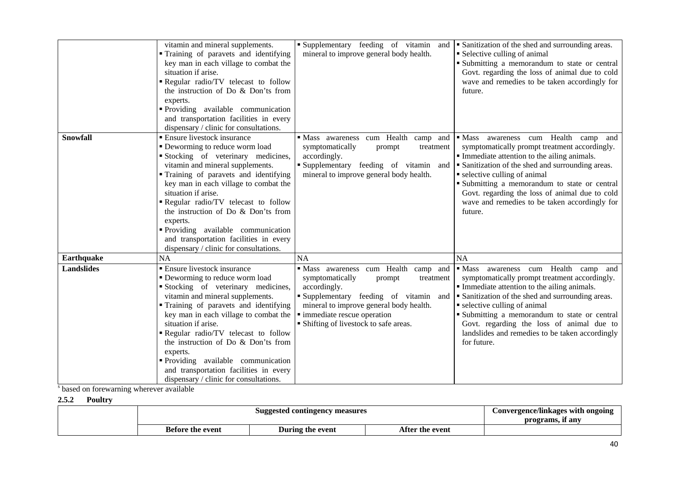|                   | vitamin and mineral supplements.                    | Supplementary feeding of vitamin and       | Sanitization of the shed and surrounding areas.         |
|-------------------|-----------------------------------------------------|--------------------------------------------|---------------------------------------------------------|
|                   | Training of paravets and identifying                | mineral to improve general body health.    | • Selective culling of animal                           |
|                   | key man in each village to combat the               |                                            | Submitting a memorandum to state or central             |
|                   | situation if arise.                                 |                                            | Govt. regarding the loss of animal due to cold          |
|                   | Regular radio/TV telecast to follow                 |                                            | wave and remedies to be taken accordingly for           |
|                   | the instruction of Do & Don'ts from                 |                                            | future.                                                 |
|                   | experts.                                            |                                            |                                                         |
|                   | • Providing available communication                 |                                            |                                                         |
|                   | and transportation facilities in every              |                                            |                                                         |
|                   | dispensary / clinic for consultations.              |                                            |                                                         |
| <b>Snowfall</b>   | <b>Ensure livestock insurance</b>                   | cum Health<br>• Mass awareness<br>camp and | awareness cum Health<br>$\blacksquare$ Mass<br>camp and |
|                   | • Deworming to reduce worm load                     | symptomatically<br>prompt<br>treatment     | symptomatically prompt treatment accordingly.           |
|                   | Stocking of veterinary medicines,                   | accordingly.                               | Immediate attention to the ailing animals.              |
|                   | vitamin and mineral supplements.                    | Supplementary feeding of vitamin and       | • Sanitization of the shed and surrounding areas.       |
|                   | Training of paravets and identifying                | mineral to improve general body health.    | • selective culling of animal                           |
|                   | key man in each village to combat the               |                                            | Submitting a memorandum to state or central             |
|                   | situation if arise.                                 |                                            | Govt. regarding the loss of animal due to cold          |
|                   | Regular radio/TV telecast to follow                 |                                            | wave and remedies to be taken accordingly for           |
|                   | the instruction of Do & Don'ts from                 |                                            | future.                                                 |
|                   | experts.                                            |                                            |                                                         |
|                   | Providing available communication                   |                                            |                                                         |
|                   | and transportation facilities in every              |                                            |                                                         |
|                   | dispensary / clinic for consultations.              |                                            |                                                         |
| Earthquake        | <b>NA</b>                                           | <b>NA</b>                                  | <b>NA</b>                                               |
| <b>Landslides</b> | $\overline{\phantom{a}}$ Ensure livestock insurance | Mass awareness cum Health camp and         | awareness cum Health camp and<br>$\blacksquare$ Mass    |
|                   | • Deworming to reduce worm load                     | symptomatically<br>prompt<br>treatment     | symptomatically prompt treatment accordingly.           |
|                   | Stocking of veterinary medicines,                   | accordingly.                               | • Immediate attention to the ailing animals.            |
|                   | vitamin and mineral supplements.                    | Supplementary feeding of vitamin and       | • Sanitization of the shed and surrounding areas.       |
|                   | Training of paravets and identifying                | mineral to improve general body health.    | • selective culling of animal                           |
|                   | key man in each village to combat the               | · immediate rescue operation               | Submitting a memorandum to state or central             |
|                   | situation if arise.                                 | · Shifting of livestock to safe areas.     | Govt. regarding the loss of animal due to               |
|                   | Regular radio/TV telecast to follow                 |                                            | landslides and remedies to be taken accordingly         |
|                   | the instruction of Do & Don'ts from                 |                                            | for future.                                             |
|                   | experts.                                            |                                            |                                                         |
|                   | • Providing available communication                 |                                            |                                                         |
|                   | and transportation facilities in every              |                                            |                                                         |
|                   | dispensary / clinic for consultations.              |                                            |                                                         |

s based on forewarning wherever available

**2.5.2 Poultry** 

| Suggested contingency measures |                  |                 | Convergence/linkages with ongoing<br>programs, if any |
|--------------------------------|------------------|-----------------|-------------------------------------------------------|
| <b>Before the event</b>        | During the event | After the event |                                                       |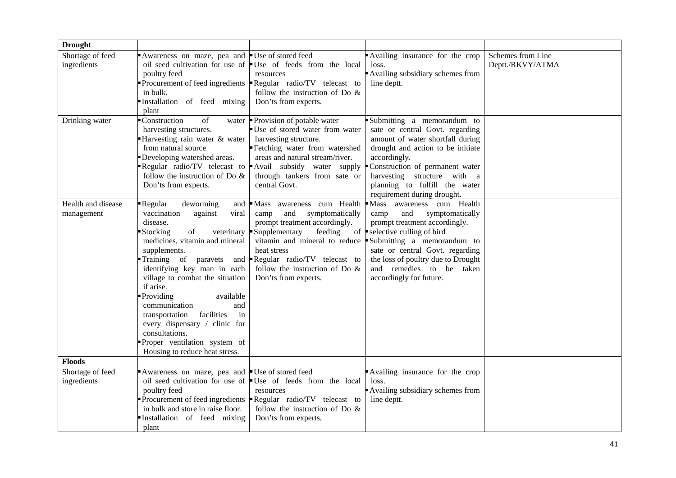| <b>Drought</b>                   |                                                                                                                                                                                                                                                                                                                                                                                                                                                                                                   |                                                                                                                                                                                                                                                                       |                                                                                                                                                                                                                                                                                                                  |                                       |
|----------------------------------|---------------------------------------------------------------------------------------------------------------------------------------------------------------------------------------------------------------------------------------------------------------------------------------------------------------------------------------------------------------------------------------------------------------------------------------------------------------------------------------------------|-----------------------------------------------------------------------------------------------------------------------------------------------------------------------------------------------------------------------------------------------------------------------|------------------------------------------------------------------------------------------------------------------------------------------------------------------------------------------------------------------------------------------------------------------------------------------------------------------|---------------------------------------|
| Shortage of feed<br>ingredients  | Awareness on maze, pea and<br>poultry feed<br>in bulk.<br>Installation of feed mixing<br>plant                                                                                                                                                                                                                                                                                                                                                                                                    | ■ Use of stored feed<br>oil seed cultivation for use of $\bullet$ Use of feeds from the local<br>resources<br>Procurement of feed ingredients $\blacktriangleright$ Regular radio/TV telecast to<br>follow the instruction of Do $\&$<br>Don'ts from experts.         | Availing insurance for the crop<br>loss.<br>Availing subsidiary schemes from<br>line deptt.                                                                                                                                                                                                                      | Schemes from Line<br>Deptt./RKVY/ATMA |
| Drinking water                   | Construction<br>of<br>water<br>harvesting structures.<br>Harvesting rain water & water<br>from natural source<br>Developing watershed areas.<br>Regular radio/TV telecast to<br>follow the instruction of Do $\&$<br>Don'ts from experts.                                                                                                                                                                                                                                                         | Provision of potable water<br>Use of stored water from water<br>harvesting structure.<br>Fetching water from watershed<br>areas and natural stream/river.<br>Avail subsidy water supply<br>through tankers from sate or<br>central Govt.                              | Submitting a memorandum to<br>sate or central Govt. regarding<br>amount of water shortfall during<br>drought and action to be initiate<br>accordingly.<br>Construction of permanent water<br>harvesting structure with a<br>planning to fulfill the water<br>requirement during drought.                         |                                       |
| Health and disease<br>management | Regular<br>deworming<br>and<br>vaccination<br>against<br>viral<br>disease.<br>of<br><b>Stocking</b><br>veterinary<br>medicines, vitamin and mineral<br>supplements.<br>Training of<br>paravets<br>and<br>identifying key man in each<br>village to combat the situation<br>if arise.<br>Providing<br>available<br>communication<br>and<br>facilities<br>transportation<br>in<br>every dispensary / clinic for<br>consultations.<br>Proper ventilation system of<br>Housing to reduce heat stress. | Mass awareness cum Health<br>symptomatically<br>camp<br>and<br>prompt treatment accordingly.<br>Supplementary<br>feeding<br>vitamin and mineral to reduce<br>heat stress<br>Regular radio/TV telecast to<br>follow the instruction of Do $\&$<br>Don'ts from experts. | Mass awareness cum Health<br>symptomatically<br>camp<br>and<br>prompt treatment accordingly.<br>of $\blacktriangleright$ selective culling of bird<br>Submitting a memorandum to<br>sate or central Govt. regarding<br>the loss of poultry due to Drought<br>and remedies to be taken<br>accordingly for future. |                                       |
| <b>Floods</b>                    |                                                                                                                                                                                                                                                                                                                                                                                                                                                                                                   |                                                                                                                                                                                                                                                                       |                                                                                                                                                                                                                                                                                                                  |                                       |
| Shortage of feed<br>ingredients  | Awareness on maze, pea and<br>poultry feed<br>in bulk and store in raise floor.<br>Installation of feed mixing<br>plant                                                                                                                                                                                                                                                                                                                                                                           | Use of stored feed<br>oil seed cultivation for use of <b>U</b> se of feeds from the local<br>resources<br>Procurement of feed ingredients <b>-</b> Regular radio/TV telecast to<br>follow the instruction of Do $\&$<br>Don'ts from experts.                          | Availing insurance for the crop<br>loss.<br>Availing subsidiary schemes from<br>line deptt.                                                                                                                                                                                                                      |                                       |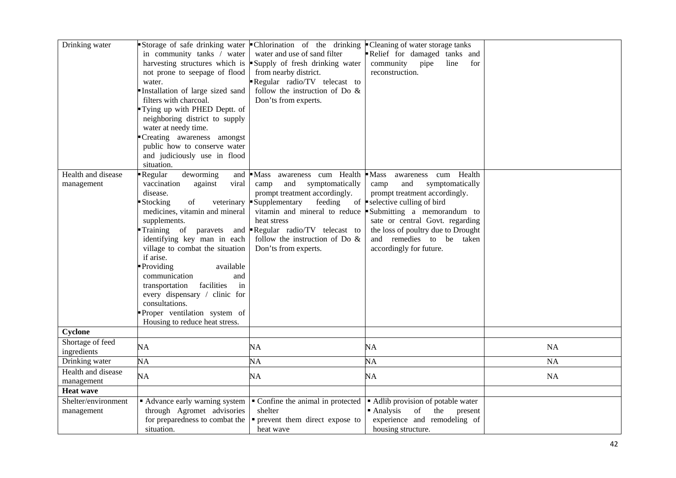| Drinking water                    | in community tanks / water<br>not prone to seepage of flood<br>water.<br>Installation of large sized sand<br>filters with charcoal.<br>Tying up with PHED Deptt. of<br>neighboring district to supply                                                                                                                                                                                                                                                                                             | Storage of safe drinking water Chlorination of the drinking<br>water and use of sand filter<br>harvesting structures which is $\blacksquare$ Supply of fresh drinking water<br>from nearby district.<br>Regular radio/TV telecast to<br>follow the instruction of Do $\&$<br>Don'ts from experts. | • Cleaning of water storage tanks<br>Relief for damaged tanks and<br>community pipe<br>line<br>for<br>reconstruction.                                                                                                                                                                                                                                               |           |
|-----------------------------------|---------------------------------------------------------------------------------------------------------------------------------------------------------------------------------------------------------------------------------------------------------------------------------------------------------------------------------------------------------------------------------------------------------------------------------------------------------------------------------------------------|---------------------------------------------------------------------------------------------------------------------------------------------------------------------------------------------------------------------------------------------------------------------------------------------------|---------------------------------------------------------------------------------------------------------------------------------------------------------------------------------------------------------------------------------------------------------------------------------------------------------------------------------------------------------------------|-----------|
|                                   | water at needy time.<br>Creating awareness amongst<br>public how to conserve water<br>and judiciously use in flood<br>situation.                                                                                                                                                                                                                                                                                                                                                                  |                                                                                                                                                                                                                                                                                                   |                                                                                                                                                                                                                                                                                                                                                                     |           |
| Health and disease<br>management  | deworming<br>Regular<br>and<br>vaccination<br>against<br>viral<br>disease.<br><b>Stocking</b><br>of<br>veterinary<br>medicines, vitamin and mineral<br>supplements.<br>Training of<br>paravets<br>and<br>identifying key man in each<br>village to combat the situation<br>if arise.<br>Providing<br>available<br>communication<br>and<br>transportation<br>facilities<br>in<br>every dispensary / clinic for<br>consultations.<br>Proper ventilation system of<br>Housing to reduce heat stress. | Mass awareness cum Health<br>and<br>symptomatically<br>camp<br>prompt treatment accordingly.<br>Supplementary<br>feeding<br>heat stress<br>Regular radio/TV telecast to<br>follow the instruction of Do $\&$<br>Don'ts from experts.                                                              | $\blacksquare$ Mass<br>Health<br>awareness cum<br>symptomatically<br>and<br>camp<br>prompt treatment accordingly.<br>of $\blacktriangleright$ selective culling of bird<br>vitamin and mineral to reduce Submitting a memorandum to<br>sate or central Govt. regarding<br>the loss of poultry due to Drought<br>and remedies to be taken<br>accordingly for future. |           |
| Cyclone                           |                                                                                                                                                                                                                                                                                                                                                                                                                                                                                                   |                                                                                                                                                                                                                                                                                                   |                                                                                                                                                                                                                                                                                                                                                                     |           |
| Shortage of feed<br>ingredients   | NA                                                                                                                                                                                                                                                                                                                                                                                                                                                                                                | NA                                                                                                                                                                                                                                                                                                | NA                                                                                                                                                                                                                                                                                                                                                                  | <b>NA</b> |
| Drinking water                    | NA                                                                                                                                                                                                                                                                                                                                                                                                                                                                                                | NA                                                                                                                                                                                                                                                                                                | NA                                                                                                                                                                                                                                                                                                                                                                  | <b>NA</b> |
| Health and disease<br>management  | NA                                                                                                                                                                                                                                                                                                                                                                                                                                                                                                | NA                                                                                                                                                                                                                                                                                                | NA                                                                                                                                                                                                                                                                                                                                                                  | <b>NA</b> |
| <b>Heat wave</b>                  |                                                                                                                                                                                                                                                                                                                                                                                                                                                                                                   |                                                                                                                                                                                                                                                                                                   |                                                                                                                                                                                                                                                                                                                                                                     |           |
| Shelter/environment<br>management | Advance early warning system<br>through Agromet advisories<br>for preparedness to combat the<br>situation.                                                                                                                                                                                                                                                                                                                                                                                        | • Confine the animal in protected<br>shelter<br>• prevent them direct expose to<br>heat wave                                                                                                                                                                                                      | • Adlib provision of potable water<br>• Analysis<br>of<br>the<br>present<br>experience and remodeling of<br>housing structure.                                                                                                                                                                                                                                      |           |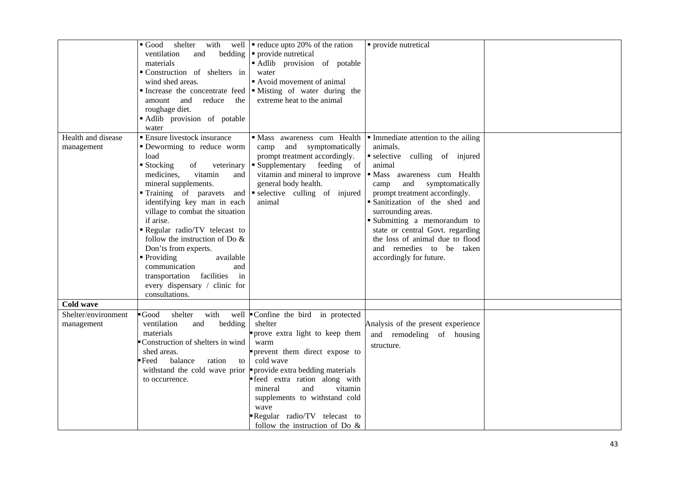|                                   | $\blacksquare$ Good<br>ventilation<br>and<br>materials<br>Construction of shelters in<br>wind shed areas.<br>and<br>reduce<br>amount<br>the<br>roughage diet.<br>Adlib provision of potable                                                                                                                                                                                                                                                                                                                             | shelter with well $\bullet$ reduce upto 20% of the ration<br>bedding $\vert \cdot \vert$ provide nutretical<br>Adlib provision of potable<br>water<br>Avoid movement of animal<br>Increase the concentrate feed $\blacksquare$ Misting of water during the<br>extreme heat to the animal                                                              | • provide nutretical                                                                                                                                                                                                                                                                                                                                                                                                       |  |
|-----------------------------------|-------------------------------------------------------------------------------------------------------------------------------------------------------------------------------------------------------------------------------------------------------------------------------------------------------------------------------------------------------------------------------------------------------------------------------------------------------------------------------------------------------------------------|-------------------------------------------------------------------------------------------------------------------------------------------------------------------------------------------------------------------------------------------------------------------------------------------------------------------------------------------------------|----------------------------------------------------------------------------------------------------------------------------------------------------------------------------------------------------------------------------------------------------------------------------------------------------------------------------------------------------------------------------------------------------------------------------|--|
| Health and disease<br>management  | water<br>• Ensure livestock insurance<br>• Deworming to reduce worm<br>load<br>■ Stocking<br>of<br>veterinary<br>vitamin<br>medicines,<br>and<br>mineral supplements.<br>Training of paravets and<br>identifying key man in each<br>village to combat the situation<br>if arise.<br>Regular radio/TV telecast to<br>follow the instruction of Do $\&$<br>Don'ts from experts.<br>• Providing<br>available<br>communication<br>and<br>transportation facilities<br>in<br>every dispensary / clinic for<br>consultations. | · Mass awareness cum Health<br>and symptomatically<br>camp<br>prompt treatment accordingly.<br>• Supplementary feeding of<br>vitamin and mineral to improve<br>general body health.<br>selective culling of injured<br>animal                                                                                                                         | $\blacksquare$ Immediate attention to the ailing<br>animals.<br>selective culling of injured<br>animal<br>Mass awareness cum Health<br>and<br>symptomatically<br>camp<br>prompt treatment accordingly.<br>· Sanitization of the shed and<br>surrounding areas.<br>Submitting a memorandum to<br>state or central Govt. regarding<br>the loss of animal due to flood<br>and remedies to be taken<br>accordingly for future. |  |
| Cold wave                         |                                                                                                                                                                                                                                                                                                                                                                                                                                                                                                                         |                                                                                                                                                                                                                                                                                                                                                       |                                                                                                                                                                                                                                                                                                                                                                                                                            |  |
| Shelter/environment<br>management | with<br>$\blacksquare$ Good<br>shelter<br>ventilation<br>bedding<br>and<br>materials<br>Construction of shelters in wind<br>shed areas.<br>balance<br>Feed<br>ration<br>to<br>withstand the cold wave prior<br>to occurrence.                                                                                                                                                                                                                                                                                           | well Confine the bird in protected<br>shelter<br>prove extra light to keep them<br>warm<br>prevent them direct expose to<br>cold wave<br>provide extra bedding materials<br>· feed extra ration along with<br>and<br>vitamin<br>mineral<br>supplements to withstand cold<br>wave<br>Regular radio/TV telecast to<br>follow the instruction of Do $\&$ | Analysis of the present experience<br>and remodeling of housing<br>structure.                                                                                                                                                                                                                                                                                                                                              |  |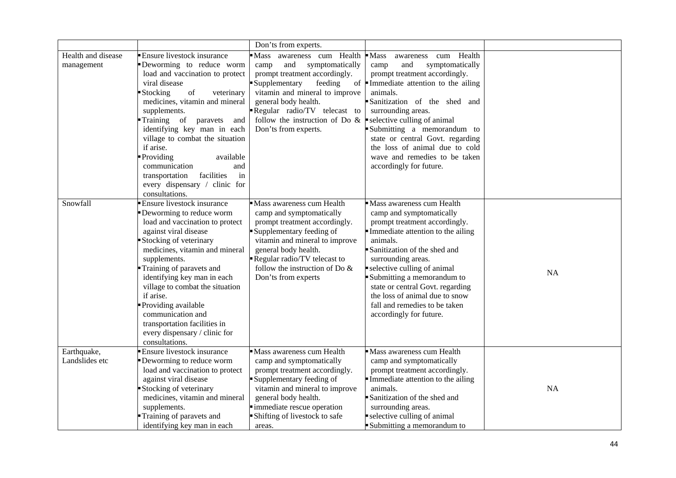|                                  |                                                                                                                                                                                                                                                                                                                                                                                                                                                              | Don'ts from experts.                                                                                                                                                                                                                                                                                                  |                                                                                                                                                                                                                                                                                                                                                                                              |           |
|----------------------------------|--------------------------------------------------------------------------------------------------------------------------------------------------------------------------------------------------------------------------------------------------------------------------------------------------------------------------------------------------------------------------------------------------------------------------------------------------------------|-----------------------------------------------------------------------------------------------------------------------------------------------------------------------------------------------------------------------------------------------------------------------------------------------------------------------|----------------------------------------------------------------------------------------------------------------------------------------------------------------------------------------------------------------------------------------------------------------------------------------------------------------------------------------------------------------------------------------------|-----------|
| Health and disease<br>management | <b>Ensure livestock insurance</b><br>Deworming to reduce worm<br>load and vaccination to protect<br>viral disease<br>Stocking<br>of<br>veterinary<br>medicines, vitamin and mineral<br>supplements.<br>Training of paravets<br>and<br>identifying key man in each<br>village to combat the situation<br>if arise.<br>Providing<br>available<br>communication<br>and<br>transportation<br>facilities<br>in<br>every dispensary / clinic for<br>consultations. | Mass awareness cum Health<br>and<br>symptomatically<br>camp<br>prompt treatment accordingly.<br>Supplementary<br>feeding<br>vitamin and mineral to improve<br>general body health.<br>Regular radio/TV telecast to<br>follow the instruction of Do $\&$ $\bullet$ selective culling of animal<br>Don'ts from experts. | $\blacksquare$ Mass<br>awareness cum Health<br>symptomatically<br>camp<br>and<br>prompt treatment accordingly.<br>of Immediate attention to the ailing<br>animals.<br>Sanitization of the shed and<br>surrounding areas.<br>Submitting a memorandum to<br>state or central Govt. regarding<br>the loss of animal due to cold<br>wave and remedies to be taken<br>accordingly for future.     |           |
| Snowfall                         | <b>Ensure livestock insurance</b><br>Deworming to reduce worm<br>load and vaccination to protect<br>against viral disease<br>Stocking of veterinary<br>medicines, vitamin and mineral<br>supplements.<br>Training of paravets and<br>identifying key man in each<br>village to combat the situation<br>if arise.<br>Providing available<br>communication and<br>transportation facilities in<br>every dispensary / clinic for<br>consultations.              | Mass awareness cum Health<br>camp and symptomatically<br>prompt treatment accordingly.<br>Supplementary feeding of<br>vitamin and mineral to improve<br>general body health.<br>Regular radio/TV telecast to<br>follow the instruction of Do $\&$<br>Don'ts from experts                                              | Mass awareness cum Health<br>camp and symptomatically<br>prompt treatment accordingly.<br>Immediate attention to the ailing<br>animals.<br>Sanitization of the shed and<br>surrounding areas.<br>selective culling of animal<br>Submitting a memorandum to<br>state or central Govt. regarding<br>the loss of animal due to snow<br>fall and remedies to be taken<br>accordingly for future. | <b>NA</b> |
| Earthquake,<br>Landslides etc    | <b>Ensure livestock insurance</b><br>Deworming to reduce worm<br>load and vaccination to protect<br>against viral disease<br>Stocking of veterinary<br>medicines, vitamin and mineral<br>supplements.<br>Training of paravets and<br>identifying key man in each                                                                                                                                                                                             | Mass awareness cum Health<br>camp and symptomatically<br>prompt treatment accordingly.<br>Supplementary feeding of<br>vitamin and mineral to improve<br>general body health.<br>immediate rescue operation<br>Shifting of livestock to safe<br>areas.                                                                 | Mass awareness cum Health<br>camp and symptomatically<br>prompt treatment accordingly.<br>Immediate attention to the ailing<br>animals.<br>Sanitization of the shed and<br>surrounding areas.<br>selective culling of animal<br>Submitting a memorandum to                                                                                                                                   | <b>NA</b> |